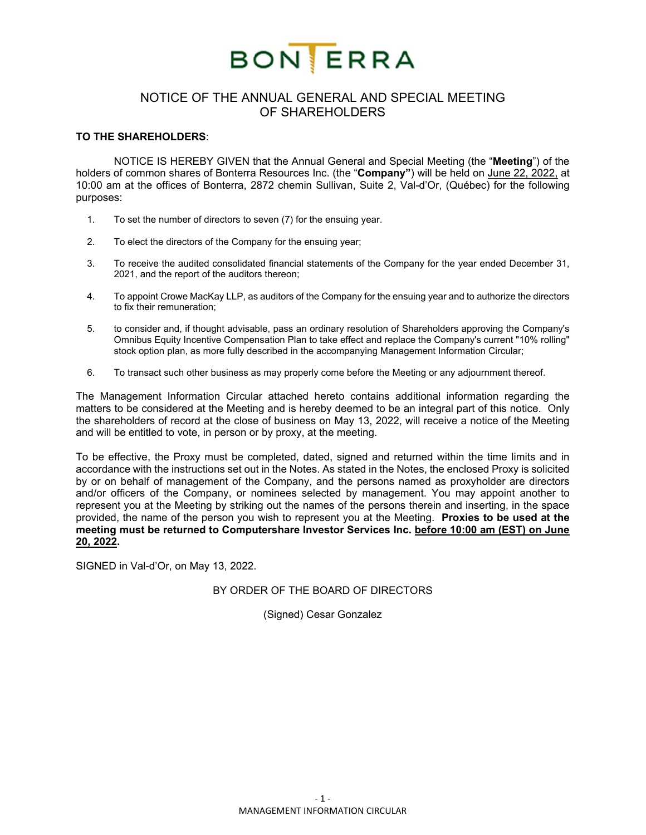

# NOTICE OF THE ANNUAL GENERAL AND SPECIAL MEETING OF SHAREHOLDERS

#### **TO THE SHAREHOLDERS**:

 NOTICE IS HEREBY GIVEN that the Annual General and Special Meeting (the "**Meeting**") of the holders of common shares of Bonterra Resources Inc. (the "**Company"**) will be held on June 22, 2022, at 10:00 am at the offices of Bonterra, 2872 chemin Sullivan, Suite 2, Val-d'Or, (Québec) for the following purposes:

- 1. To set the number of directors to seven (7) for the ensuing year.
- 2. To elect the directors of the Company for the ensuing year;
- 3. To receive the audited consolidated financial statements of the Company for the year ended December 31, 2021, and the report of the auditors thereon;
- 4. To appoint Crowe MacKay LLP, as auditors of the Company for the ensuing year and to authorize the directors to fix their remuneration;
- 5. to consider and, if thought advisable, pass an ordinary resolution of Shareholders approving the Company's Omnibus Equity Incentive Compensation Plan to take effect and replace the Company's current "10% rolling" stock option plan, as more fully described in the accompanying Management Information Circular;
- 6. To transact such other business as may properly come before the Meeting or any adjournment thereof.

The Management Information Circular attached hereto contains additional information regarding the matters to be considered at the Meeting and is hereby deemed to be an integral part of this notice. Only the shareholders of record at the close of business on May 13, 2022, will receive a notice of the Meeting and will be entitled to vote, in person or by proxy, at the meeting.

To be effective, the Proxy must be completed, dated, signed and returned within the time limits and in accordance with the instructions set out in the Notes. As stated in the Notes, the enclosed Proxy is solicited by or on behalf of management of the Company, and the persons named as proxyholder are directors and/or officers of the Company, or nominees selected by management. You may appoint another to represent you at the Meeting by striking out the names of the persons therein and inserting, in the space provided, the name of the person you wish to represent you at the Meeting. **Proxies to be used at the meeting must be returned to Computershare Investor Services Inc. before 10:00 am (EST) on June 20, 2022.**

SIGNED in Val-d'Or, on May 13, 2022.

#### BY ORDER OF THE BOARD OF DIRECTORS

(Signed) Cesar Gonzalez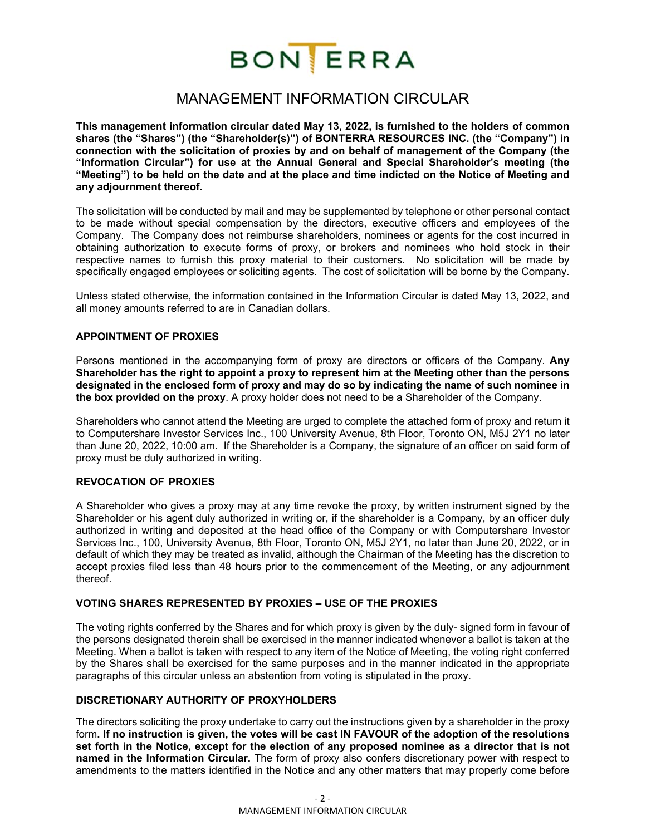

# MANAGEMENT INFORMATION CIRCULAR

**This management information circular dated May 13, 2022, is furnished to the holders of common shares (the "Shares") (the "Shareholder(s)") of BONTERRA RESOURCES INC. (the "Company") in connection with the solicitation of proxies by and on behalf of management of the Company (the "Information Circular") for use at the Annual General and Special Shareholder's meeting (the "Meeting") to be held on the date and at the place and time indicted on the Notice of Meeting and any adjournment thereof.** 

The solicitation will be conducted by mail and may be supplemented by telephone or other personal contact to be made without special compensation by the directors, executive officers and employees of the Company. The Company does not reimburse shareholders, nominees or agents for the cost incurred in obtaining authorization to execute forms of proxy, or brokers and nominees who hold stock in their respective names to furnish this proxy material to their customers. No solicitation will be made by specifically engaged employees or soliciting agents. The cost of solicitation will be borne by the Company.

Unless stated otherwise, the information contained in the Information Circular is dated May 13, 2022, and all money amounts referred to are in Canadian dollars.

## **APPOINTMENT OF PROXIES**

Persons mentioned in the accompanying form of proxy are directors or officers of the Company. **Any Shareholder has the right to appoint a proxy to represent him at the Meeting other than the persons designated in the enclosed form of proxy and may do so by indicating the name of such nominee in the box provided on the proxy**. A proxy holder does not need to be a Shareholder of the Company.

Shareholders who cannot attend the Meeting are urged to complete the attached form of proxy and return it to Computershare Investor Services Inc., 100 University Avenue, 8th Floor, Toronto ON, M5J 2Y1 no later than June 20, 2022, 10:00 am. If the Shareholder is a Company, the signature of an officer on said form of proxy must be duly authorized in writing.

#### **REVOCATION OF PROXIES**

A Shareholder who gives a proxy may at any time revoke the proxy, by written instrument signed by the Shareholder or his agent duly authorized in writing or, if the shareholder is a Company, by an officer duly authorized in writing and deposited at the head office of the Company or with Computershare Investor Services Inc., 100, University Avenue, 8th Floor, Toronto ON, M5J 2Y1, no later than June 20, 2022, or in default of which they may be treated as invalid, although the Chairman of the Meeting has the discretion to accept proxies filed less than 48 hours prior to the commencement of the Meeting, or any adjournment thereof.

## **VOTING SHARES REPRESENTED BY PROXIES – USE OF THE PROXIES**

The voting rights conferred by the Shares and for which proxy is given by the duly- signed form in favour of the persons designated therein shall be exercised in the manner indicated whenever a ballot is taken at the Meeting. When a ballot is taken with respect to any item of the Notice of Meeting, the voting right conferred by the Shares shall be exercised for the same purposes and in the manner indicated in the appropriate paragraphs of this circular unless an abstention from voting is stipulated in the proxy.

#### **DISCRETIONARY AUTHORITY OF PROXYHOLDERS**

The directors soliciting the proxy undertake to carry out the instructions given by a shareholder in the proxy form**. If no instruction is given, the votes will be cast IN FAVOUR of the adoption of the resolutions set forth in the Notice, except for the election of any proposed nominee as a director that is not named in the Information Circular.** The form of proxy also confers discretionary power with respect to amendments to the matters identified in the Notice and any other matters that may properly come before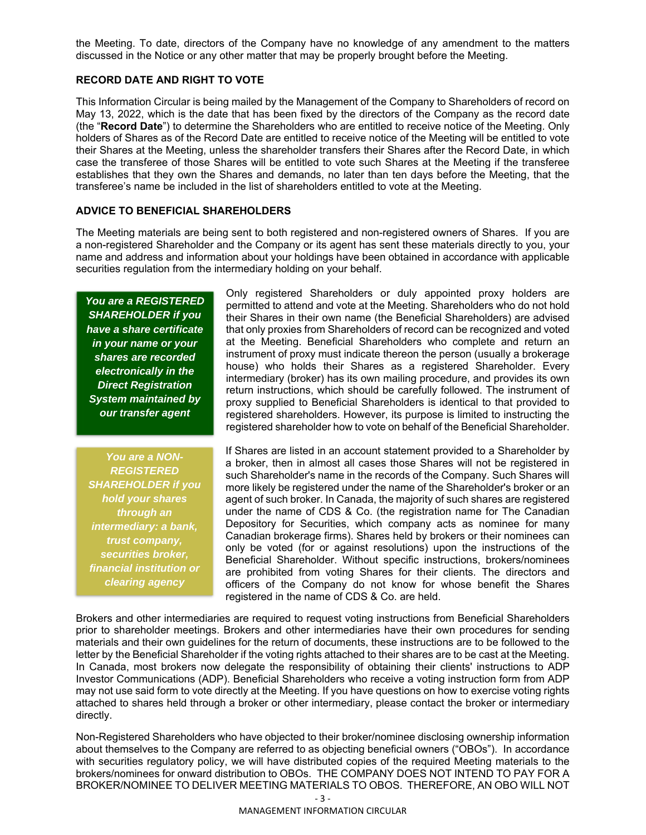the Meeting. To date, directors of the Company have no knowledge of any amendment to the matters discussed in the Notice or any other matter that may be properly brought before the Meeting.

## **RECORD DATE AND RIGHT TO VOTE**

This Information Circular is being mailed by the Management of the Company to Shareholders of record on May 13, 2022, which is the date that has been fixed by the directors of the Company as the record date (the "**Record Date**") to determine the Shareholders who are entitled to receive notice of the Meeting. Only holders of Shares as of the Record Date are entitled to receive notice of the Meeting will be entitled to vote their Shares at the Meeting, unless the shareholder transfers their Shares after the Record Date, in which case the transferee of those Shares will be entitled to vote such Shares at the Meeting if the transferee establishes that they own the Shares and demands, no later than ten days before the Meeting, that the transferee's name be included in the list of shareholders entitled to vote at the Meeting.

## **ADVICE TO BENEFICIAL SHAREHOLDERS**

The Meeting materials are being sent to both registered and non-registered owners of Shares. If you are a non-registered Shareholder and the Company or its agent has sent these materials directly to you, your name and address and information about your holdings have been obtained in accordance with applicable securities regulation from the intermediary holding on your behalf.

*You are a REGISTERED SHAREHOLDER if you have a share certificate in your name or your shares are recorded electronically in the Direct Registration System maintained by our transfer agent* 

*You are a NON-REGISTERED SHAREHOLDER if you hold your shares through an intermediary: a bank, trust company, securities broker, financial institution or clearing agency* 

Only registered Shareholders or duly appointed proxy holders are permitted to attend and vote at the Meeting. Shareholders who do not hold their Shares in their own name (the Beneficial Shareholders) are advised that only proxies from Shareholders of record can be recognized and voted at the Meeting. Beneficial Shareholders who complete and return an instrument of proxy must indicate thereon the person (usually a brokerage house) who holds their Shares as a registered Shareholder. Every intermediary (broker) has its own mailing procedure, and provides its own return instructions, which should be carefully followed. The instrument of proxy supplied to Beneficial Shareholders is identical to that provided to registered shareholders. However, its purpose is limited to instructing the registered shareholder how to vote on behalf of the Beneficial Shareholder.

If Shares are listed in an account statement provided to a Shareholder by a broker, then in almost all cases those Shares will not be registered in such Shareholder's name in the records of the Company. Such Shares will more likely be registered under the name of the Shareholder's broker or an agent of such broker. In Canada, the majority of such shares are registered under the name of CDS & Co. (the registration name for The Canadian Depository for Securities, which company acts as nominee for many Canadian brokerage firms). Shares held by brokers or their nominees can only be voted (for or against resolutions) upon the instructions of the Beneficial Shareholder. Without specific instructions, brokers/nominees are prohibited from voting Shares for their clients. The directors and officers of the Company do not know for whose benefit the Shares registered in the name of CDS & Co. are held.

Brokers and other intermediaries are required to request voting instructions from Beneficial Shareholders prior to shareholder meetings. Brokers and other intermediaries have their own procedures for sending materials and their own guidelines for the return of documents, these instructions are to be followed to the letter by the Beneficial Shareholder if the voting rights attached to their shares are to be cast at the Meeting. In Canada, most brokers now delegate the responsibility of obtaining their clients' instructions to ADP Investor Communications (ADP). Beneficial Shareholders who receive a voting instruction form from ADP may not use said form to vote directly at the Meeting. If you have questions on how to exercise voting rights attached to shares held through a broker or other intermediary, please contact the broker or intermediary directly.

Non-Registered Shareholders who have objected to their broker/nominee disclosing ownership information about themselves to the Company are referred to as objecting beneficial owners ("OBOs"). In accordance with securities regulatory policy, we will have distributed copies of the required Meeting materials to the brokers/nominees for onward distribution to OBOs. THE COMPANY DOES NOT INTEND TO PAY FOR A BROKER/NOMINEE TO DELIVER MEETING MATERIALS TO OBOS. THEREFORE, AN OBO WILL NOT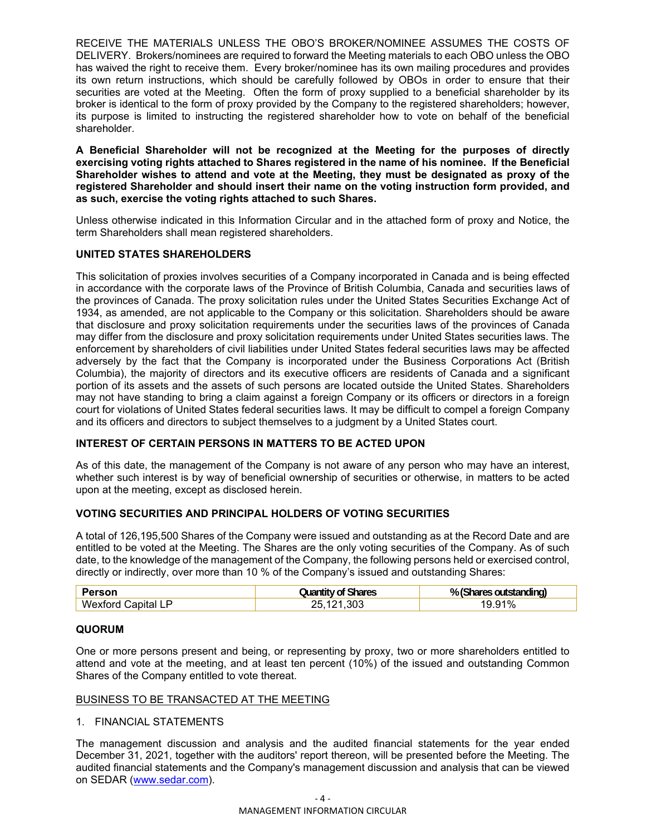RECEIVE THE MATERIALS UNLESS THE OBO'S BROKER/NOMINEE ASSUMES THE COSTS OF DELIVERY. Brokers/nominees are required to forward the Meeting materials to each OBO unless the OBO has waived the right to receive them. Every broker/nominee has its own mailing procedures and provides its own return instructions, which should be carefully followed by OBOs in order to ensure that their securities are voted at the Meeting. Often the form of proxy supplied to a beneficial shareholder by its broker is identical to the form of proxy provided by the Company to the registered shareholders; however, its purpose is limited to instructing the registered shareholder how to vote on behalf of the beneficial shareholder.

**A Beneficial Shareholder will not be recognized at the Meeting for the purposes of directly exercising voting rights attached to Shares registered in the name of his nominee. If the Beneficial Shareholder wishes to attend and vote at the Meeting, they must be designated as proxy of the registered Shareholder and should insert their name on the voting instruction form provided, and as such, exercise the voting rights attached to such Shares.** 

Unless otherwise indicated in this Information Circular and in the attached form of proxy and Notice, the term Shareholders shall mean registered shareholders.

## **UNITED STATES SHAREHOLDERS**

This solicitation of proxies involves securities of a Company incorporated in Canada and is being effected in accordance with the corporate laws of the Province of British Columbia, Canada and securities laws of the provinces of Canada. The proxy solicitation rules under the United States Securities Exchange Act of 1934, as amended, are not applicable to the Company or this solicitation. Shareholders should be aware that disclosure and proxy solicitation requirements under the securities laws of the provinces of Canada may differ from the disclosure and proxy solicitation requirements under United States securities laws. The enforcement by shareholders of civil liabilities under United States federal securities laws may be affected adversely by the fact that the Company is incorporated under the Business Corporations Act (British Columbia), the majority of directors and its executive officers are residents of Canada and a significant portion of its assets and the assets of such persons are located outside the United States. Shareholders may not have standing to bring a claim against a foreign Company or its officers or directors in a foreign court for violations of United States federal securities laws. It may be difficult to compel a foreign Company and its officers and directors to subject themselves to a judgment by a United States court.

## **INTEREST OF CERTAIN PERSONS IN MATTERS TO BE ACTED UPON**

As of this date, the management of the Company is not aware of any person who may have an interest, whether such interest is by way of beneficial ownership of securities or otherwise, in matters to be acted upon at the meeting, except as disclosed herein.

## **VOTING SECURITIES AND PRINCIPAL HOLDERS OF VOTING SECURITIES**

A total of 126,195,500 Shares of the Company were issued and outstanding as at the Record Date and are entitled to be voted at the Meeting. The Shares are the only voting securities of the Company. As of such date, to the knowledge of the management of the Company, the following persons held or exercised control, directly or indirectly, over more than 10 % of the Company's issued and outstanding Shares:

|                      | <b>Shares</b><br>Juantity of | <br>% .<br>outstanding)<br><b>NATAS</b><br>J.  |
|----------------------|------------------------------|------------------------------------------------|
| w.<br>`anıtal<br>. . | ג∩?<br>י אי                  | $\overline{\phantom{a}}$<br>$\frac{9}{0}$<br>ч |

#### **QUORUM**

One or more persons present and being, or representing by proxy, two or more shareholders entitled to attend and vote at the meeting, and at least ten percent (10%) of the issued and outstanding Common Shares of the Company entitled to vote thereat.

#### BUSINESS TO BE TRANSACTED AT THE MEETING

#### 1. FINANCIAL STATEMENTS

The management discussion and analysis and the audited financial statements for the year ended December 31, 2021, together with the auditors' report thereon, will be presented before the Meeting. The audited financial statements and the Company's management discussion and analysis that can be viewed on SEDAR (www.sedar.com).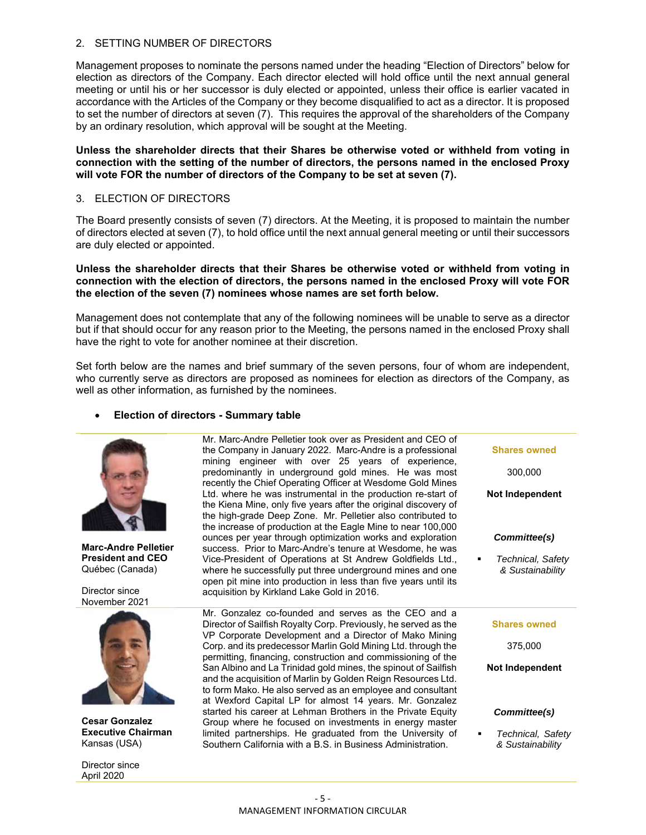### 2. SETTING NUMBER OF DIRECTORS

Management proposes to nominate the persons named under the heading "Election of Directors" below for election as directors of the Company. Each director elected will hold office until the next annual general meeting or until his or her successor is duly elected or appointed, unless their office is earlier vacated in accordance with the Articles of the Company or they become disqualified to act as a director. It is proposed to set the number of directors at seven (7). This requires the approval of the shareholders of the Company by an ordinary resolution, which approval will be sought at the Meeting.

**Unless the shareholder directs that their Shares be otherwise voted or withheld from voting in connection with the setting of the number of directors, the persons named in the enclosed Proxy will vote FOR the number of directors of the Company to be set at seven (7).** 

## 3. ELECTION OF DIRECTORS

The Board presently consists of seven (7) directors. At the Meeting, it is proposed to maintain the number of directors elected at seven (7), to hold office until the next annual general meeting or until their successors are duly elected or appointed.

#### **Unless the shareholder directs that their Shares be otherwise voted or withheld from voting in connection with the election of directors, the persons named in the enclosed Proxy will vote FOR the election of the seven (7) nominees whose names are set forth below.**

Management does not contemplate that any of the following nominees will be unable to serve as a director but if that should occur for any reason prior to the Meeting, the persons named in the enclosed Proxy shall have the right to vote for another nominee at their discretion.

Set forth below are the names and brief summary of the seven persons, four of whom are independent, who currently serve as directors are proposed as nominees for election as directors of the Company, as well as other information, as furnished by the nominees.

## **Election of directors - Summary table**



**Marc-Andre Pelletier President and CEO**  Québec (Canada)

Director since November 2021



**Cesar Gonzalez Executive Chairman**  Kansas (USA)

Director since April 2020

Mr. Marc-Andre Pelletier took over as President and CEO of the Company in January 2022. Marc-Andre is a professional mining engineer with over 25 years of experience, predominantly in underground gold mines. He was most recently the Chief Operating Officer at Wesdome Gold Mines Ltd. where he was instrumental in the production re-start of the Kiena Mine, only five years after the original discovery of the high-grade Deep Zone. Mr. Pelletier also contributed to the increase of production at the Eagle Mine to near 100,000 ounces per year through optimization works and exploration success. Prior to Marc-Andre's tenure at Wesdome, he was Vice-President of Operations at St Andrew Goldfields Ltd., where he successfully put three underground mines and one open pit mine into production in less than five years until its acquisition by Kirkland Lake Gold in 2016.

Mr. Gonzalez co-founded and serves as the CEO and a Director of Sailfish Royalty Corp. Previously, he served as the VP Corporate Development and a Director of Mako Mining Corp. and its predecessor Marlin Gold Mining Ltd. through the permitting, financing, construction and commissioning of the San Albino and La Trinidad gold mines, the spinout of Sailfish and the acquisition of Marlin by Golden Reign Resources Ltd. to form Mako. He also served as an employee and consultant at Wexford Capital LP for almost 14 years. Mr. Gonzalez started his career at Lehman Brothers in the Private Equity Group where he focused on investments in energy master limited partnerships. He graduated from the University of Southern California with a B.S. in Business Administration.

**Shares owned**  300,000 **Not Independent**  *Committee(s) Technical, Safety & Sustainability* **Shares owned**  375,000 **Not Independent** *Committee(s)* 

 *Technical, Safety & Sustainability*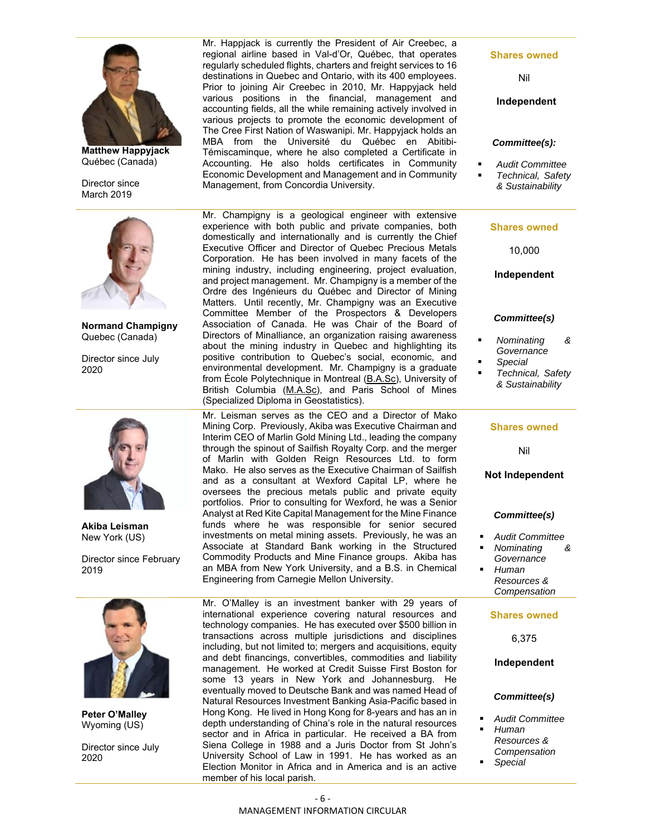

**Matthew Happyjack**  Québec (Canada)

Director since March 2019



**Normand Champigny**  Quebec (Canada)

Director since July 2020



**Akiba Leisman**  New York (US)

Director since February 2019



**Peter O'Malley**  Wyoming (US)

Director since July 2020

Mr. Happjack is currently the President of Air Creebec, a regional airline based in Val-d'Or, Québec, that operates regularly scheduled flights, charters and freight services to 16 destinations in Quebec and Ontario, with its 400 employees. Prior to joining Air Creebec in 2010, Mr. Happyjack held various positions in the financial, management and accounting fields, all the while remaining actively involved in various projects to promote the economic development of The Cree First Nation of Waswanipi. Mr. Happyjack holds an MBA from the Université du Québec en Abitibi-Témiscaminque, where he also completed a Certificate in Accounting. He also holds certificates in Community Economic Development and Management and in Community Management, from Concordia University.

Mr. Champigny is a geological engineer with extensive experience with both public and private companies, both domestically and internationally and is currently the Chief Executive Officer and Director of Quebec Precious Metals Corporation. He has been involved in many facets of the mining industry, including engineering, project evaluation, and project management. Mr. Champigny is a member of the Ordre des Ingénieurs du Québec and Director of Mining Matters. Until recently, Mr. Champigny was an Executive Committee Member of the Prospectors & Developers Association of Canada. He was Chair of the Board of Directors of Minalliance, an organization raising awareness about the mining industry in Quebec and highlighting its positive contribution to Quebec's social, economic, and environmental development. Mr. Champigny is a graduate from École Polytechnique in Montreal (B.A.Sc), University of British Columbia (M.A.Sc), and Paris School of Mines (Specialized Diploma in Geostatistics).

Mr. Leisman serves as the CEO and a Director of Mako Mining Corp. Previously, Akiba was Executive Chairman and Interim CEO of Marlin Gold Mining Ltd., leading the company through the spinout of Sailfish Royalty Corp. and the merger of Marlin with Golden Reign Resources Ltd. to form Mako. He also serves as the Executive Chairman of Sailfish and as a consultant at Wexford Capital LP, where he oversees the precious metals public and private equity portfolios. Prior to consulting for Wexford, he was a Senior Analyst at Red Kite Capital Management for the Mine Finance funds where he was responsible for senior secured investments on metal mining assets. Previously, he was an Associate at Standard Bank working in the Structured Commodity Products and Mine Finance groups. Akiba has an MBA from New York University, and a B.S. in Chemical Engineering from Carnegie Mellon University.

Mr. O'Malley is an investment banker with 29 years of international experience covering natural resources and technology companies. He has executed over \$500 billion in transactions across multiple jurisdictions and disciplines including, but not limited to; mergers and acquisitions, equity and debt financings, convertibles, commodities and liability management. He worked at Credit Suisse First Boston for some 13 years in New York and Johannesburg. He eventually moved to Deutsche Bank and was named Head of Natural Resources Investment Banking Asia-Pacific based in Hong Kong. He lived in Hong Kong for 8-years and has an in depth understanding of China's role in the natural resources sector and in Africa in particular. He received a BA from Siena College in 1988 and a Juris Doctor from St John's University School of Law in 1991. He has worked as an Election Monitor in Africa and in America and is an active member of his local parish.

**Shares owned** 

Nil

**Independent** 

#### *Committee(s):*

*Audit Committee*

 *Technical, Safety & Sustainability*

#### **Shares owned**

10,000

#### **Independent**

#### *Committee(s)*

- *Nominating & Governance*
- *Special Technical, Safety*
- *& Sustainability*

#### **Shares owned**

Nil

#### **Not Independent**

#### *Committee(s)*

- *Audit Committee*
- *Nominating &*
- *Governance Human Resources &*

*Compensation*

#### **Shares owned**

6,375

#### **Independent**

#### *Committee(s)*

- *Audit Committee*
- *Human Resources & Compensation*
- *Special*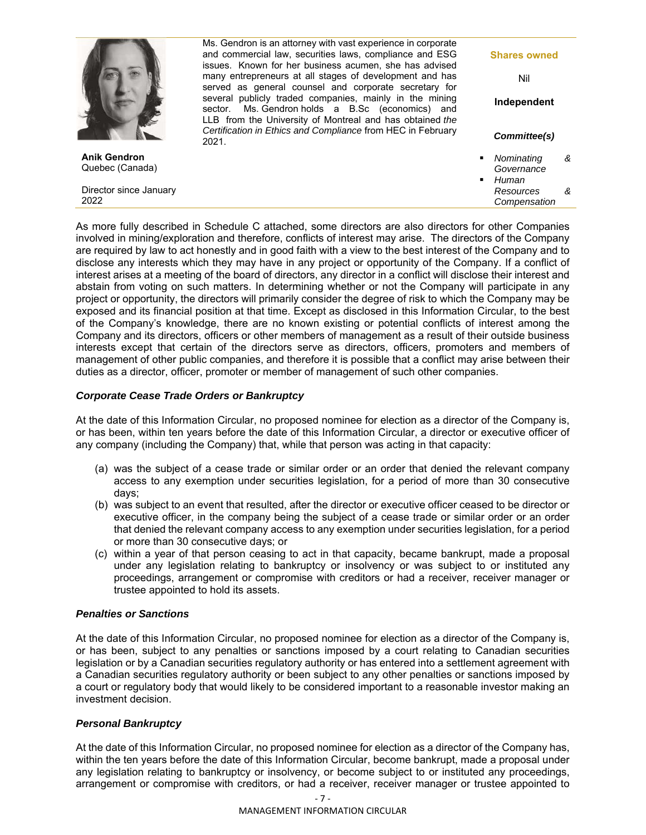|                                        | Ms. Gendron is an attorney with vast experience in corporate<br>and commercial law, securities laws, compliance and ESG<br>issues. Known for her business acumen, she has advised                                                | <b>Shares owned</b>                |   |
|----------------------------------------|----------------------------------------------------------------------------------------------------------------------------------------------------------------------------------------------------------------------------------|------------------------------------|---|
|                                        | many entrepreneurs at all stages of development and has                                                                                                                                                                          | Nil                                |   |
|                                        | served as general counsel and corporate secretary for<br>several publicly traded companies, mainly in the mining<br>sector. Ms. Gendron holds a B.Sc (economics) and<br>LLB from the University of Montreal and has obtained the | Independent                        |   |
|                                        | Certification in Ethics and Compliance from HEC in February<br>2021.                                                                                                                                                             | Committee(s)                       |   |
| <b>Anik Gendron</b><br>Quebec (Canada) |                                                                                                                                                                                                                                  | Nominating<br>Governance           | & |
| Director since January<br>2022         |                                                                                                                                                                                                                                  | Human<br>Resources<br>Compensation | & |

As more fully described in Schedule C attached, some directors are also directors for other Companies involved in mining/exploration and therefore, conflicts of interest may arise. The directors of the Company are required by law to act honestly and in good faith with a view to the best interest of the Company and to disclose any interests which they may have in any project or opportunity of the Company. If a conflict of interest arises at a meeting of the board of directors, any director in a conflict will disclose their interest and abstain from voting on such matters. In determining whether or not the Company will participate in any project or opportunity, the directors will primarily consider the degree of risk to which the Company may be exposed and its financial position at that time. Except as disclosed in this Information Circular, to the best of the Company's knowledge, there are no known existing or potential conflicts of interest among the Company and its directors, officers or other members of management as a result of their outside business interests except that certain of the directors serve as directors, officers, promoters and members of management of other public companies, and therefore it is possible that a conflict may arise between their duties as a director, officer, promoter or member of management of such other companies.

## *Corporate Cease Trade Orders or Bankruptcy*

At the date of this Information Circular, no proposed nominee for election as a director of the Company is, or has been, within ten years before the date of this Information Circular, a director or executive officer of any company (including the Company) that, while that person was acting in that capacity:

- (a) was the subject of a cease trade or similar order or an order that denied the relevant company access to any exemption under securities legislation, for a period of more than 30 consecutive days;
- (b) was subject to an event that resulted, after the director or executive officer ceased to be director or executive officer, in the company being the subject of a cease trade or similar order or an order that denied the relevant company access to any exemption under securities legislation, for a period or more than 30 consecutive days; or
- (c) within a year of that person ceasing to act in that capacity, became bankrupt, made a proposal under any legislation relating to bankruptcy or insolvency or was subject to or instituted any proceedings, arrangement or compromise with creditors or had a receiver, receiver manager or trustee appointed to hold its assets.

## *Penalties or Sanctions*

At the date of this Information Circular, no proposed nominee for election as a director of the Company is, or has been, subject to any penalties or sanctions imposed by a court relating to Canadian securities legislation or by a Canadian securities regulatory authority or has entered into a settlement agreement with a Canadian securities regulatory authority or been subject to any other penalties or sanctions imposed by a court or regulatory body that would likely to be considered important to a reasonable investor making an investment decision.

## *Personal Bankruptcy*

At the date of this Information Circular, no proposed nominee for election as a director of the Company has, within the ten years before the date of this Information Circular, become bankrupt, made a proposal under any legislation relating to bankruptcy or insolvency, or become subject to or instituted any proceedings, arrangement or compromise with creditors, or had a receiver, receiver manager or trustee appointed to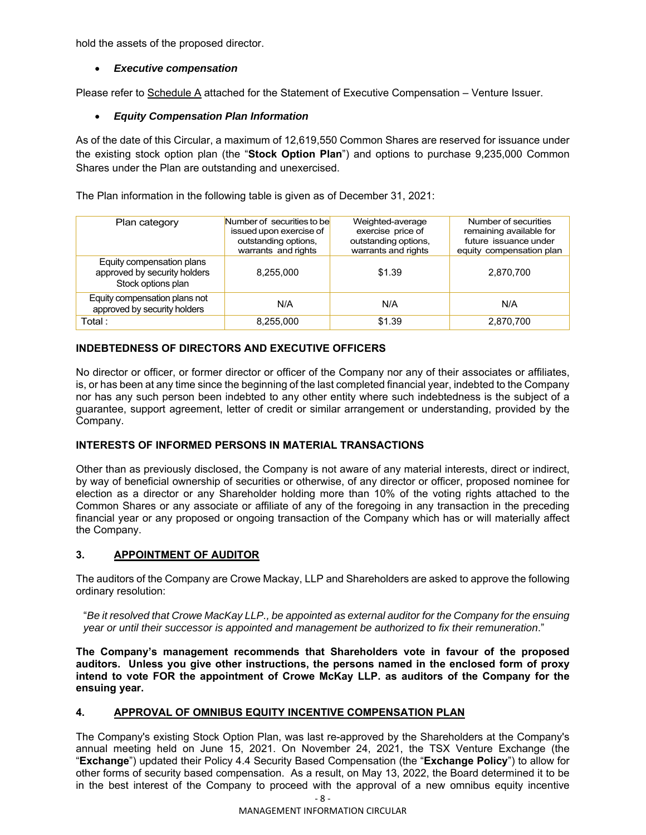hold the assets of the proposed director.

## *Executive compensation*

Please refer to Schedule A attached for the Statement of Executive Compensation - Venture Issuer.

## *Equity Compensation Plan Information*

As of the date of this Circular, a maximum of 12,619,550 Common Shares are reserved for issuance under the existing stock option plan (the "**Stock Option Plan**") and options to purchase 9,235,000 Common Shares under the Plan are outstanding and unexercised.

The Plan information in the following table is given as of December 31, 2021:

| Plan category                                                                   | Number of securities to be<br>issued upon exercise of<br>outstanding options,<br>warrants and rights | Weighted-average<br>exercise price of<br>outstanding options,<br>warrants and rights | Number of securities<br>remaining available for<br>future issuance under<br>equity compensation plan |
|---------------------------------------------------------------------------------|------------------------------------------------------------------------------------------------------|--------------------------------------------------------------------------------------|------------------------------------------------------------------------------------------------------|
| Equity compensation plans<br>approved by security holders<br>Stock options plan | 8,255,000                                                                                            | \$1.39                                                                               | 2,870,700                                                                                            |
| Equity compensation plans not<br>approved by security holders                   | N/A                                                                                                  | N/A                                                                                  | N/A                                                                                                  |
| Total :                                                                         | 8,255,000                                                                                            | \$1.39                                                                               | 2,870,700                                                                                            |

# **INDEBTEDNESS OF DIRECTORS AND EXECUTIVE OFFICERS**

No director or officer, or former director or officer of the Company nor any of their associates or affiliates, is, or has been at any time since the beginning of the last completed financial year, indebted to the Company nor has any such person been indebted to any other entity where such indebtedness is the subject of a guarantee, support agreement, letter of credit or similar arrangement or understanding, provided by the Company.

## **INTERESTS OF INFORMED PERSONS IN MATERIAL TRANSACTIONS**

Other than as previously disclosed, the Company is not aware of any material interests, direct or indirect, by way of beneficial ownership of securities or otherwise, of any director or officer, proposed nominee for election as a director or any Shareholder holding more than 10% of the voting rights attached to the Common Shares or any associate or affiliate of any of the foregoing in any transaction in the preceding financial year or any proposed or ongoing transaction of the Company which has or will materially affect the Company.

## **3. APPOINTMENT OF AUDITOR**

The auditors of the Company are Crowe Mackay, LLP and Shareholders are asked to approve the following ordinary resolution:

"*Be it resolved that Crowe MacKay LLP., be appointed as external auditor for the Company for the ensuing year or until their successor is appointed and management be authorized to fix their remuneration*."

**The Company's management recommends that Shareholders vote in favour of the proposed auditors. Unless you give other instructions, the persons named in the enclosed form of proxy intend to vote FOR the appointment of Crowe McKay LLP. as auditors of the Company for the ensuing year.** 

## **4. APPROVAL OF OMNIBUS EQUITY INCENTIVE COMPENSATION PLAN**

The Company's existing Stock Option Plan, was last re-approved by the Shareholders at the Company's annual meeting held on June 15, 2021. On November 24, 2021, the TSX Venture Exchange (the "**Exchange**") updated their Policy 4.4 Security Based Compensation (the "**Exchange Policy**") to allow for other forms of security based compensation. As a result, on May 13, 2022, the Board determined it to be in the best interest of the Company to proceed with the approval of a new omnibus equity incentive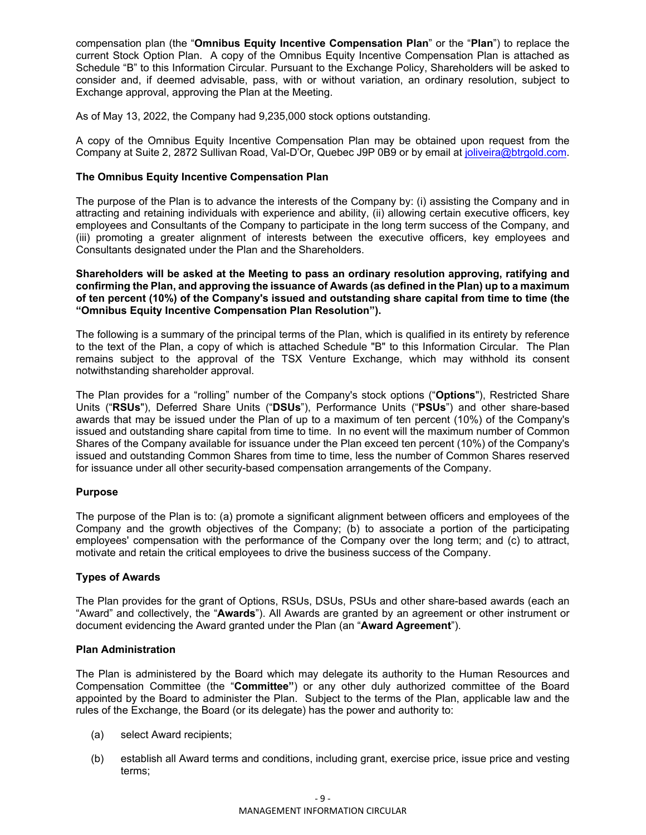compensation plan (the "**Omnibus Equity Incentive Compensation Plan**" or the "**Plan**") to replace the current Stock Option Plan. A copy of the Omnibus Equity Incentive Compensation Plan is attached as Schedule "B" to this Information Circular. Pursuant to the Exchange Policy, Shareholders will be asked to consider and, if deemed advisable, pass, with or without variation, an ordinary resolution, subject to Exchange approval, approving the Plan at the Meeting.

As of May 13, 2022, the Company had 9,235,000 stock options outstanding.

A copy of the Omnibus Equity Incentive Compensation Plan may be obtained upon request from the Company at Suite 2, 2872 Sullivan Road, Val-D'Or, Quebec J9P 0B9 or by email at joliveira@btrgold.com.

## **The Omnibus Equity Incentive Compensation Plan**

The purpose of the Plan is to advance the interests of the Company by: (i) assisting the Company and in attracting and retaining individuals with experience and ability, (ii) allowing certain executive officers, key employees and Consultants of the Company to participate in the long term success of the Company, and (iii) promoting a greater alignment of interests between the executive officers, key employees and Consultants designated under the Plan and the Shareholders.

**Shareholders will be asked at the Meeting to pass an ordinary resolution approving, ratifying and confirming the Plan, and approving the issuance of Awards (as defined in the Plan) up to a maximum of ten percent (10%) of the Company's issued and outstanding share capital from time to time (the "Omnibus Equity Incentive Compensation Plan Resolution").** 

The following is a summary of the principal terms of the Plan, which is qualified in its entirety by reference to the text of the Plan, a copy of which is attached Schedule "B" to this Information Circular. The Plan remains subject to the approval of the TSX Venture Exchange, which may withhold its consent notwithstanding shareholder approval.

The Plan provides for a "rolling" number of the Company's stock options ("**Options**"), Restricted Share Units ("**RSUs**"), Deferred Share Units ("**DSUs**"), Performance Units ("**PSUs**") and other share-based awards that may be issued under the Plan of up to a maximum of ten percent (10%) of the Company's issued and outstanding share capital from time to time. In no event will the maximum number of Common Shares of the Company available for issuance under the Plan exceed ten percent (10%) of the Company's issued and outstanding Common Shares from time to time, less the number of Common Shares reserved for issuance under all other security-based compensation arrangements of the Company.

#### **Purpose**

The purpose of the Plan is to: (a) promote a significant alignment between officers and employees of the Company and the growth objectives of the Company; (b) to associate a portion of the participating employees' compensation with the performance of the Company over the long term; and (c) to attract, motivate and retain the critical employees to drive the business success of the Company.

## **Types of Awards**

The Plan provides for the grant of Options, RSUs, DSUs, PSUs and other share-based awards (each an "Award" and collectively, the "**Awards**"). All Awards are granted by an agreement or other instrument or document evidencing the Award granted under the Plan (an "**Award Agreement**").

## **Plan Administration**

The Plan is administered by the Board which may delegate its authority to the Human Resources and Compensation Committee (the "**Committee"**) or any other duly authorized committee of the Board appointed by the Board to administer the Plan. Subject to the terms of the Plan, applicable law and the rules of the Exchange, the Board (or its delegate) has the power and authority to:

- (a) select Award recipients;
- (b) establish all Award terms and conditions, including grant, exercise price, issue price and vesting terms;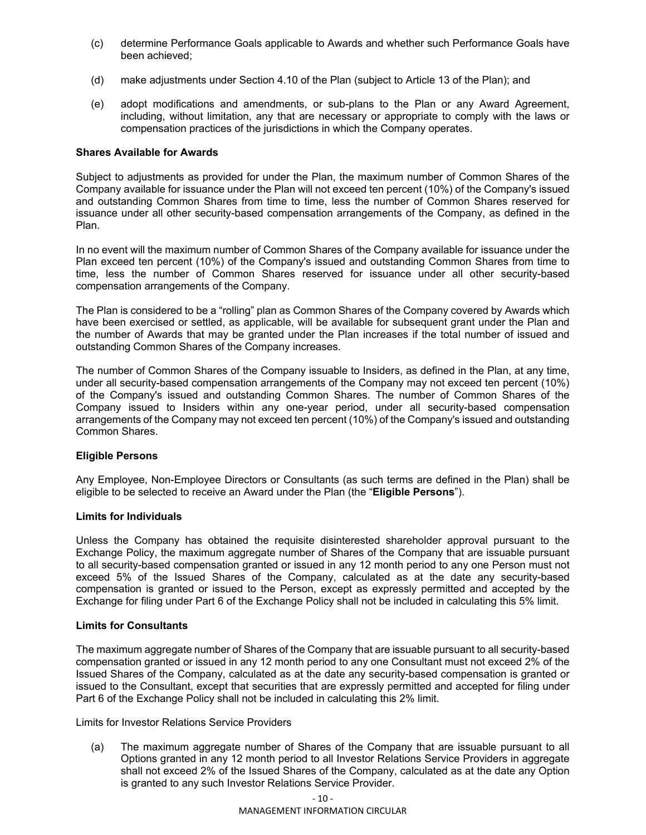- (c) determine Performance Goals applicable to Awards and whether such Performance Goals have been achieved;
- (d) make adjustments under Section 4.10 of the Plan (subject to Article 13 of the Plan); and
- (e) adopt modifications and amendments, or sub-plans to the Plan or any Award Agreement, including, without limitation, any that are necessary or appropriate to comply with the laws or compensation practices of the jurisdictions in which the Company operates.

#### **Shares Available for Awards**

Subject to adjustments as provided for under the Plan, the maximum number of Common Shares of the Company available for issuance under the Plan will not exceed ten percent (10%) of the Company's issued and outstanding Common Shares from time to time, less the number of Common Shares reserved for issuance under all other security-based compensation arrangements of the Company, as defined in the Plan.

In no event will the maximum number of Common Shares of the Company available for issuance under the Plan exceed ten percent (10%) of the Company's issued and outstanding Common Shares from time to time, less the number of Common Shares reserved for issuance under all other security-based compensation arrangements of the Company.

The Plan is considered to be a "rolling" plan as Common Shares of the Company covered by Awards which have been exercised or settled, as applicable, will be available for subsequent grant under the Plan and the number of Awards that may be granted under the Plan increases if the total number of issued and outstanding Common Shares of the Company increases.

The number of Common Shares of the Company issuable to Insiders, as defined in the Plan, at any time, under all security-based compensation arrangements of the Company may not exceed ten percent (10%) of the Company's issued and outstanding Common Shares. The number of Common Shares of the Company issued to Insiders within any one-year period, under all security-based compensation arrangements of the Company may not exceed ten percent (10%) of the Company's issued and outstanding Common Shares.

#### **Eligible Persons**

Any Employee, Non-Employee Directors or Consultants (as such terms are defined in the Plan) shall be eligible to be selected to receive an Award under the Plan (the "**Eligible Persons**").

#### **Limits for Individuals**

Unless the Company has obtained the requisite disinterested shareholder approval pursuant to the Exchange Policy, the maximum aggregate number of Shares of the Company that are issuable pursuant to all security-based compensation granted or issued in any 12 month period to any one Person must not exceed 5% of the Issued Shares of the Company, calculated as at the date any security-based compensation is granted or issued to the Person, except as expressly permitted and accepted by the Exchange for filing under Part 6 of the Exchange Policy shall not be included in calculating this 5% limit.

#### **Limits for Consultants**

The maximum aggregate number of Shares of the Company that are issuable pursuant to all security-based compensation granted or issued in any 12 month period to any one Consultant must not exceed 2% of the Issued Shares of the Company, calculated as at the date any security-based compensation is granted or issued to the Consultant, except that securities that are expressly permitted and accepted for filing under Part 6 of the Exchange Policy shall not be included in calculating this 2% limit.

Limits for Investor Relations Service Providers

(a) The maximum aggregate number of Shares of the Company that are issuable pursuant to all Options granted in any 12 month period to all Investor Relations Service Providers in aggregate shall not exceed 2% of the Issued Shares of the Company, calculated as at the date any Option is granted to any such Investor Relations Service Provider.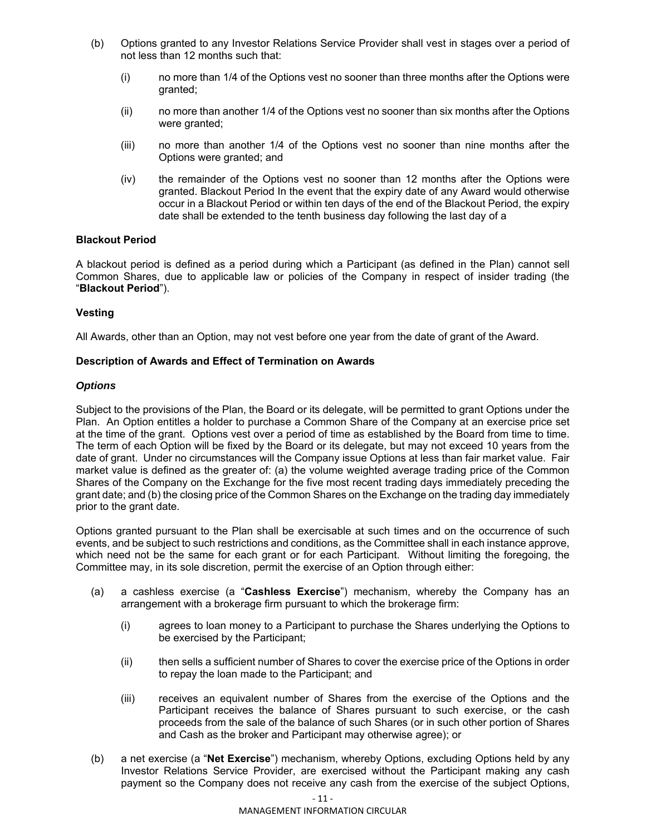- (b) Options granted to any Investor Relations Service Provider shall vest in stages over a period of not less than 12 months such that:
	- (i) no more than 1/4 of the Options vest no sooner than three months after the Options were granted;
	- (ii) no more than another 1/4 of the Options vest no sooner than six months after the Options were granted;
	- (iii) no more than another 1/4 of the Options vest no sooner than nine months after the Options were granted; and
	- (iv) the remainder of the Options vest no sooner than 12 months after the Options were granted. Blackout Period In the event that the expiry date of any Award would otherwise occur in a Blackout Period or within ten days of the end of the Blackout Period, the expiry date shall be extended to the tenth business day following the last day of a

## **Blackout Period**

A blackout period is defined as a period during which a Participant (as defined in the Plan) cannot sell Common Shares, due to applicable law or policies of the Company in respect of insider trading (the "**Blackout Period**").

## **Vesting**

All Awards, other than an Option, may not vest before one year from the date of grant of the Award.

## **Description of Awards and Effect of Termination on Awards**

## *Options*

Subject to the provisions of the Plan, the Board or its delegate, will be permitted to grant Options under the Plan. An Option entitles a holder to purchase a Common Share of the Company at an exercise price set at the time of the grant. Options vest over a period of time as established by the Board from time to time. The term of each Option will be fixed by the Board or its delegate, but may not exceed 10 years from the date of grant. Under no circumstances will the Company issue Options at less than fair market value. Fair market value is defined as the greater of: (a) the volume weighted average trading price of the Common Shares of the Company on the Exchange for the five most recent trading days immediately preceding the grant date; and (b) the closing price of the Common Shares on the Exchange on the trading day immediately prior to the grant date.

Options granted pursuant to the Plan shall be exercisable at such times and on the occurrence of such events, and be subject to such restrictions and conditions, as the Committee shall in each instance approve, which need not be the same for each grant or for each Participant. Without limiting the foregoing, the Committee may, in its sole discretion, permit the exercise of an Option through either:

- (a) a cashless exercise (a "**Cashless Exercise**") mechanism, whereby the Company has an arrangement with a brokerage firm pursuant to which the brokerage firm:
	- (i) agrees to loan money to a Participant to purchase the Shares underlying the Options to be exercised by the Participant;
	- (ii) then sells a sufficient number of Shares to cover the exercise price of the Options in order to repay the loan made to the Participant; and
	- (iii) receives an equivalent number of Shares from the exercise of the Options and the Participant receives the balance of Shares pursuant to such exercise, or the cash proceeds from the sale of the balance of such Shares (or in such other portion of Shares and Cash as the broker and Participant may otherwise agree); or
- (b) a net exercise (a "**Net Exercise**") mechanism, whereby Options, excluding Options held by any Investor Relations Service Provider, are exercised without the Participant making any cash payment so the Company does not receive any cash from the exercise of the subject Options,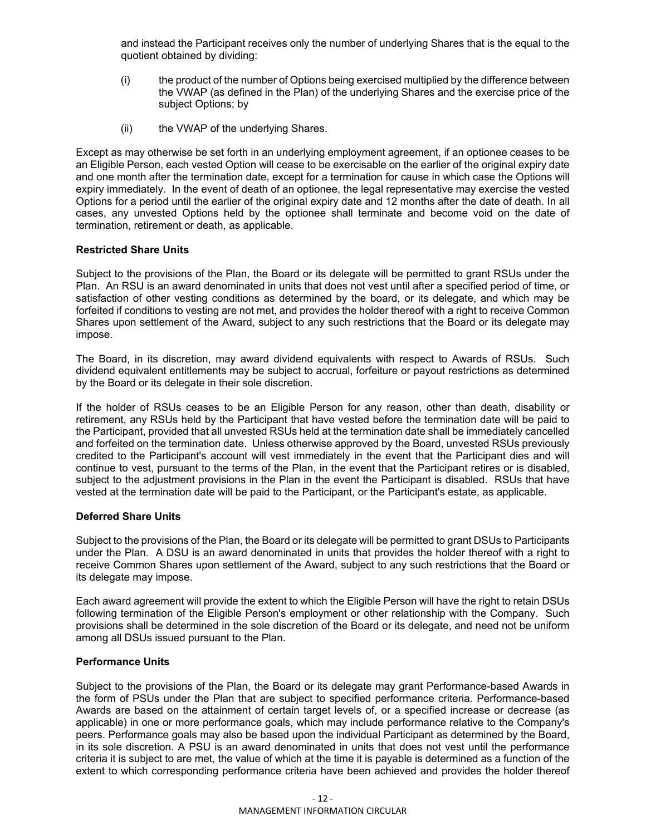and instead the Participant receives only the number of underlying Shares that is the equal to the quotient obtained by dividing:

- (i) the product of the number of Options being exercised multiplied by the difference between the VWAP (as defined in the Plan) of the underlying Shares and the exercise price of the subject Options; by
- (ii) the VWAP of the underlying Shares.

Except as may otherwise be set forth in an underlying employment agreement, if an optionee ceases to be an Eligible Person, each vested Option will cease to be exercisable on the earlier of the original expiry date and one month after the termination date, except for a termination for cause in which case the Options will expiry immediately. In the event of death of an optionee, the legal representative may exercise the vested Options for a period until the earlier of the original expiry date and 12 months after the date of death. In all cases, any unvested Options held by the optionee shall terminate and become void on the date of termination, retirement or death, as applicable.

#### **Restricted Share Units**

Subject to the provisions of the Plan, the Board or its delegate will be permitted to grant RSUs under the Plan. An RSU is an award denominated in units that does not vest until after a specified period of time, or satisfaction of other vesting conditions as determined by the board, or its delegate, and which may be forfeited if conditions to vesting are not met, and provides the holder thereof with a right to receive Common Shares upon settlement of the Award, subject to any such restrictions that the Board or its delegate may impose.

The Board, in its discretion, may award dividend equivalents with respect to Awards of RSUs. Such dividend equivalent entitlements may be subject to accrual, forfeiture or payout restrictions as determined by the Board or its delegate in their sole discretion.

If the holder of RSUs ceases to be an Eligible Person for any reason, other than death, disability or retirement, any RSUs held by the Participant that have vested before the termination date will be paid to the Participant, provided that all unvested RSUs held at the termination date shall be immediately cancelled and forfeited on the termination date. Unless otherwise approved by the Board, unvested RSUs previously credited to the Participant's account will vest immediately in the event that the Participant dies and will continue to vest, pursuant to the terms of the Plan, in the event that the Participant retires or is disabled, subject to the adjustment provisions in the Plan in the event the Participant is disabled. RSUs that have vested at the termination date will be paid to the Participant, or the Participant's estate, as applicable.

## **Deferred Share Units**

Subject to the provisions of the Plan, the Board or its delegate will be permitted to grant DSUs to Participants under the Plan. A DSU is an award denominated in units that provides the holder thereof with a right to receive Common Shares upon settlement of the Award, subject to any such restrictions that the Board or its delegate may impose.

Each award agreement will provide the extent to which the Eligible Person will have the right to retain DSUs following termination of the Eligible Person's employment or other relationship with the Company. Such provisions shall be determined in the sole discretion of the Board or its delegate, and need not be uniform among all DSUs issued pursuant to the Plan.

#### **Performance Units**

Subject to the provisions of the Plan, the Board or its delegate may grant Performance-based Awards in the form of PSUs under the Plan that are subject to specified performance criteria. Performance-based Awards are based on the attainment of certain target levels of, or a specified increase or decrease (as applicable) in one or more performance goals, which may include performance relative to the Company's peers. Performance goals may also be based upon the individual Participant as determined by the Board, in its sole discretion. A PSU is an award denominated in units that does not vest until the performance criteria it is subject to are met, the value of which at the time it is payable is determined as a function of the extent to which corresponding performance criteria have been achieved and provides the holder thereof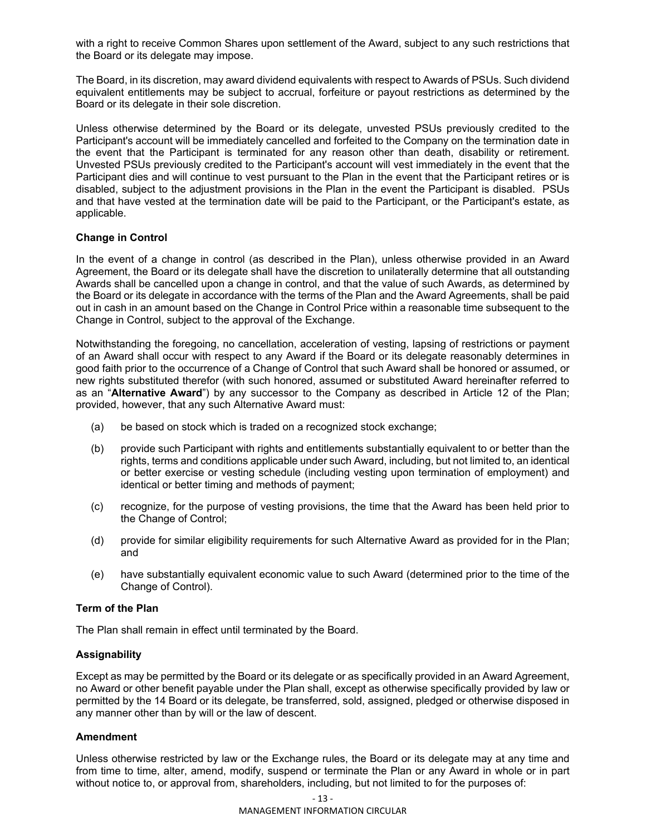with a right to receive Common Shares upon settlement of the Award, subject to any such restrictions that the Board or its delegate may impose.

The Board, in its discretion, may award dividend equivalents with respect to Awards of PSUs. Such dividend equivalent entitlements may be subject to accrual, forfeiture or payout restrictions as determined by the Board or its delegate in their sole discretion.

Unless otherwise determined by the Board or its delegate, unvested PSUs previously credited to the Participant's account will be immediately cancelled and forfeited to the Company on the termination date in the event that the Participant is terminated for any reason other than death, disability or retirement. Unvested PSUs previously credited to the Participant's account will vest immediately in the event that the Participant dies and will continue to vest pursuant to the Plan in the event that the Participant retires or is disabled, subject to the adjustment provisions in the Plan in the event the Participant is disabled. PSUs and that have vested at the termination date will be paid to the Participant, or the Participant's estate, as applicable.

## **Change in Control**

In the event of a change in control (as described in the Plan), unless otherwise provided in an Award Agreement, the Board or its delegate shall have the discretion to unilaterally determine that all outstanding Awards shall be cancelled upon a change in control, and that the value of such Awards, as determined by the Board or its delegate in accordance with the terms of the Plan and the Award Agreements, shall be paid out in cash in an amount based on the Change in Control Price within a reasonable time subsequent to the Change in Control, subject to the approval of the Exchange.

Notwithstanding the foregoing, no cancellation, acceleration of vesting, lapsing of restrictions or payment of an Award shall occur with respect to any Award if the Board or its delegate reasonably determines in good faith prior to the occurrence of a Change of Control that such Award shall be honored or assumed, or new rights substituted therefor (with such honored, assumed or substituted Award hereinafter referred to as an "**Alternative Award**") by any successor to the Company as described in Article 12 of the Plan; provided, however, that any such Alternative Award must:

- (a) be based on stock which is traded on a recognized stock exchange;
- (b) provide such Participant with rights and entitlements substantially equivalent to or better than the rights, terms and conditions applicable under such Award, including, but not limited to, an identical or better exercise or vesting schedule (including vesting upon termination of employment) and identical or better timing and methods of payment;
- (c) recognize, for the purpose of vesting provisions, the time that the Award has been held prior to the Change of Control;
- (d) provide for similar eligibility requirements for such Alternative Award as provided for in the Plan; and
- (e) have substantially equivalent economic value to such Award (determined prior to the time of the Change of Control).

## **Term of the Plan**

The Plan shall remain in effect until terminated by the Board.

#### **Assignability**

Except as may be permitted by the Board or its delegate or as specifically provided in an Award Agreement, no Award or other benefit payable under the Plan shall, except as otherwise specifically provided by law or permitted by the 14 Board or its delegate, be transferred, sold, assigned, pledged or otherwise disposed in any manner other than by will or the law of descent.

#### **Amendment**

Unless otherwise restricted by law or the Exchange rules, the Board or its delegate may at any time and from time to time, alter, amend, modify, suspend or terminate the Plan or any Award in whole or in part without notice to, or approval from, shareholders, including, but not limited to for the purposes of: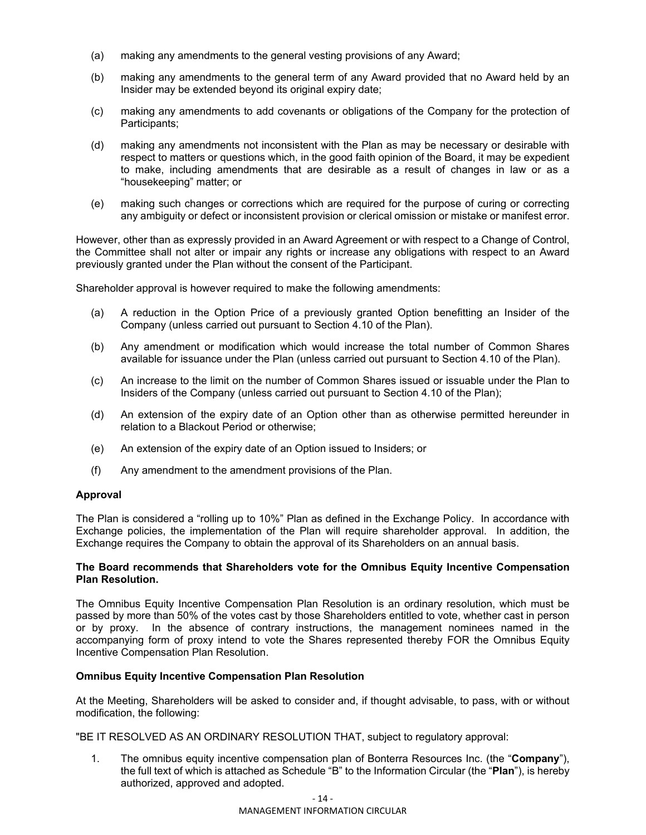- (a) making any amendments to the general vesting provisions of any Award;
- (b) making any amendments to the general term of any Award provided that no Award held by an Insider may be extended beyond its original expiry date;
- (c) making any amendments to add covenants or obligations of the Company for the protection of Participants;
- (d) making any amendments not inconsistent with the Plan as may be necessary or desirable with respect to matters or questions which, in the good faith opinion of the Board, it may be expedient to make, including amendments that are desirable as a result of changes in law or as a "housekeeping" matter; or
- (e) making such changes or corrections which are required for the purpose of curing or correcting any ambiguity or defect or inconsistent provision or clerical omission or mistake or manifest error.

However, other than as expressly provided in an Award Agreement or with respect to a Change of Control, the Committee shall not alter or impair any rights or increase any obligations with respect to an Award previously granted under the Plan without the consent of the Participant.

Shareholder approval is however required to make the following amendments:

- (a) A reduction in the Option Price of a previously granted Option benefitting an Insider of the Company (unless carried out pursuant to Section 4.10 of the Plan).
- (b) Any amendment or modification which would increase the total number of Common Shares available for issuance under the Plan (unless carried out pursuant to Section 4.10 of the Plan).
- (c) An increase to the limit on the number of Common Shares issued or issuable under the Plan to Insiders of the Company (unless carried out pursuant to Section 4.10 of the Plan);
- (d) An extension of the expiry date of an Option other than as otherwise permitted hereunder in relation to a Blackout Period or otherwise;
- (e) An extension of the expiry date of an Option issued to Insiders; or
- (f) Any amendment to the amendment provisions of the Plan.

#### **Approval**

The Plan is considered a "rolling up to 10%" Plan as defined in the Exchange Policy. In accordance with Exchange policies, the implementation of the Plan will require shareholder approval. In addition, the Exchange requires the Company to obtain the approval of its Shareholders on an annual basis.

#### **The Board recommends that Shareholders vote for the Omnibus Equity Incentive Compensation Plan Resolution.**

The Omnibus Equity Incentive Compensation Plan Resolution is an ordinary resolution, which must be passed by more than 50% of the votes cast by those Shareholders entitled to vote, whether cast in person or by proxy. In the absence of contrary instructions, the management nominees named in the accompanying form of proxy intend to vote the Shares represented thereby FOR the Omnibus Equity Incentive Compensation Plan Resolution.

#### **Omnibus Equity Incentive Compensation Plan Resolution**

At the Meeting, Shareholders will be asked to consider and, if thought advisable, to pass, with or without modification, the following:

"BE IT RESOLVED AS AN ORDINARY RESOLUTION THAT, subject to regulatory approval:

1. The omnibus equity incentive compensation plan of Bonterra Resources Inc. (the "**Company**"), the full text of which is attached as Schedule "B" to the Information Circular (the "**Plan**"), is hereby authorized, approved and adopted.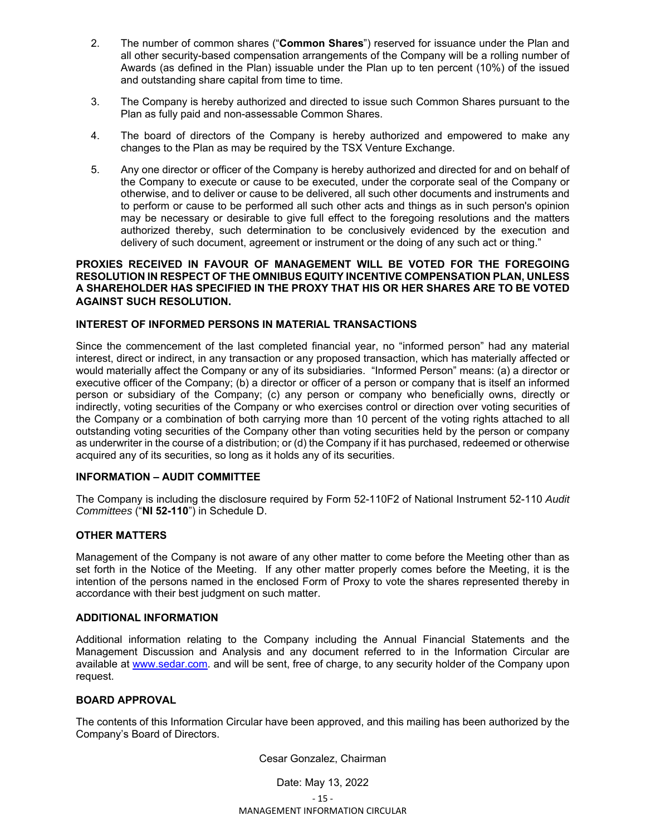- 2. The number of common shares ("**Common Shares**") reserved for issuance under the Plan and all other security-based compensation arrangements of the Company will be a rolling number of Awards (as defined in the Plan) issuable under the Plan up to ten percent (10%) of the issued and outstanding share capital from time to time.
- 3. The Company is hereby authorized and directed to issue such Common Shares pursuant to the Plan as fully paid and non-assessable Common Shares.
- 4. The board of directors of the Company is hereby authorized and empowered to make any changes to the Plan as may be required by the TSX Venture Exchange.
- 5. Any one director or officer of the Company is hereby authorized and directed for and on behalf of the Company to execute or cause to be executed, under the corporate seal of the Company or otherwise, and to deliver or cause to be delivered, all such other documents and instruments and to perform or cause to be performed all such other acts and things as in such person's opinion may be necessary or desirable to give full effect to the foregoing resolutions and the matters authorized thereby, such determination to be conclusively evidenced by the execution and delivery of such document, agreement or instrument or the doing of any such act or thing."

#### **PROXIES RECEIVED IN FAVOUR OF MANAGEMENT WILL BE VOTED FOR THE FOREGOING RESOLUTION IN RESPECT OF THE OMNIBUS EQUITY INCENTIVE COMPENSATION PLAN, UNLESS A SHAREHOLDER HAS SPECIFIED IN THE PROXY THAT HIS OR HER SHARES ARE TO BE VOTED AGAINST SUCH RESOLUTION.**

## **INTEREST OF INFORMED PERSONS IN MATERIAL TRANSACTIONS**

Since the commencement of the last completed financial year, no "informed person" had any material interest, direct or indirect, in any transaction or any proposed transaction, which has materially affected or would materially affect the Company or any of its subsidiaries. "Informed Person" means: (a) a director or executive officer of the Company; (b) a director or officer of a person or company that is itself an informed person or subsidiary of the Company; (c) any person or company who beneficially owns, directly or indirectly, voting securities of the Company or who exercises control or direction over voting securities of the Company or a combination of both carrying more than 10 percent of the voting rights attached to all outstanding voting securities of the Company other than voting securities held by the person or company as underwriter in the course of a distribution; or (d) the Company if it has purchased, redeemed or otherwise acquired any of its securities, so long as it holds any of its securities.

## **INFORMATION – AUDIT COMMITTEE**

The Company is including the disclosure required by Form 52-110F2 of National Instrument 52-110 *Audit Committees* ("**NI 52-110**") in Schedule D.

#### **OTHER MATTERS**

Management of the Company is not aware of any other matter to come before the Meeting other than as set forth in the Notice of the Meeting. If any other matter properly comes before the Meeting, it is the intention of the persons named in the enclosed Form of Proxy to vote the shares represented thereby in accordance with their best judgment on such matter.

#### **ADDITIONAL INFORMATION**

Additional information relating to the Company including the Annual Financial Statements and the Management Discussion and Analysis and any document referred to in the Information Circular are available at www.sedar.com. and will be sent, free of charge, to any security holder of the Company upon request.

#### **BOARD APPROVAL**

The contents of this Information Circular have been approved, and this mailing has been authorized by the Company's Board of Directors.

Cesar Gonzalez, Chairman

 $-15 -$ MANAGEMENT INFORMATION CIRCULAR Date: May 13, 2022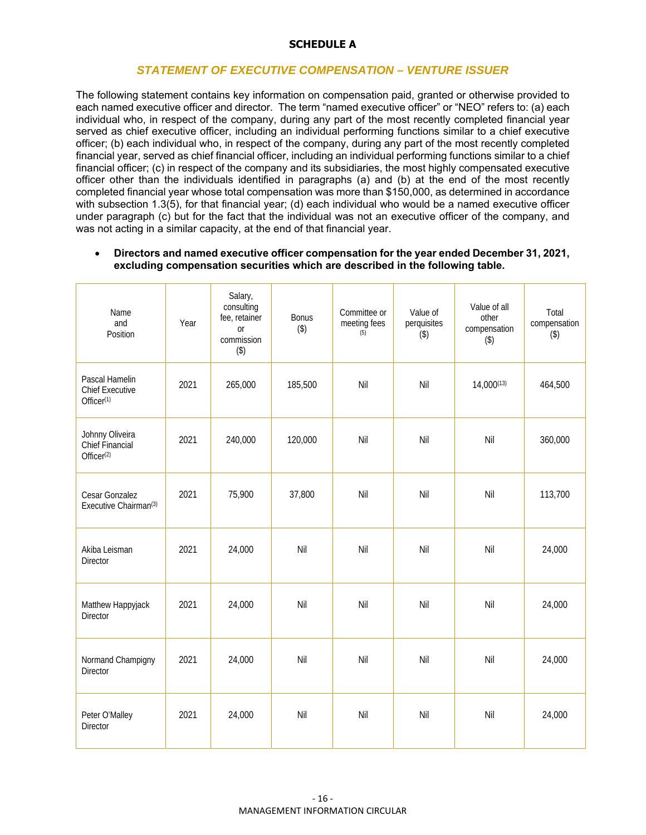## **SCHEDULE A**

# *STATEMENT OF EXECUTIVE COMPENSATION – VENTURE ISSUER*

The following statement contains key information on compensation paid, granted or otherwise provided to each named executive officer and director. The term "named executive officer" or "NEO" refers to: (a) each individual who, in respect of the company, during any part of the most recently completed financial year served as chief executive officer, including an individual performing functions similar to a chief executive officer; (b) each individual who, in respect of the company, during any part of the most recently completed financial year, served as chief financial officer, including an individual performing functions similar to a chief financial officer; (c) in respect of the company and its subsidiaries, the most highly compensated executive officer other than the individuals identified in paragraphs (a) and (b) at the end of the most recently completed financial year whose total compensation was more than \$150,000, as determined in accordance with subsection 1.3(5), for that financial year; (d) each individual who would be a named executive officer under paragraph (c) but for the fact that the individual was not an executive officer of the company, and was not acting in a similar capacity, at the end of that financial year.

#### **Directors and named executive officer compensation for the year ended December 31, 2021, excluding compensation securities which are described in the following table.**

| Name<br>and<br>Position                                            | Year | Salary,<br>consulting<br>fee, retainer<br>or<br>commission<br>$($ \$) | <b>Bonus</b><br>$($ \$) | Committee or<br>meeting fees<br>(5) | Value of<br>perquisites<br>$($ \$) | Value of all<br>other<br>compensation<br>$($ \$) | Total<br>compensation<br>$($ \$) |
|--------------------------------------------------------------------|------|-----------------------------------------------------------------------|-------------------------|-------------------------------------|------------------------------------|--------------------------------------------------|----------------------------------|
| Pascal Hamelin<br><b>Chief Executive</b><br>Officer <sup>(1)</sup> | 2021 | 265,000                                                               | 185,500                 | Nil                                 | Nil                                | $14,000^{(13)}$                                  | 464,500                          |
| Johnny Oliveira<br>Chief Financial<br>Officer <sup>(2)</sup>       | 2021 | 240,000                                                               | 120,000                 | Nil                                 | Nil                                | Nil                                              | 360,000                          |
| Cesar Gonzalez<br>Executive Chairman <sup>(3)</sup>                | 2021 | 75,900                                                                | 37,800                  | Nil                                 | Nil                                | Nil                                              | 113,700                          |
| Akiba Leisman<br><b>Director</b>                                   | 2021 | 24,000                                                                | Nil                     | Nil                                 | Nil                                | Nil                                              | 24,000                           |
| Matthew Happyjack<br><b>Director</b>                               | 2021 | 24,000                                                                | Nil                     | Nil                                 | Nil                                | Nil                                              | 24,000                           |
| Normand Champigny<br>Director                                      | 2021 | 24,000                                                                | Nil                     | Nil                                 | Nil                                | Nil                                              | 24,000                           |
| Peter O'Malley<br>Director                                         | 2021 | 24,000                                                                | Nil                     | Nil                                 | Nil                                | Nil                                              | 24,000                           |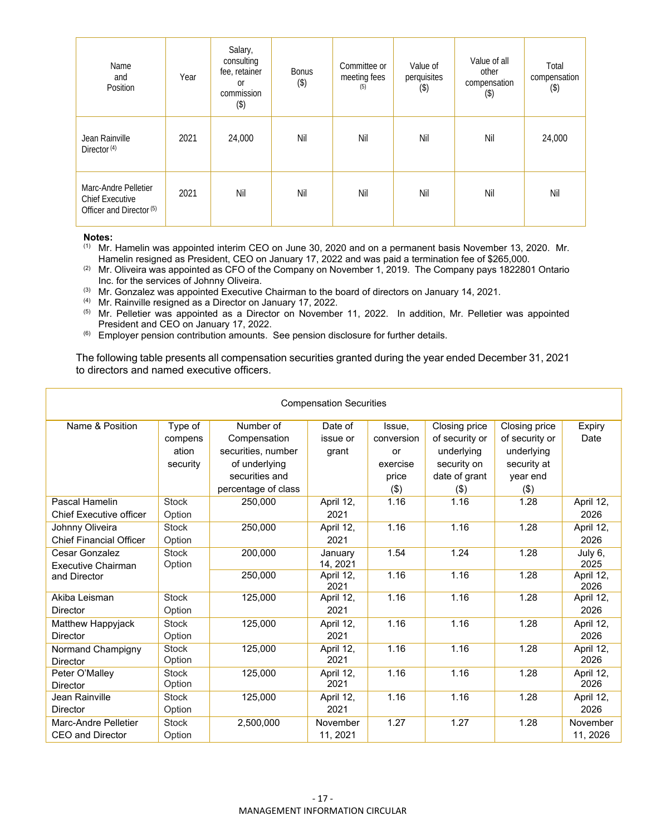| Name<br>and<br>Position                                                               | Year | Salary,<br>consulting<br>fee, retainer<br><sub>or</sub><br>commission<br>$($ \$) | Bonus<br>$($ \$) | Committee or<br>meeting fees<br>(5) | Value of<br>perquisites<br>$($ \$) | Value of all<br>other<br>compensation<br>$(\$)$ | Total<br>compensation<br>$($ \$) |
|---------------------------------------------------------------------------------------|------|----------------------------------------------------------------------------------|------------------|-------------------------------------|------------------------------------|-------------------------------------------------|----------------------------------|
| Jean Rainville<br>Director <sup>(4)</sup>                                             | 2021 | 24,000                                                                           | Nil              | Nil                                 | Nil                                | Nil                                             | 24,000                           |
| Marc-Andre Pelletier<br><b>Chief Executive</b><br>Officer and Director <sup>(5)</sup> | 2021 | Nil                                                                              | Nil              | Nil                                 | Nil                                | Nil                                             | Nil                              |

**Notes:** 

(1) Mr. Hamelin was appointed interim CEO on June 30, 2020 and on a permanent basis November 13, 2020. Mr. Hamelin resigned as President, CEO on January 17, 2022 and was paid a termination fee of \$265,000.

- (2) Mr. Oliveira was appointed as CFO of the Company on November 1, 2019. The Company pays 1822801 Ontario Inc. for the services of Johnny Oliveira.
- (3) Mr. Gonzalez was appointed Executive Chairman to the board of directors on January 14, 2021.
- $(4)$  Mr. Rainville resigned as a Director on January 17, 2022.
- (5) Mr. Pelletier was appointed as a Director on November 11, 2022. In addition, Mr. Pelletier was appointed President and CEO on January 17, 2022.
- (6) Employer pension contribution amounts. See pension disclosure for further details.

The following table presents all compensation securities granted during the year ended December 31, 2021 to directors and named executive officers.

| <b>Compensation Securities</b> |              |                     |                   |            |                |                |                   |  |  |  |  |
|--------------------------------|--------------|---------------------|-------------------|------------|----------------|----------------|-------------------|--|--|--|--|
| Name & Position                | Type of      | Number of           | Date of           | Issue.     | Closing price  | Closing price  | Expiry            |  |  |  |  |
|                                | compens      | Compensation        | issue or          | conversion | of security or | of security or | Date              |  |  |  |  |
|                                | ation        | securities, number  | grant             | or         | underlying     | underlying     |                   |  |  |  |  |
|                                | security     | of underlying       |                   | exercise   | security on    | security at    |                   |  |  |  |  |
|                                |              | securities and      |                   | price      | date of grant  | year end       |                   |  |  |  |  |
|                                |              | percentage of class |                   | (3)        | (3)            | $($ \$)        |                   |  |  |  |  |
| Pascal Hamelin                 | Stock        | 250,000             | April 12,         | 1.16       | 1.16           | 1.28           | April 12,         |  |  |  |  |
| Chief Executive officer        | Option       |                     | 2021              |            |                |                | 2026              |  |  |  |  |
| Johnny Oliveira                | <b>Stock</b> | 250,000             | April 12,         | 1.16       | 1.16           | 1.28           | April 12,         |  |  |  |  |
| <b>Chief Financial Officer</b> | Option       |                     | 2021              |            |                |                | 2026              |  |  |  |  |
| Cesar Gonzalez                 | <b>Stock</b> | 200.000             | Januarv           | 1.54       | 1.24           | 1.28           | July 6,           |  |  |  |  |
| <b>Executive Chairman</b>      | Option       |                     | 14, 2021          |            |                |                | 2025              |  |  |  |  |
| and Director                   |              | 250,000             | April 12,<br>2021 | 1.16       | 1.16           | 1.28           | April 12,<br>2026 |  |  |  |  |
| Akiba Leisman                  | <b>Stock</b> | 125.000             | April 12,         | 1.16       | 1.16           | 1.28           | April 12,         |  |  |  |  |
| <b>Director</b>                | Option       |                     | 2021              |            |                |                | 2026              |  |  |  |  |
| Matthew Happyjack              | <b>Stock</b> | 125,000             | April 12,         | 1.16       | 1.16           | 1.28           | April 12,         |  |  |  |  |
| <b>Director</b>                | Option       |                     | 2021              |            |                |                | 2026              |  |  |  |  |
| Normand Champigny              | <b>Stock</b> | 125,000             | April 12,         | 1.16       | 1.16           | 1.28           | April 12,         |  |  |  |  |
| <b>Director</b>                | Option       |                     | 2021              |            |                |                | 2026              |  |  |  |  |
| Peter O'Malley                 | <b>Stock</b> | 125.000             | April 12,         | 1.16       | 1.16           | 1.28           | April 12,         |  |  |  |  |
| <b>Director</b>                | Option       |                     | 2021              |            |                |                | 2026              |  |  |  |  |
| Jean Rainville                 | <b>Stock</b> | 125.000             | April 12,         | 1.16       | 1.16           | 1.28           | April 12,         |  |  |  |  |
| <b>Director</b>                | Option       |                     | 2021              |            |                |                | 2026              |  |  |  |  |
| Marc-Andre Pelletier           | <b>Stock</b> | 2,500,000           | November          | 1.27       | 1.27           | 1.28           | November          |  |  |  |  |
| <b>CEO and Director</b>        | Option       |                     | 11, 2021          |            |                |                | 11, 2026          |  |  |  |  |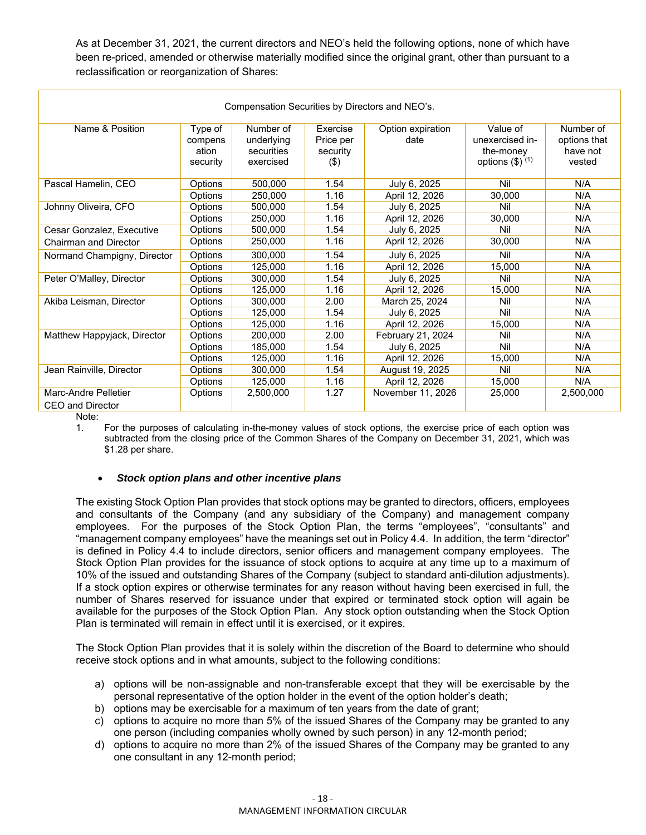As at December 31, 2021, the current directors and NEO's held the following options, none of which have been re-priced, amended or otherwise materially modified since the original grant, other than pursuant to a reclassification or reorganization of Shares:

| Compensation Securities by Directors and NEO's. |                                         |                                                    |                                          |                           |                                                                  |                                                 |  |  |  |  |  |
|-------------------------------------------------|-----------------------------------------|----------------------------------------------------|------------------------------------------|---------------------------|------------------------------------------------------------------|-------------------------------------------------|--|--|--|--|--|
| Name & Position                                 | Type of<br>compens<br>ation<br>security | Number of<br>underlying<br>securities<br>exercised | Exercise<br>Price per<br>security<br>(3) | Option expiration<br>date | Value of<br>unexercised in-<br>the-money<br>options $(\$)$ $(1)$ | Number of<br>options that<br>have not<br>vested |  |  |  |  |  |
| Pascal Hamelin, CEO                             | Options                                 | 500,000                                            | 1.54                                     | July 6, 2025              | Nil                                                              | N/A                                             |  |  |  |  |  |
|                                                 | Options                                 | 250,000                                            | 1.16                                     | April 12, 2026            | 30,000                                                           | N/A                                             |  |  |  |  |  |
| Johnny Oliveira, CFO                            | Options                                 | 500.000                                            | 1.54                                     | July 6, 2025              | Nil                                                              | N/A                                             |  |  |  |  |  |
|                                                 | Options                                 | 250,000                                            | 1.16                                     | April 12, 2026            | 30,000                                                           | N/A                                             |  |  |  |  |  |
| Cesar Gonzalez, Executive                       | Options                                 | 500.000                                            | 1.54                                     | July 6, 2025              | Nil                                                              | N/A                                             |  |  |  |  |  |
| <b>Chairman and Director</b>                    | Options                                 | 250,000                                            | 1.16                                     | April 12, 2026            | 30,000                                                           | N/A                                             |  |  |  |  |  |
| Normand Champigny, Director                     | Options                                 | 300,000                                            | 1.54                                     | July 6, 2025              | Nil                                                              | N/A                                             |  |  |  |  |  |
|                                                 | Options                                 | 125.000                                            | 1.16                                     | April 12, 2026            | 15.000                                                           | N/A                                             |  |  |  |  |  |
| Peter O'Malley, Director                        | Options                                 | 300.000                                            | 1.54                                     | July 6, 2025              | Nil                                                              | N/A                                             |  |  |  |  |  |
|                                                 | Options                                 | 125.000                                            | 1.16                                     | April 12, 2026            | 15,000                                                           | N/A                                             |  |  |  |  |  |
| Akiba Leisman, Director                         | Options                                 | 300.000                                            | 2.00                                     | March 25, 2024            | Nil                                                              | N/A                                             |  |  |  |  |  |
|                                                 | Options                                 | 125.000                                            | 1.54                                     | July 6, 2025              | Nil                                                              | N/A                                             |  |  |  |  |  |
| Matthew Happyjack, Director                     | Options                                 | 125.000                                            | 1.16                                     | April 12, 2026            | 15,000                                                           | N/A                                             |  |  |  |  |  |
|                                                 | Options                                 | 200.000                                            | 2.00                                     | February 21, 2024         | Nil                                                              | N/A                                             |  |  |  |  |  |
|                                                 | Options                                 | 185.000                                            | 1.54                                     | July 6, 2025              | Nil                                                              | N/A                                             |  |  |  |  |  |
|                                                 | Options                                 | 125.000                                            | 1.16                                     | April 12, 2026            | 15,000                                                           | N/A                                             |  |  |  |  |  |
| Jean Rainville, Director                        | Options                                 | 300,000                                            | 1.54                                     | August 19, 2025           | Nil                                                              | N/A                                             |  |  |  |  |  |
|                                                 | Options                                 | 125,000                                            | 1.16                                     | April 12, 2026            | 15,000                                                           | N/A                                             |  |  |  |  |  |
| Marc-Andre Pelletier<br>CEO and Director        | Options                                 | 2,500,000                                          | 1.27                                     | November 11, 2026         | 25,000                                                           | 2,500,000                                       |  |  |  |  |  |

Note:

1. For the purposes of calculating in-the-money values of stock options, the exercise price of each option was subtracted from the closing price of the Common Shares of the Company on December 31, 2021, which was \$1.28 per share.

## *Stock option plans and other incentive plans*

The existing Stock Option Plan provides that stock options may be granted to directors, officers, employees and consultants of the Company (and any subsidiary of the Company) and management company employees. For the purposes of the Stock Option Plan, the terms "employees", "consultants" and "management company employees" have the meanings set out in Policy 4.4. In addition, the term "director" is defined in Policy 4.4 to include directors, senior officers and management company employees. The Stock Option Plan provides for the issuance of stock options to acquire at any time up to a maximum of 10% of the issued and outstanding Shares of the Company (subject to standard anti-dilution adjustments). If a stock option expires or otherwise terminates for any reason without having been exercised in full, the number of Shares reserved for issuance under that expired or terminated stock option will again be available for the purposes of the Stock Option Plan. Any stock option outstanding when the Stock Option Plan is terminated will remain in effect until it is exercised, or it expires.

The Stock Option Plan provides that it is solely within the discretion of the Board to determine who should receive stock options and in what amounts, subject to the following conditions:

- a) options will be non-assignable and non-transferable except that they will be exercisable by the personal representative of the option holder in the event of the option holder's death;
- b) options may be exercisable for a maximum of ten years from the date of grant;
- c) options to acquire no more than 5% of the issued Shares of the Company may be granted to any one person (including companies wholly owned by such person) in any 12-month period;
- d) options to acquire no more than 2% of the issued Shares of the Company may be granted to any one consultant in any 12-month period;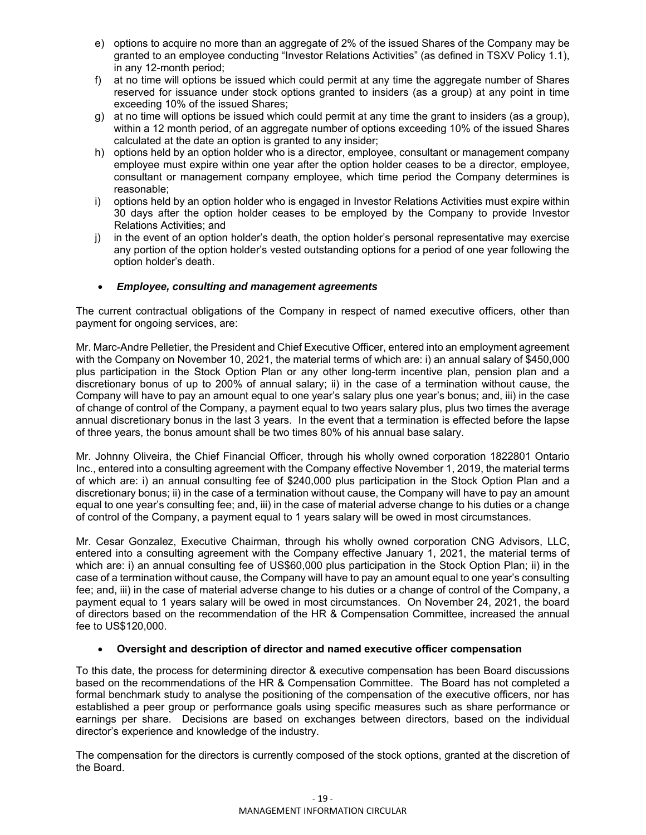- e) options to acquire no more than an aggregate of 2% of the issued Shares of the Company may be granted to an employee conducting "Investor Relations Activities" (as defined in TSXV Policy 1.1), in any 12-month period;
- f) at no time will options be issued which could permit at any time the aggregate number of Shares reserved for issuance under stock options granted to insiders (as a group) at any point in time exceeding 10% of the issued Shares;
- g) at no time will options be issued which could permit at any time the grant to insiders (as a group), within a 12 month period, of an aggregate number of options exceeding 10% of the issued Shares calculated at the date an option is granted to any insider;
- h) options held by an option holder who is a director, employee, consultant or management company employee must expire within one year after the option holder ceases to be a director, employee, consultant or management company employee, which time period the Company determines is reasonable;
- i) options held by an option holder who is engaged in Investor Relations Activities must expire within 30 days after the option holder ceases to be employed by the Company to provide Investor Relations Activities; and
- j) in the event of an option holder's death, the option holder's personal representative may exercise any portion of the option holder's vested outstanding options for a period of one year following the option holder's death.

## *Employee, consulting and management agreements*

The current contractual obligations of the Company in respect of named executive officers, other than payment for ongoing services, are:

Mr. Marc-Andre Pelletier, the President and Chief Executive Officer, entered into an employment agreement with the Company on November 10, 2021, the material terms of which are: i) an annual salary of \$450,000 plus participation in the Stock Option Plan or any other long-term incentive plan, pension plan and a discretionary bonus of up to 200% of annual salary; ii) in the case of a termination without cause, the Company will have to pay an amount equal to one year's salary plus one year's bonus; and, iii) in the case of change of control of the Company, a payment equal to two years salary plus, plus two times the average annual discretionary bonus in the last 3 years. In the event that a termination is effected before the lapse of three years, the bonus amount shall be two times 80% of his annual base salary.

Mr. Johnny Oliveira, the Chief Financial Officer, through his wholly owned corporation 1822801 Ontario Inc., entered into a consulting agreement with the Company effective November 1, 2019, the material terms of which are: i) an annual consulting fee of \$240,000 plus participation in the Stock Option Plan and a discretionary bonus; ii) in the case of a termination without cause, the Company will have to pay an amount equal to one year's consulting fee; and, iii) in the case of material adverse change to his duties or a change of control of the Company, a payment equal to 1 years salary will be owed in most circumstances.

Mr. Cesar Gonzalez, Executive Chairman, through his wholly owned corporation CNG Advisors, LLC, entered into a consulting agreement with the Company effective January 1, 2021, the material terms of which are: i) an annual consulting fee of US\$60,000 plus participation in the Stock Option Plan; ii) in the case of a termination without cause, the Company will have to pay an amount equal to one year's consulting fee; and, iii) in the case of material adverse change to his duties or a change of control of the Company, a payment equal to 1 years salary will be owed in most circumstances. On November 24, 2021, the board of directors based on the recommendation of the HR & Compensation Committee, increased the annual fee to US\$120,000.

## **Oversight and description of director and named executive officer compensation**

To this date, the process for determining director & executive compensation has been Board discussions based on the recommendations of the HR & Compensation Committee. The Board has not completed a formal benchmark study to analyse the positioning of the compensation of the executive officers, nor has established a peer group or performance goals using specific measures such as share performance or earnings per share. Decisions are based on exchanges between directors, based on the individual director's experience and knowledge of the industry.

The compensation for the directors is currently composed of the stock options, granted at the discretion of the Board.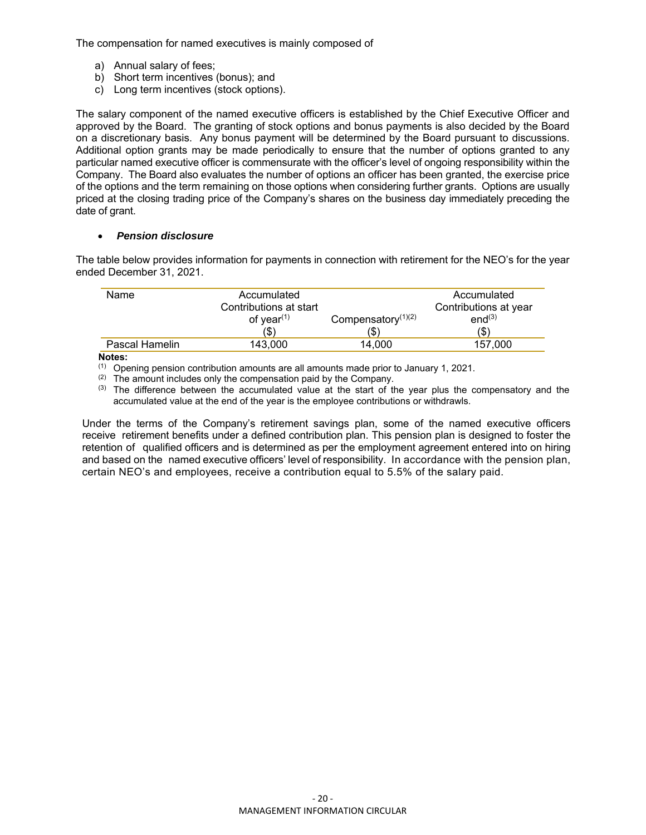The compensation for named executives is mainly composed of

- a) Annual salary of fees;
- b) Short term incentives (bonus); and
- c) Long term incentives (stock options).

The salary component of the named executive officers is established by the Chief Executive Officer and approved by the Board. The granting of stock options and bonus payments is also decided by the Board on a discretionary basis. Any bonus payment will be determined by the Board pursuant to discussions. Additional option grants may be made periodically to ensure that the number of options granted to any particular named executive officer is commensurate with the officer's level of ongoing responsibility within the Company. The Board also evaluates the number of options an officer has been granted, the exercise price of the options and the term remaining on those options when considering further grants. Options are usually priced at the closing trading price of the Company's shares on the business day immediately preceding the date of grant.

## *Pension disclosure*

The table below provides information for payments in connection with retirement for the NEO's for the year ended December 31, 2021.

| Name           | Accumulated<br>Contributions at start<br>of year $(1)$<br>(\$) | Compensatory $(1)(2)$<br>(\$) | Accumulated<br>Contributions at year<br>end <sup>(3)</sup><br>(\$) |
|----------------|----------------------------------------------------------------|-------------------------------|--------------------------------------------------------------------|
| Pascal Hamelin | 143.000                                                        | 14.000                        | 157.000                                                            |

#### **Notes:**

 $(1)$  Opening pension contribution amounts are all amounts made prior to January 1, 2021.

 $(2)$  The amount includes only the compensation paid by the Company.

 $<sup>(3)</sup>$  The difference between the accumulated value at the start of the year plus the compensatory and the</sup> accumulated value at the end of the year is the employee contributions or withdrawls.

Under the terms of the Company's retirement savings plan, some of the named executive officers receive retirement benefits under a defined contribution plan. This pension plan is designed to foster the retention of qualified officers and is determined as per the employment agreement entered into on hiring and based on the named executive officers' level of responsibility. In accordance with the pension plan, certain NEO's and employees, receive a contribution equal to 5.5% of the salary paid.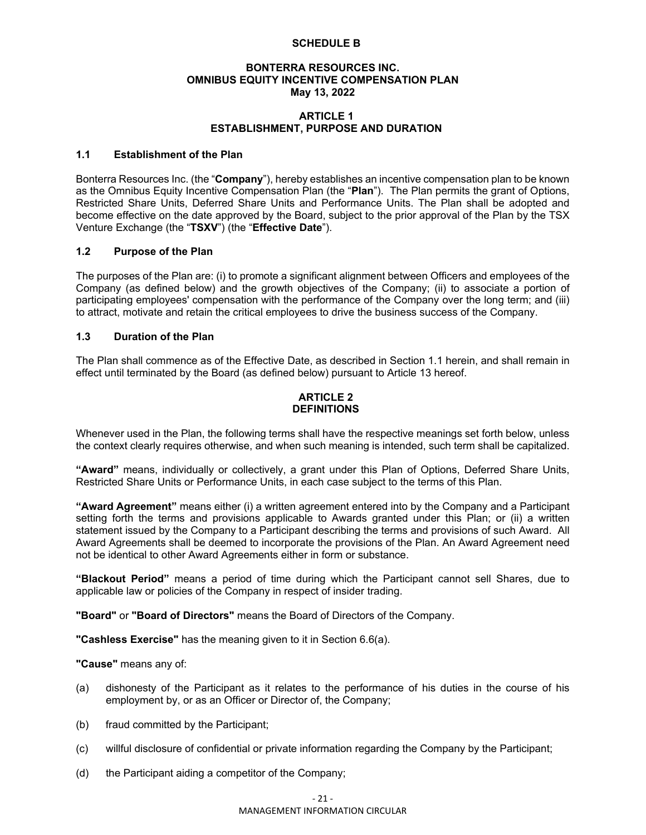#### **SCHEDULE B**

#### **BONTERRA RESOURCES INC. OMNIBUS EQUITY INCENTIVE COMPENSATION PLAN May 13, 2022**

#### **ARTICLE 1 ESTABLISHMENT, PURPOSE AND DURATION**

#### **1.1 Establishment of the Plan**

Bonterra Resources Inc. (the "**Company**"), hereby establishes an incentive compensation plan to be known as the Omnibus Equity Incentive Compensation Plan (the "**Plan**"). The Plan permits the grant of Options, Restricted Share Units, Deferred Share Units and Performance Units. The Plan shall be adopted and become effective on the date approved by the Board, subject to the prior approval of the Plan by the TSX Venture Exchange (the "**TSXV**") (the "**Effective Date**").

#### **1.2 Purpose of the Plan**

The purposes of the Plan are: (i) to promote a significant alignment between Officers and employees of the Company (as defined below) and the growth objectives of the Company; (ii) to associate a portion of participating employees' compensation with the performance of the Company over the long term; and (iii) to attract, motivate and retain the critical employees to drive the business success of the Company.

#### **1.3 Duration of the Plan**

The Plan shall commence as of the Effective Date, as described in Section 1.1 herein, and shall remain in effect until terminated by the Board (as defined below) pursuant to Article 13 hereof.

### **ARTICLE 2 DEFINITIONS**

Whenever used in the Plan, the following terms shall have the respective meanings set forth below, unless the context clearly requires otherwise, and when such meaning is intended, such term shall be capitalized.

**"Award"** means, individually or collectively, a grant under this Plan of Options, Deferred Share Units, Restricted Share Units or Performance Units, in each case subject to the terms of this Plan.

**"Award Agreement"** means either (i) a written agreement entered into by the Company and a Participant setting forth the terms and provisions applicable to Awards granted under this Plan; or (ii) a written statement issued by the Company to a Participant describing the terms and provisions of such Award. All Award Agreements shall be deemed to incorporate the provisions of the Plan. An Award Agreement need not be identical to other Award Agreements either in form or substance.

**"Blackout Period"** means a period of time during which the Participant cannot sell Shares, due to applicable law or policies of the Company in respect of insider trading.

**"Board"** or **"Board of Directors"** means the Board of Directors of the Company.

**"Cashless Exercise"** has the meaning given to it in Section 6.6(a).

**"Cause"** means any of:

- (a) dishonesty of the Participant as it relates to the performance of his duties in the course of his employment by, or as an Officer or Director of, the Company;
- (b) fraud committed by the Participant;
- (c) willful disclosure of confidential or private information regarding the Company by the Participant;
- (d) the Participant aiding a competitor of the Company;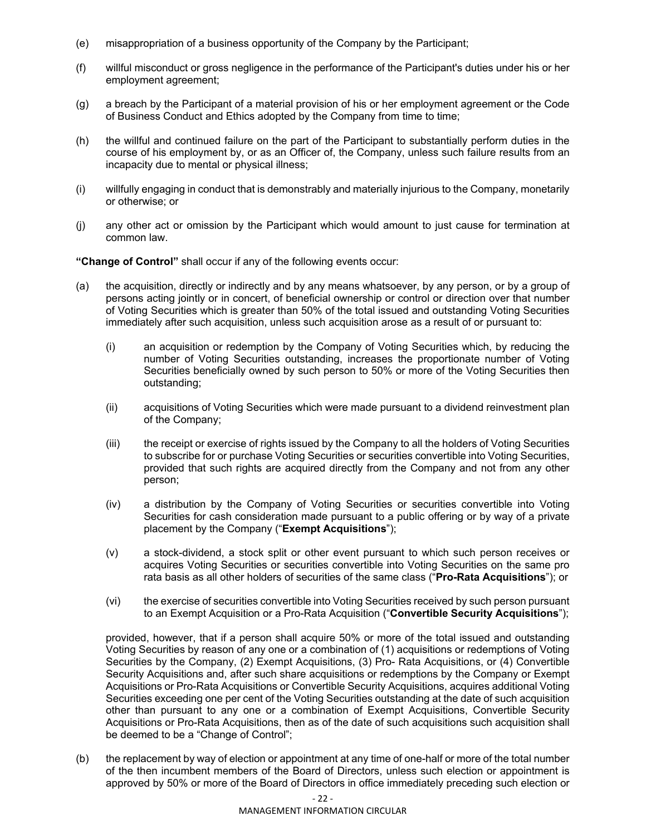- (e) misappropriation of a business opportunity of the Company by the Participant;
- (f) willful misconduct or gross negligence in the performance of the Participant's duties under his or her employment agreement;
- (g) a breach by the Participant of a material provision of his or her employment agreement or the Code of Business Conduct and Ethics adopted by the Company from time to time;
- (h) the willful and continued failure on the part of the Participant to substantially perform duties in the course of his employment by, or as an Officer of, the Company, unless such failure results from an incapacity due to mental or physical illness;
- (i) willfully engaging in conduct that is demonstrably and materially injurious to the Company, monetarily or otherwise; or
- (j) any other act or omission by the Participant which would amount to just cause for termination at common law.

**"Change of Control"** shall occur if any of the following events occur:

- (a) the acquisition, directly or indirectly and by any means whatsoever, by any person, or by a group of persons acting jointly or in concert, of beneficial ownership or control or direction over that number of Voting Securities which is greater than 50% of the total issued and outstanding Voting Securities immediately after such acquisition, unless such acquisition arose as a result of or pursuant to:
	- (i) an acquisition or redemption by the Company of Voting Securities which, by reducing the number of Voting Securities outstanding, increases the proportionate number of Voting Securities beneficially owned by such person to 50% or more of the Voting Securities then outstanding;
	- (ii) acquisitions of Voting Securities which were made pursuant to a dividend reinvestment plan of the Company;
	- (iii) the receipt or exercise of rights issued by the Company to all the holders of Voting Securities to subscribe for or purchase Voting Securities or securities convertible into Voting Securities, provided that such rights are acquired directly from the Company and not from any other person;
	- (iv) a distribution by the Company of Voting Securities or securities convertible into Voting Securities for cash consideration made pursuant to a public offering or by way of a private placement by the Company ("**Exempt Acquisitions**");
	- (v) a stock-dividend, a stock split or other event pursuant to which such person receives or acquires Voting Securities or securities convertible into Voting Securities on the same pro rata basis as all other holders of securities of the same class ("**Pro-Rata Acquisitions**"); or
	- (vi) the exercise of securities convertible into Voting Securities received by such person pursuant to an Exempt Acquisition or a Pro-Rata Acquisition ("**Convertible Security Acquisitions**");

provided, however, that if a person shall acquire 50% or more of the total issued and outstanding Voting Securities by reason of any one or a combination of (1) acquisitions or redemptions of Voting Securities by the Company, (2) Exempt Acquisitions, (3) Pro- Rata Acquisitions, or (4) Convertible Security Acquisitions and, after such share acquisitions or redemptions by the Company or Exempt Acquisitions or Pro-Rata Acquisitions or Convertible Security Acquisitions, acquires additional Voting Securities exceeding one per cent of the Voting Securities outstanding at the date of such acquisition other than pursuant to any one or a combination of Exempt Acquisitions, Convertible Security Acquisitions or Pro-Rata Acquisitions, then as of the date of such acquisitions such acquisition shall be deemed to be a "Change of Control";

(b) the replacement by way of election or appointment at any time of one-half or more of the total number of the then incumbent members of the Board of Directors, unless such election or appointment is approved by 50% or more of the Board of Directors in office immediately preceding such election or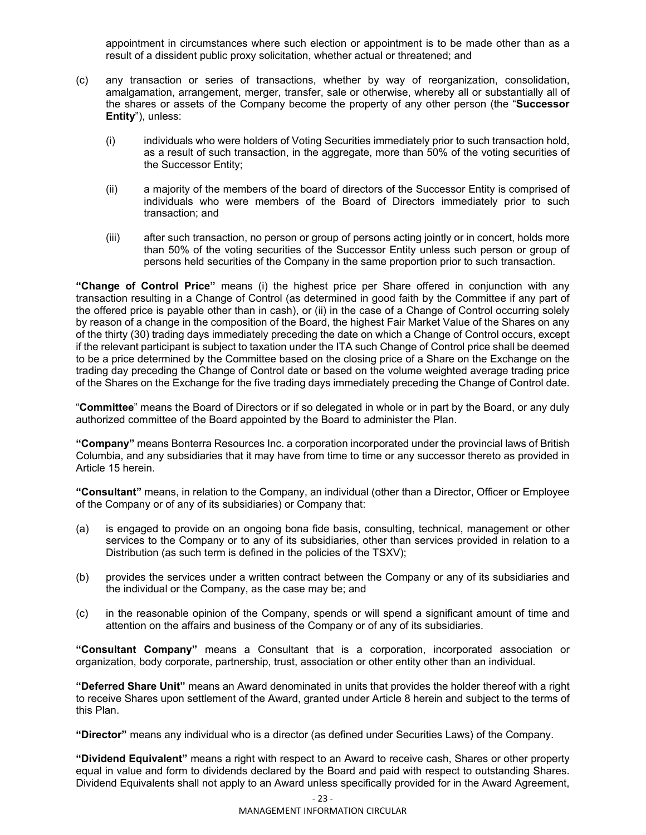appointment in circumstances where such election or appointment is to be made other than as a result of a dissident public proxy solicitation, whether actual or threatened; and

- (c) any transaction or series of transactions, whether by way of reorganization, consolidation, amalgamation, arrangement, merger, transfer, sale or otherwise, whereby all or substantially all of the shares or assets of the Company become the property of any other person (the "**Successor Entity**"), unless:
	- (i) individuals who were holders of Voting Securities immediately prior to such transaction hold, as a result of such transaction, in the aggregate, more than 50% of the voting securities of the Successor Entity;
	- (ii) a majority of the members of the board of directors of the Successor Entity is comprised of individuals who were members of the Board of Directors immediately prior to such transaction; and
	- (iii) after such transaction, no person or group of persons acting jointly or in concert, holds more than 50% of the voting securities of the Successor Entity unless such person or group of persons held securities of the Company in the same proportion prior to such transaction.

**"Change of Control Price"** means (i) the highest price per Share offered in conjunction with any transaction resulting in a Change of Control (as determined in good faith by the Committee if any part of the offered price is payable other than in cash), or (ii) in the case of a Change of Control occurring solely by reason of a change in the composition of the Board, the highest Fair Market Value of the Shares on any of the thirty (30) trading days immediately preceding the date on which a Change of Control occurs, except if the relevant participant is subject to taxation under the ITA such Change of Control price shall be deemed to be a price determined by the Committee based on the closing price of a Share on the Exchange on the trading day preceding the Change of Control date or based on the volume weighted average trading price of the Shares on the Exchange for the five trading days immediately preceding the Change of Control date.

"**Committee**" means the Board of Directors or if so delegated in whole or in part by the Board, or any duly authorized committee of the Board appointed by the Board to administer the Plan.

**"Company"** means Bonterra Resources Inc. a corporation incorporated under the provincial laws of British Columbia, and any subsidiaries that it may have from time to time or any successor thereto as provided in Article 15 herein.

**"Consultant"** means, in relation to the Company, an individual (other than a Director, Officer or Employee of the Company or of any of its subsidiaries) or Company that:

- (a) is engaged to provide on an ongoing bona fide basis, consulting, technical, management or other services to the Company or to any of its subsidiaries, other than services provided in relation to a Distribution (as such term is defined in the policies of the TSXV);
- (b) provides the services under a written contract between the Company or any of its subsidiaries and the individual or the Company, as the case may be; and
- (c) in the reasonable opinion of the Company, spends or will spend a significant amount of time and attention on the affairs and business of the Company or of any of its subsidiaries.

**"Consultant Company"** means a Consultant that is a corporation, incorporated association or organization, body corporate, partnership, trust, association or other entity other than an individual.

**"Deferred Share Unit"** means an Award denominated in units that provides the holder thereof with a right to receive Shares upon settlement of the Award, granted under Article 8 herein and subject to the terms of this Plan.

**"Director"** means any individual who is a director (as defined under Securities Laws) of the Company.

**"Dividend Equivalent"** means a right with respect to an Award to receive cash, Shares or other property equal in value and form to dividends declared by the Board and paid with respect to outstanding Shares. Dividend Equivalents shall not apply to an Award unless specifically provided for in the Award Agreement,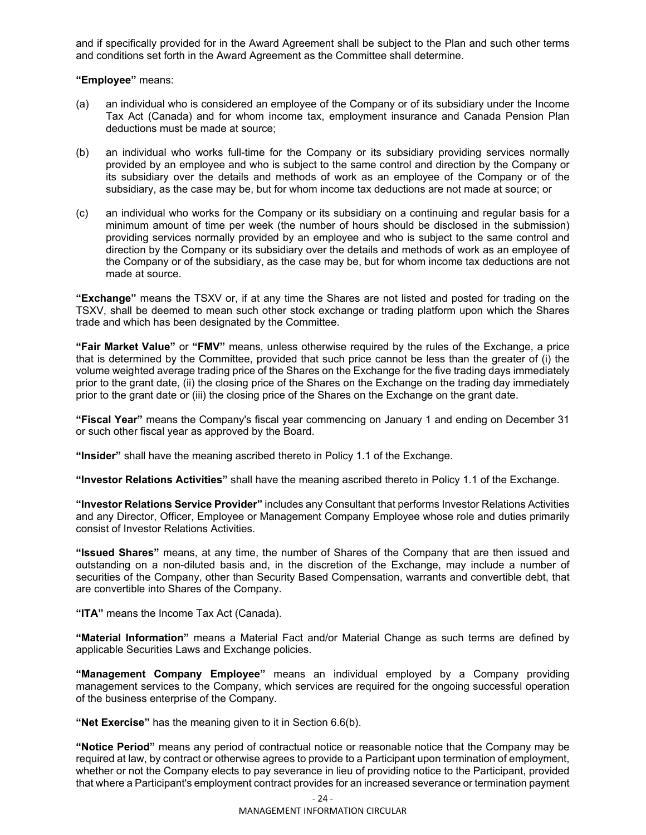and if specifically provided for in the Award Agreement shall be subject to the Plan and such other terms and conditions set forth in the Award Agreement as the Committee shall determine.

**"Employee"** means:

- (a) an individual who is considered an employee of the Company or of its subsidiary under the Income Tax Act (Canada) and for whom income tax, employment insurance and Canada Pension Plan deductions must be made at source;
- (b) an individual who works full-time for the Company or its subsidiary providing services normally provided by an employee and who is subject to the same control and direction by the Company or its subsidiary over the details and methods of work as an employee of the Company or of the subsidiary, as the case may be, but for whom income tax deductions are not made at source; or
- (c) an individual who works for the Company or its subsidiary on a continuing and regular basis for a minimum amount of time per week (the number of hours should be disclosed in the submission) providing services normally provided by an employee and who is subject to the same control and direction by the Company or its subsidiary over the details and methods of work as an employee of the Company or of the subsidiary, as the case may be, but for whom income tax deductions are not made at source.

**"Exchange"** means the TSXV or, if at any time the Shares are not listed and posted for trading on the TSXV, shall be deemed to mean such other stock exchange or trading platform upon which the Shares trade and which has been designated by the Committee.

**"Fair Market Value"** or **"FMV"** means, unless otherwise required by the rules of the Exchange, a price that is determined by the Committee, provided that such price cannot be less than the greater of (i) the volume weighted average trading price of the Shares on the Exchange for the five trading days immediately prior to the grant date, (ii) the closing price of the Shares on the Exchange on the trading day immediately prior to the grant date or (iii) the closing price of the Shares on the Exchange on the grant date.

**"Fiscal Year"** means the Company's fiscal year commencing on January 1 and ending on December 31 or such other fiscal year as approved by the Board.

**"Insider"** shall have the meaning ascribed thereto in Policy 1.1 of the Exchange.

**"Investor Relations Activities"** shall have the meaning ascribed thereto in Policy 1.1 of the Exchange.

**"Investor Relations Service Provider"** includes any Consultant that performs Investor Relations Activities and any Director, Officer, Employee or Management Company Employee whose role and duties primarily consist of Investor Relations Activities.

**"Issued Shares"** means, at any time, the number of Shares of the Company that are then issued and outstanding on a non-diluted basis and, in the discretion of the Exchange, may include a number of securities of the Company, other than Security Based Compensation, warrants and convertible debt, that are convertible into Shares of the Company.

**"ITA"** means the Income Tax Act (Canada).

**"Material Information"** means a Material Fact and/or Material Change as such terms are defined by applicable Securities Laws and Exchange policies.

**"Management Company Employee"** means an individual employed by a Company providing management services to the Company, which services are required for the ongoing successful operation of the business enterprise of the Company.

**"Net Exercise"** has the meaning given to it in Section 6.6(b).

**"Notice Period"** means any period of contractual notice or reasonable notice that the Company may be required at law, by contract or otherwise agrees to provide to a Participant upon termination of employment, whether or not the Company elects to pay severance in lieu of providing notice to the Participant, provided that where a Participant's employment contract provides for an increased severance or termination payment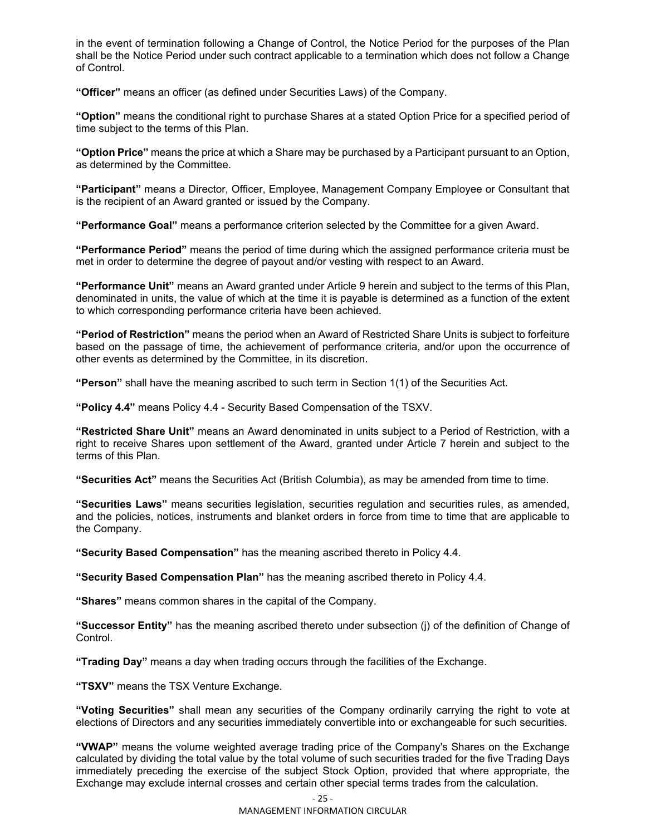in the event of termination following a Change of Control, the Notice Period for the purposes of the Plan shall be the Notice Period under such contract applicable to a termination which does not follow a Change of Control.

**"Officer"** means an officer (as defined under Securities Laws) of the Company.

**"Option"** means the conditional right to purchase Shares at a stated Option Price for a specified period of time subject to the terms of this Plan.

**"Option Price"** means the price at which a Share may be purchased by a Participant pursuant to an Option, as determined by the Committee.

**"Participant"** means a Director, Officer, Employee, Management Company Employee or Consultant that is the recipient of an Award granted or issued by the Company.

**"Performance Goal"** means a performance criterion selected by the Committee for a given Award.

**"Performance Period"** means the period of time during which the assigned performance criteria must be met in order to determine the degree of payout and/or vesting with respect to an Award.

**"Performance Unit"** means an Award granted under Article 9 herein and subject to the terms of this Plan, denominated in units, the value of which at the time it is payable is determined as a function of the extent to which corresponding performance criteria have been achieved.

**"Period of Restriction"** means the period when an Award of Restricted Share Units is subject to forfeiture based on the passage of time, the achievement of performance criteria, and/or upon the occurrence of other events as determined by the Committee, in its discretion.

**"Person"** shall have the meaning ascribed to such term in Section 1(1) of the Securities Act.

**"Policy 4.4"** means Policy 4.4 - Security Based Compensation of the TSXV.

**"Restricted Share Unit"** means an Award denominated in units subject to a Period of Restriction, with a right to receive Shares upon settlement of the Award, granted under Article 7 herein and subject to the terms of this Plan.

**"Securities Act"** means the Securities Act (British Columbia), as may be amended from time to time.

**"Securities Laws"** means securities legislation, securities regulation and securities rules, as amended, and the policies, notices, instruments and blanket orders in force from time to time that are applicable to the Company.

**"Security Based Compensation"** has the meaning ascribed thereto in Policy 4.4.

**"Security Based Compensation Plan"** has the meaning ascribed thereto in Policy 4.4.

**"Shares"** means common shares in the capital of the Company.

**"Successor Entity"** has the meaning ascribed thereto under subsection (j) of the definition of Change of Control.

**"Trading Day"** means a day when trading occurs through the facilities of the Exchange.

**"TSXV"** means the TSX Venture Exchange.

**"Voting Securities"** shall mean any securities of the Company ordinarily carrying the right to vote at elections of Directors and any securities immediately convertible into or exchangeable for such securities.

**"VWAP"** means the volume weighted average trading price of the Company's Shares on the Exchange calculated by dividing the total value by the total volume of such securities traded for the five Trading Days immediately preceding the exercise of the subject Stock Option, provided that where appropriate, the Exchange may exclude internal crosses and certain other special terms trades from the calculation.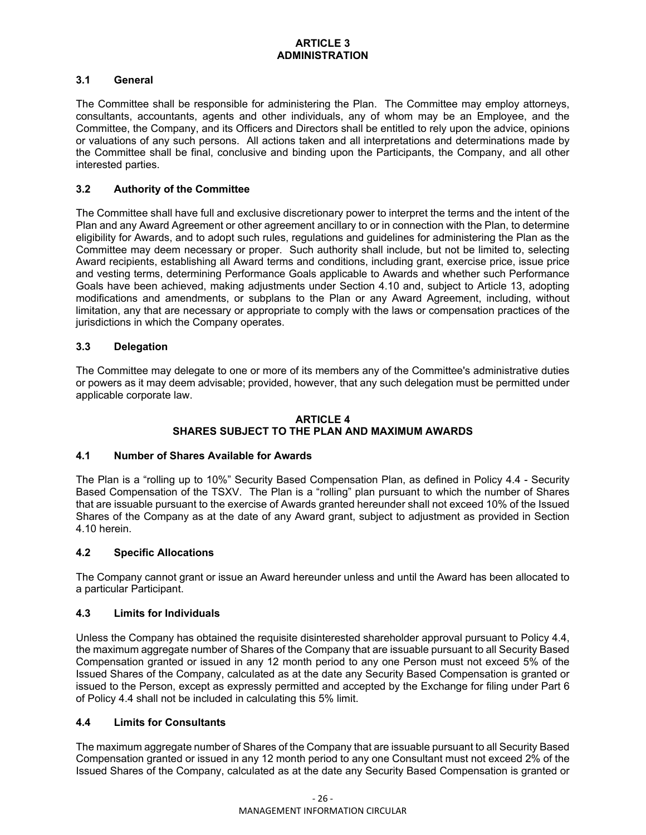## **3.1 General**

The Committee shall be responsible for administering the Plan. The Committee may employ attorneys, consultants, accountants, agents and other individuals, any of whom may be an Employee, and the Committee, the Company, and its Officers and Directors shall be entitled to rely upon the advice, opinions or valuations of any such persons. All actions taken and all interpretations and determinations made by the Committee shall be final, conclusive and binding upon the Participants, the Company, and all other interested parties.

## **3.2 Authority of the Committee**

The Committee shall have full and exclusive discretionary power to interpret the terms and the intent of the Plan and any Award Agreement or other agreement ancillary to or in connection with the Plan, to determine eligibility for Awards, and to adopt such rules, regulations and guidelines for administering the Plan as the Committee may deem necessary or proper. Such authority shall include, but not be limited to, selecting Award recipients, establishing all Award terms and conditions, including grant, exercise price, issue price and vesting terms, determining Performance Goals applicable to Awards and whether such Performance Goals have been achieved, making adjustments under Section 4.10 and, subject to Article 13, adopting modifications and amendments, or subplans to the Plan or any Award Agreement, including, without limitation, any that are necessary or appropriate to comply with the laws or compensation practices of the jurisdictions in which the Company operates.

## **3.3 Delegation**

The Committee may delegate to one or more of its members any of the Committee's administrative duties or powers as it may deem advisable; provided, however, that any such delegation must be permitted under applicable corporate law.

## **ARTICLE 4 SHARES SUBJECT TO THE PLAN AND MAXIMUM AWARDS**

## **4.1 Number of Shares Available for Awards**

The Plan is a "rolling up to 10%" Security Based Compensation Plan, as defined in Policy 4.4 - Security Based Compensation of the TSXV. The Plan is a "rolling" plan pursuant to which the number of Shares that are issuable pursuant to the exercise of Awards granted hereunder shall not exceed 10% of the Issued Shares of the Company as at the date of any Award grant, subject to adjustment as provided in Section 4.10 herein.

## **4.2 Specific Allocations**

The Company cannot grant or issue an Award hereunder unless and until the Award has been allocated to a particular Participant.

#### **4.3 Limits for Individuals**

Unless the Company has obtained the requisite disinterested shareholder approval pursuant to Policy 4.4, the maximum aggregate number of Shares of the Company that are issuable pursuant to all Security Based Compensation granted or issued in any 12 month period to any one Person must not exceed 5% of the Issued Shares of the Company, calculated as at the date any Security Based Compensation is granted or issued to the Person, except as expressly permitted and accepted by the Exchange for filing under Part 6 of Policy 4.4 shall not be included in calculating this 5% limit.

## **4.4 Limits for Consultants**

The maximum aggregate number of Shares of the Company that are issuable pursuant to all Security Based Compensation granted or issued in any 12 month period to any one Consultant must not exceed 2% of the Issued Shares of the Company, calculated as at the date any Security Based Compensation is granted or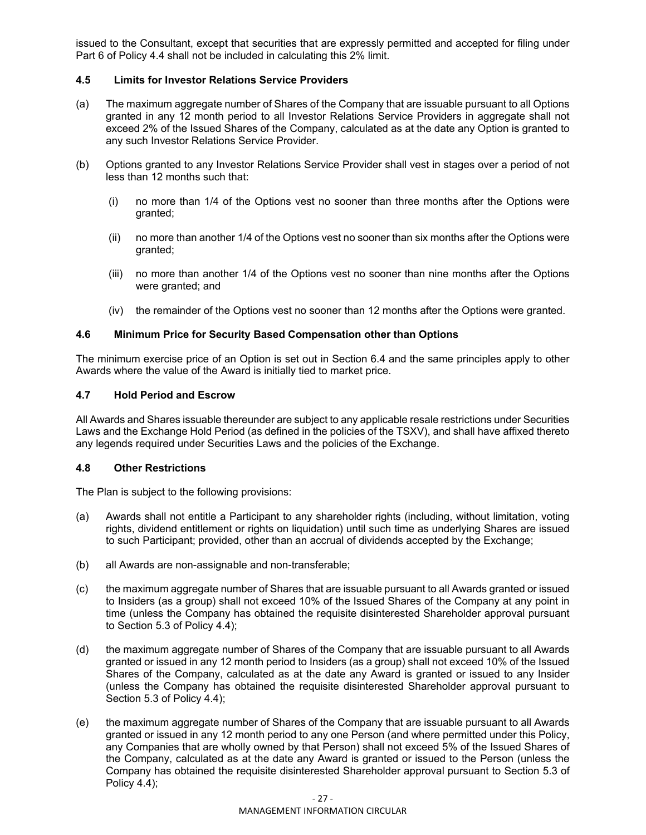issued to the Consultant, except that securities that are expressly permitted and accepted for filing under Part 6 of Policy 4.4 shall not be included in calculating this 2% limit.

## **4.5 Limits for Investor Relations Service Providers**

- (a) The maximum aggregate number of Shares of the Company that are issuable pursuant to all Options granted in any 12 month period to all Investor Relations Service Providers in aggregate shall not exceed 2% of the Issued Shares of the Company, calculated as at the date any Option is granted to any such Investor Relations Service Provider.
- (b) Options granted to any Investor Relations Service Provider shall vest in stages over a period of not less than 12 months such that:
	- (i) no more than 1/4 of the Options vest no sooner than three months after the Options were granted;
	- (ii) no more than another 1/4 of the Options vest no sooner than six months after the Options were granted;
	- (iii) no more than another 1/4 of the Options vest no sooner than nine months after the Options were granted; and
	- (iv) the remainder of the Options vest no sooner than 12 months after the Options were granted.

## **4.6 Minimum Price for Security Based Compensation other than Options**

The minimum exercise price of an Option is set out in Section 6.4 and the same principles apply to other Awards where the value of the Award is initially tied to market price.

#### **4.7 Hold Period and Escrow**

All Awards and Shares issuable thereunder are subject to any applicable resale restrictions under Securities Laws and the Exchange Hold Period (as defined in the policies of the TSXV), and shall have affixed thereto any legends required under Securities Laws and the policies of the Exchange.

#### **4.8 Other Restrictions**

The Plan is subject to the following provisions:

- (a) Awards shall not entitle a Participant to any shareholder rights (including, without limitation, voting rights, dividend entitlement or rights on liquidation) until such time as underlying Shares are issued to such Participant; provided, other than an accrual of dividends accepted by the Exchange;
- (b) all Awards are non-assignable and non-transferable;
- (c) the maximum aggregate number of Shares that are issuable pursuant to all Awards granted or issued to Insiders (as a group) shall not exceed 10% of the Issued Shares of the Company at any point in time (unless the Company has obtained the requisite disinterested Shareholder approval pursuant to Section 5.3 of Policy 4.4);
- (d) the maximum aggregate number of Shares of the Company that are issuable pursuant to all Awards granted or issued in any 12 month period to Insiders (as a group) shall not exceed 10% of the Issued Shares of the Company, calculated as at the date any Award is granted or issued to any Insider (unless the Company has obtained the requisite disinterested Shareholder approval pursuant to Section 5.3 of Policy 4.4);
- (e) the maximum aggregate number of Shares of the Company that are issuable pursuant to all Awards granted or issued in any 12 month period to any one Person (and where permitted under this Policy, any Companies that are wholly owned by that Person) shall not exceed 5% of the Issued Shares of the Company, calculated as at the date any Award is granted or issued to the Person (unless the Company has obtained the requisite disinterested Shareholder approval pursuant to Section 5.3 of Policy 4.4);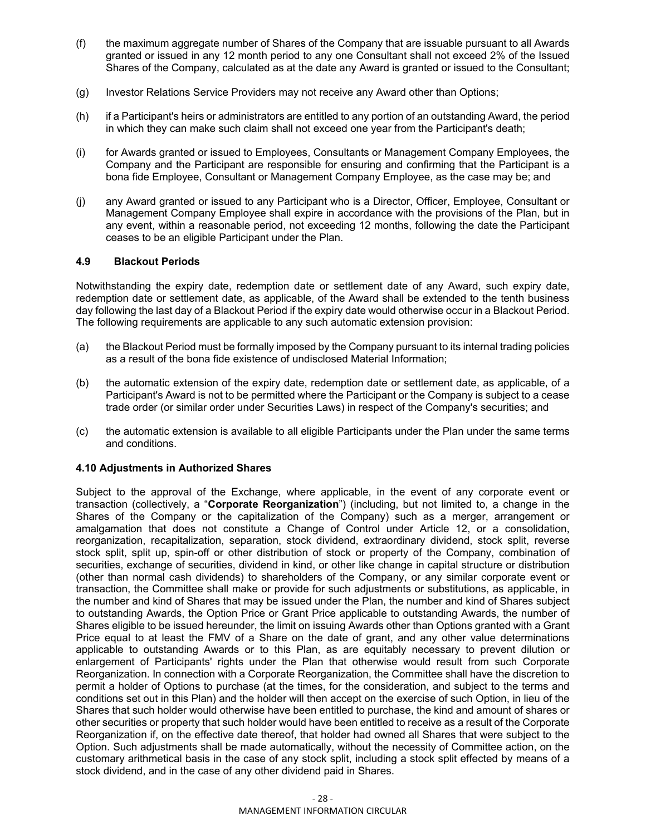- (f) the maximum aggregate number of Shares of the Company that are issuable pursuant to all Awards granted or issued in any 12 month period to any one Consultant shall not exceed 2% of the Issued Shares of the Company, calculated as at the date any Award is granted or issued to the Consultant;
- (g) Investor Relations Service Providers may not receive any Award other than Options;
- (h) if a Participant's heirs or administrators are entitled to any portion of an outstanding Award, the period in which they can make such claim shall not exceed one year from the Participant's death;
- (i) for Awards granted or issued to Employees, Consultants or Management Company Employees, the Company and the Participant are responsible for ensuring and confirming that the Participant is a bona fide Employee, Consultant or Management Company Employee, as the case may be; and
- (j) any Award granted or issued to any Participant who is a Director, Officer, Employee, Consultant or Management Company Employee shall expire in accordance with the provisions of the Plan, but in any event, within a reasonable period, not exceeding 12 months, following the date the Participant ceases to be an eligible Participant under the Plan.

## **4.9 Blackout Periods**

Notwithstanding the expiry date, redemption date or settlement date of any Award, such expiry date, redemption date or settlement date, as applicable, of the Award shall be extended to the tenth business day following the last day of a Blackout Period if the expiry date would otherwise occur in a Blackout Period. The following requirements are applicable to any such automatic extension provision:

- (a) the Blackout Period must be formally imposed by the Company pursuant to its internal trading policies as a result of the bona fide existence of undisclosed Material Information;
- (b) the automatic extension of the expiry date, redemption date or settlement date, as applicable, of a Participant's Award is not to be permitted where the Participant or the Company is subject to a cease trade order (or similar order under Securities Laws) in respect of the Company's securities; and
- (c) the automatic extension is available to all eligible Participants under the Plan under the same terms and conditions.

#### **4.10 Adjustments in Authorized Shares**

Subject to the approval of the Exchange, where applicable, in the event of any corporate event or transaction (collectively, a "**Corporate Reorganization**") (including, but not limited to, a change in the Shares of the Company or the capitalization of the Company) such as a merger, arrangement or amalgamation that does not constitute a Change of Control under Article 12, or a consolidation, reorganization, recapitalization, separation, stock dividend, extraordinary dividend, stock split, reverse stock split, split up, spin-off or other distribution of stock or property of the Company, combination of securities, exchange of securities, dividend in kind, or other like change in capital structure or distribution (other than normal cash dividends) to shareholders of the Company, or any similar corporate event or transaction, the Committee shall make or provide for such adjustments or substitutions, as applicable, in the number and kind of Shares that may be issued under the Plan, the number and kind of Shares subject to outstanding Awards, the Option Price or Grant Price applicable to outstanding Awards, the number of Shares eligible to be issued hereunder, the limit on issuing Awards other than Options granted with a Grant Price equal to at least the FMV of a Share on the date of grant, and any other value determinations applicable to outstanding Awards or to this Plan, as are equitably necessary to prevent dilution or enlargement of Participants' rights under the Plan that otherwise would result from such Corporate Reorganization. In connection with a Corporate Reorganization, the Committee shall have the discretion to permit a holder of Options to purchase (at the times, for the consideration, and subject to the terms and conditions set out in this Plan) and the holder will then accept on the exercise of such Option, in lieu of the Shares that such holder would otherwise have been entitled to purchase, the kind and amount of shares or other securities or property that such holder would have been entitled to receive as a result of the Corporate Reorganization if, on the effective date thereof, that holder had owned all Shares that were subject to the Option. Such adjustments shall be made automatically, without the necessity of Committee action, on the customary arithmetical basis in the case of any stock split, including a stock split effected by means of a stock dividend, and in the case of any other dividend paid in Shares.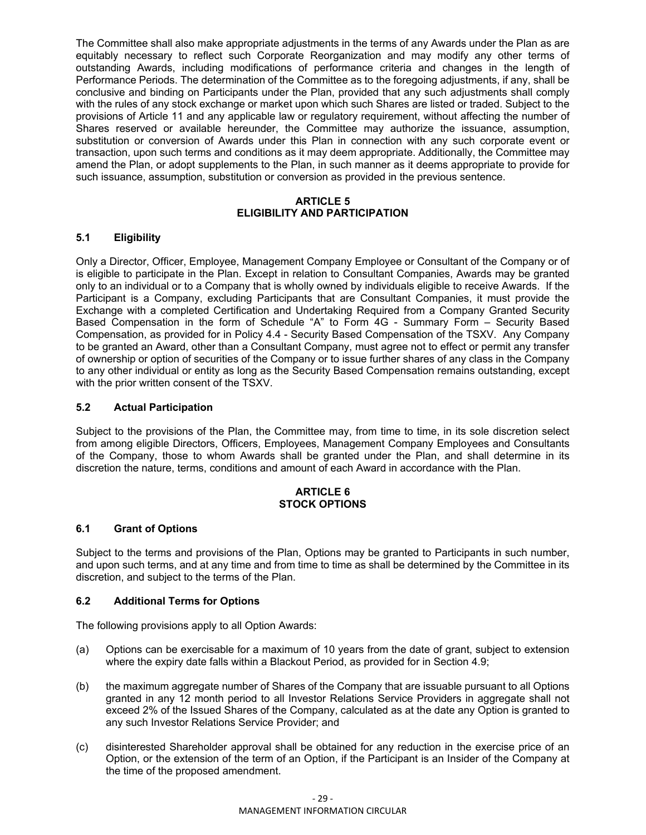The Committee shall also make appropriate adjustments in the terms of any Awards under the Plan as are equitably necessary to reflect such Corporate Reorganization and may modify any other terms of outstanding Awards, including modifications of performance criteria and changes in the length of Performance Periods. The determination of the Committee as to the foregoing adjustments, if any, shall be conclusive and binding on Participants under the Plan, provided that any such adjustments shall comply with the rules of any stock exchange or market upon which such Shares are listed or traded. Subject to the provisions of Article 11 and any applicable law or regulatory requirement, without affecting the number of Shares reserved or available hereunder, the Committee may authorize the issuance, assumption, substitution or conversion of Awards under this Plan in connection with any such corporate event or transaction, upon such terms and conditions as it may deem appropriate. Additionally, the Committee may amend the Plan, or adopt supplements to the Plan, in such manner as it deems appropriate to provide for such issuance, assumption, substitution or conversion as provided in the previous sentence.

## **ARTICLE 5 ELIGIBILITY AND PARTICIPATION**

## **5.1 Eligibility**

Only a Director, Officer, Employee, Management Company Employee or Consultant of the Company or of is eligible to participate in the Plan. Except in relation to Consultant Companies, Awards may be granted only to an individual or to a Company that is wholly owned by individuals eligible to receive Awards. If the Participant is a Company, excluding Participants that are Consultant Companies, it must provide the Exchange with a completed Certification and Undertaking Required from a Company Granted Security Based Compensation in the form of Schedule "A" to Form 4G - Summary Form – Security Based Compensation, as provided for in Policy 4.4 - Security Based Compensation of the TSXV. Any Company to be granted an Award, other than a Consultant Company, must agree not to effect or permit any transfer of ownership or option of securities of the Company or to issue further shares of any class in the Company to any other individual or entity as long as the Security Based Compensation remains outstanding, except with the prior written consent of the TSXV.

## **5.2 Actual Participation**

Subject to the provisions of the Plan, the Committee may, from time to time, in its sole discretion select from among eligible Directors, Officers, Employees, Management Company Employees and Consultants of the Company, those to whom Awards shall be granted under the Plan, and shall determine in its discretion the nature, terms, conditions and amount of each Award in accordance with the Plan.

#### **ARTICLE 6 STOCK OPTIONS**

## **6.1 Grant of Options**

Subject to the terms and provisions of the Plan, Options may be granted to Participants in such number, and upon such terms, and at any time and from time to time as shall be determined by the Committee in its discretion, and subject to the terms of the Plan.

#### **6.2 Additional Terms for Options**

The following provisions apply to all Option Awards:

- (a) Options can be exercisable for a maximum of 10 years from the date of grant, subject to extension where the expiry date falls within a Blackout Period, as provided for in Section 4.9;
- (b) the maximum aggregate number of Shares of the Company that are issuable pursuant to all Options granted in any 12 month period to all Investor Relations Service Providers in aggregate shall not exceed 2% of the Issued Shares of the Company, calculated as at the date any Option is granted to any such Investor Relations Service Provider; and
- (c) disinterested Shareholder approval shall be obtained for any reduction in the exercise price of an Option, or the extension of the term of an Option, if the Participant is an Insider of the Company at the time of the proposed amendment.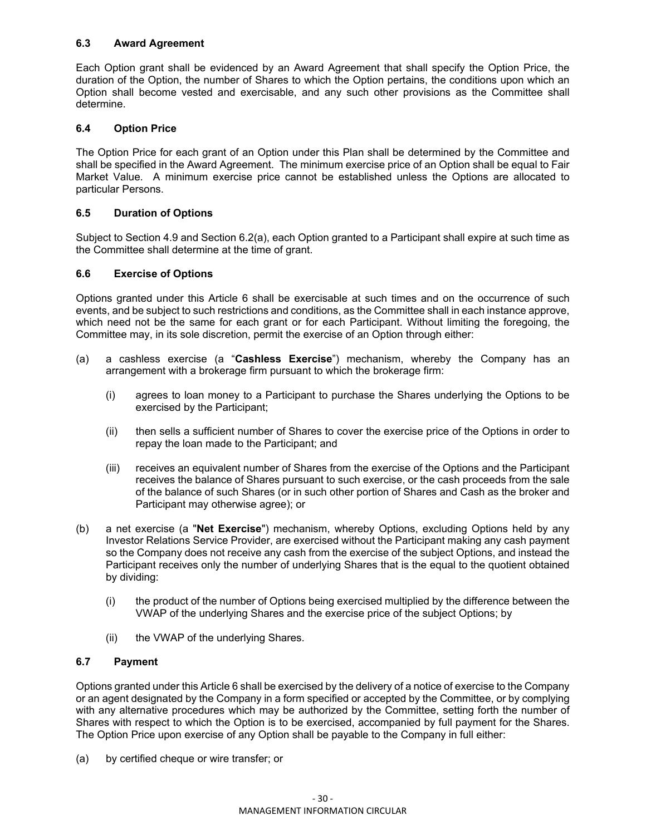## **6.3 Award Agreement**

Each Option grant shall be evidenced by an Award Agreement that shall specify the Option Price, the duration of the Option, the number of Shares to which the Option pertains, the conditions upon which an Option shall become vested and exercisable, and any such other provisions as the Committee shall determine.

## **6.4 Option Price**

The Option Price for each grant of an Option under this Plan shall be determined by the Committee and shall be specified in the Award Agreement. The minimum exercise price of an Option shall be equal to Fair Market Value. A minimum exercise price cannot be established unless the Options are allocated to particular Persons.

## **6.5 Duration of Options**

Subject to Section 4.9 and Section 6.2(a), each Option granted to a Participant shall expire at such time as the Committee shall determine at the time of grant.

## **6.6 Exercise of Options**

Options granted under this Article 6 shall be exercisable at such times and on the occurrence of such events, and be subject to such restrictions and conditions, as the Committee shall in each instance approve, which need not be the same for each grant or for each Participant. Without limiting the foregoing, the Committee may, in its sole discretion, permit the exercise of an Option through either:

- (a) a cashless exercise (a "**Cashless Exercise**") mechanism, whereby the Company has an arrangement with a brokerage firm pursuant to which the brokerage firm:
	- (i) agrees to loan money to a Participant to purchase the Shares underlying the Options to be exercised by the Participant;
	- (ii) then sells a sufficient number of Shares to cover the exercise price of the Options in order to repay the loan made to the Participant; and
	- (iii) receives an equivalent number of Shares from the exercise of the Options and the Participant receives the balance of Shares pursuant to such exercise, or the cash proceeds from the sale of the balance of such Shares (or in such other portion of Shares and Cash as the broker and Participant may otherwise agree); or
- (b) a net exercise (a "**Net Exercise**") mechanism, whereby Options, excluding Options held by any Investor Relations Service Provider, are exercised without the Participant making any cash payment so the Company does not receive any cash from the exercise of the subject Options, and instead the Participant receives only the number of underlying Shares that is the equal to the quotient obtained by dividing:
	- (i) the product of the number of Options being exercised multiplied by the difference between the VWAP of the underlying Shares and the exercise price of the subject Options; by
	- (ii) the VWAP of the underlying Shares.

#### **6.7 Payment**

Options granted under this Article 6 shall be exercised by the delivery of a notice of exercise to the Company or an agent designated by the Company in a form specified or accepted by the Committee, or by complying with any alternative procedures which may be authorized by the Committee, setting forth the number of Shares with respect to which the Option is to be exercised, accompanied by full payment for the Shares. The Option Price upon exercise of any Option shall be payable to the Company in full either:

(a) by certified cheque or wire transfer; or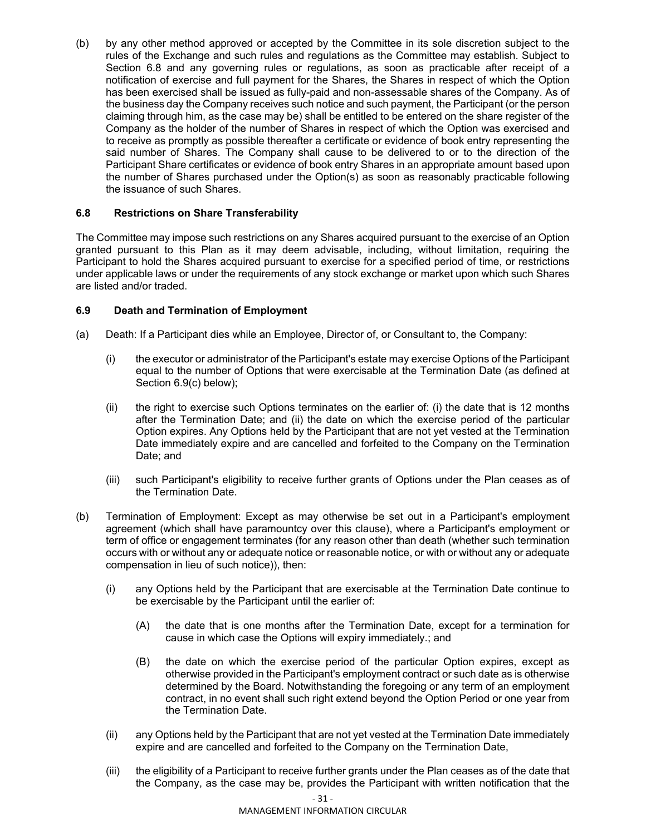(b) by any other method approved or accepted by the Committee in its sole discretion subject to the rules of the Exchange and such rules and regulations as the Committee may establish. Subject to Section 6.8 and any governing rules or regulations, as soon as practicable after receipt of a notification of exercise and full payment for the Shares, the Shares in respect of which the Option has been exercised shall be issued as fully-paid and non-assessable shares of the Company. As of the business day the Company receives such notice and such payment, the Participant (or the person claiming through him, as the case may be) shall be entitled to be entered on the share register of the Company as the holder of the number of Shares in respect of which the Option was exercised and to receive as promptly as possible thereafter a certificate or evidence of book entry representing the said number of Shares. The Company shall cause to be delivered to or to the direction of the Participant Share certificates or evidence of book entry Shares in an appropriate amount based upon the number of Shares purchased under the Option(s) as soon as reasonably practicable following the issuance of such Shares.

## **6.8 Restrictions on Share Transferability**

The Committee may impose such restrictions on any Shares acquired pursuant to the exercise of an Option granted pursuant to this Plan as it may deem advisable, including, without limitation, requiring the Participant to hold the Shares acquired pursuant to exercise for a specified period of time, or restrictions under applicable laws or under the requirements of any stock exchange or market upon which such Shares are listed and/or traded.

## **6.9 Death and Termination of Employment**

- (a) Death: If a Participant dies while an Employee, Director of, or Consultant to, the Company:
	- (i) the executor or administrator of the Participant's estate may exercise Options of the Participant equal to the number of Options that were exercisable at the Termination Date (as defined at Section 6.9(c) below);
	- (ii) the right to exercise such Options terminates on the earlier of: (i) the date that is 12 months after the Termination Date; and (ii) the date on which the exercise period of the particular Option expires. Any Options held by the Participant that are not yet vested at the Termination Date immediately expire and are cancelled and forfeited to the Company on the Termination Date; and
	- (iii) such Participant's eligibility to receive further grants of Options under the Plan ceases as of the Termination Date.
- (b) Termination of Employment: Except as may otherwise be set out in a Participant's employment agreement (which shall have paramountcy over this clause), where a Participant's employment or term of office or engagement terminates (for any reason other than death (whether such termination occurs with or without any or adequate notice or reasonable notice, or with or without any or adequate compensation in lieu of such notice)), then:
	- (i) any Options held by the Participant that are exercisable at the Termination Date continue to be exercisable by the Participant until the earlier of:
		- (A) the date that is one months after the Termination Date, except for a termination for cause in which case the Options will expiry immediately.; and
		- (B) the date on which the exercise period of the particular Option expires, except as otherwise provided in the Participant's employment contract or such date as is otherwise determined by the Board. Notwithstanding the foregoing or any term of an employment contract, in no event shall such right extend beyond the Option Period or one year from the Termination Date.
	- (ii) any Options held by the Participant that are not yet vested at the Termination Date immediately expire and are cancelled and forfeited to the Company on the Termination Date,
	- (iii) the eligibility of a Participant to receive further grants under the Plan ceases as of the date that the Company, as the case may be, provides the Participant with written notification that the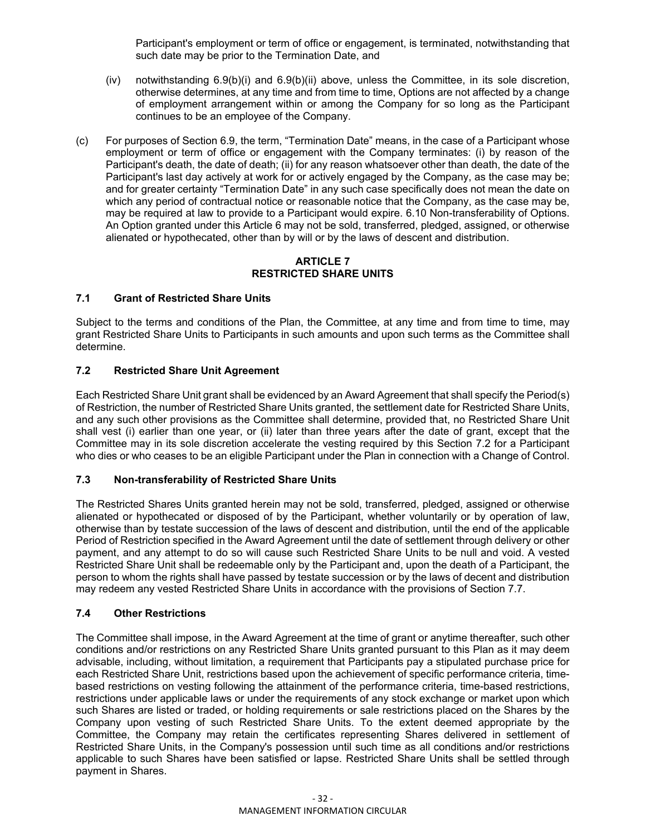Participant's employment or term of office or engagement, is terminated, notwithstanding that such date may be prior to the Termination Date, and

- (iv) notwithstanding  $6.9(b)(i)$  and  $6.9(b)(ii)$  above, unless the Committee, in its sole discretion, otherwise determines, at any time and from time to time, Options are not affected by a change of employment arrangement within or among the Company for so long as the Participant continues to be an employee of the Company.
- (c) For purposes of Section 6.9, the term, "Termination Date" means, in the case of a Participant whose employment or term of office or engagement with the Company terminates: (i) by reason of the Participant's death, the date of death; (ii) for any reason whatsoever other than death, the date of the Participant's last day actively at work for or actively engaged by the Company, as the case may be; and for greater certainty "Termination Date" in any such case specifically does not mean the date on which any period of contractual notice or reasonable notice that the Company, as the case may be, may be required at law to provide to a Participant would expire. 6.10 Non-transferability of Options. An Option granted under this Article 6 may not be sold, transferred, pledged, assigned, or otherwise alienated or hypothecated, other than by will or by the laws of descent and distribution.

## **ARTICLE 7 RESTRICTED SHARE UNITS**

## **7.1 Grant of Restricted Share Units**

Subject to the terms and conditions of the Plan, the Committee, at any time and from time to time, may grant Restricted Share Units to Participants in such amounts and upon such terms as the Committee shall determine.

## **7.2 Restricted Share Unit Agreement**

Each Restricted Share Unit grant shall be evidenced by an Award Agreement that shall specify the Period(s) of Restriction, the number of Restricted Share Units granted, the settlement date for Restricted Share Units, and any such other provisions as the Committee shall determine, provided that, no Restricted Share Unit shall vest (i) earlier than one year, or (ii) later than three years after the date of grant, except that the Committee may in its sole discretion accelerate the vesting required by this Section 7.2 for a Participant who dies or who ceases to be an eligible Participant under the Plan in connection with a Change of Control.

## **7.3 Non-transferability of Restricted Share Units**

The Restricted Shares Units granted herein may not be sold, transferred, pledged, assigned or otherwise alienated or hypothecated or disposed of by the Participant, whether voluntarily or by operation of law, otherwise than by testate succession of the laws of descent and distribution, until the end of the applicable Period of Restriction specified in the Award Agreement until the date of settlement through delivery or other payment, and any attempt to do so will cause such Restricted Share Units to be null and void. A vested Restricted Share Unit shall be redeemable only by the Participant and, upon the death of a Participant, the person to whom the rights shall have passed by testate succession or by the laws of decent and distribution may redeem any vested Restricted Share Units in accordance with the provisions of Section 7.7.

## **7.4 Other Restrictions**

The Committee shall impose, in the Award Agreement at the time of grant or anytime thereafter, such other conditions and/or restrictions on any Restricted Share Units granted pursuant to this Plan as it may deem advisable, including, without limitation, a requirement that Participants pay a stipulated purchase price for each Restricted Share Unit, restrictions based upon the achievement of specific performance criteria, timebased restrictions on vesting following the attainment of the performance criteria, time-based restrictions, restrictions under applicable laws or under the requirements of any stock exchange or market upon which such Shares are listed or traded, or holding requirements or sale restrictions placed on the Shares by the Company upon vesting of such Restricted Share Units. To the extent deemed appropriate by the Committee, the Company may retain the certificates representing Shares delivered in settlement of Restricted Share Units, in the Company's possession until such time as all conditions and/or restrictions applicable to such Shares have been satisfied or lapse. Restricted Share Units shall be settled through payment in Shares.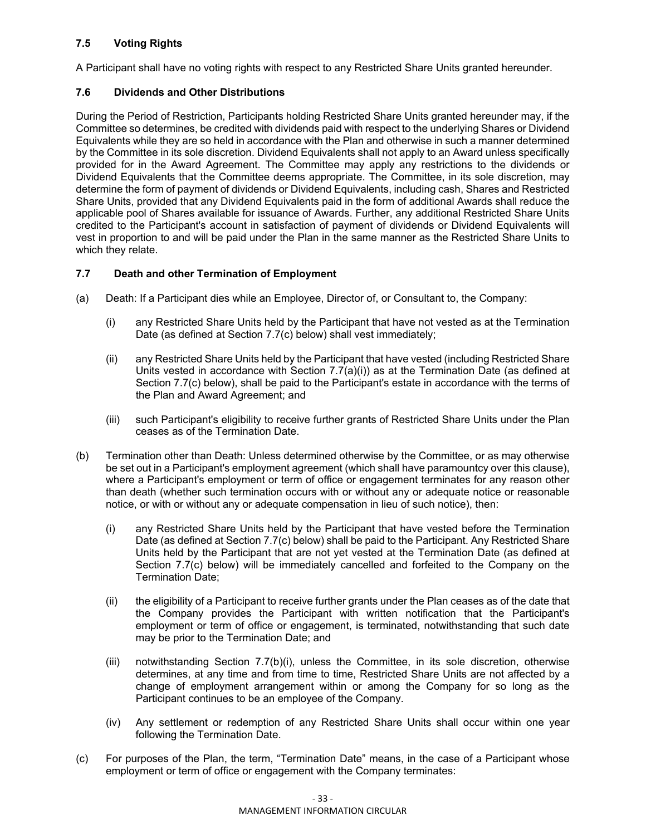## **7.5 Voting Rights**

A Participant shall have no voting rights with respect to any Restricted Share Units granted hereunder.

## **7.6 Dividends and Other Distributions**

During the Period of Restriction, Participants holding Restricted Share Units granted hereunder may, if the Committee so determines, be credited with dividends paid with respect to the underlying Shares or Dividend Equivalents while they are so held in accordance with the Plan and otherwise in such a manner determined by the Committee in its sole discretion. Dividend Equivalents shall not apply to an Award unless specifically provided for in the Award Agreement. The Committee may apply any restrictions to the dividends or Dividend Equivalents that the Committee deems appropriate. The Committee, in its sole discretion, may determine the form of payment of dividends or Dividend Equivalents, including cash, Shares and Restricted Share Units, provided that any Dividend Equivalents paid in the form of additional Awards shall reduce the applicable pool of Shares available for issuance of Awards. Further, any additional Restricted Share Units credited to the Participant's account in satisfaction of payment of dividends or Dividend Equivalents will vest in proportion to and will be paid under the Plan in the same manner as the Restricted Share Units to which they relate.

## **7.7 Death and other Termination of Employment**

- (a) Death: If a Participant dies while an Employee, Director of, or Consultant to, the Company:
	- (i) any Restricted Share Units held by the Participant that have not vested as at the Termination Date (as defined at Section 7.7(c) below) shall vest immediately;
	- (ii) any Restricted Share Units held by the Participant that have vested (including Restricted Share Units vested in accordance with Section 7.7(a)(i)) as at the Termination Date (as defined at Section 7.7(c) below), shall be paid to the Participant's estate in accordance with the terms of the Plan and Award Agreement; and
	- (iii) such Participant's eligibility to receive further grants of Restricted Share Units under the Plan ceases as of the Termination Date.
- (b) Termination other than Death: Unless determined otherwise by the Committee, or as may otherwise be set out in a Participant's employment agreement (which shall have paramountcy over this clause), where a Participant's employment or term of office or engagement terminates for any reason other than death (whether such termination occurs with or without any or adequate notice or reasonable notice, or with or without any or adequate compensation in lieu of such notice), then:
	- (i) any Restricted Share Units held by the Participant that have vested before the Termination Date (as defined at Section 7.7(c) below) shall be paid to the Participant. Any Restricted Share Units held by the Participant that are not yet vested at the Termination Date (as defined at Section 7.7(c) below) will be immediately cancelled and forfeited to the Company on the Termination Date;
	- (ii) the eligibility of a Participant to receive further grants under the Plan ceases as of the date that the Company provides the Participant with written notification that the Participant's employment or term of office or engagement, is terminated, notwithstanding that such date may be prior to the Termination Date; and
	- (iii) notwithstanding Section 7.7(b)(i), unless the Committee, in its sole discretion, otherwise determines, at any time and from time to time, Restricted Share Units are not affected by a change of employment arrangement within or among the Company for so long as the Participant continues to be an employee of the Company.
	- (iv) Any settlement or redemption of any Restricted Share Units shall occur within one year following the Termination Date.
- (c) For purposes of the Plan, the term, "Termination Date" means, in the case of a Participant whose employment or term of office or engagement with the Company terminates: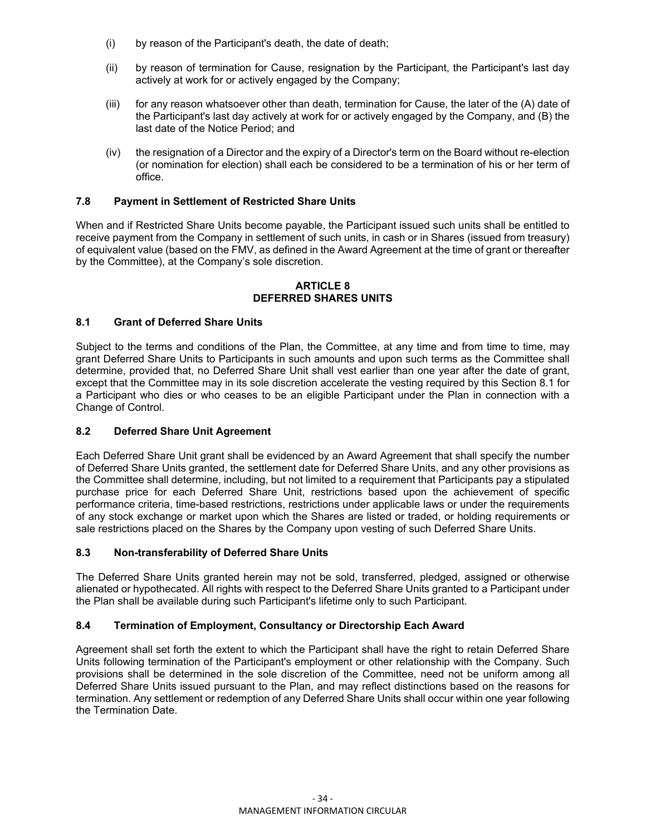- (i) by reason of the Participant's death, the date of death;
- (ii) by reason of termination for Cause, resignation by the Participant, the Participant's last day actively at work for or actively engaged by the Company;
- (iii) for any reason whatsoever other than death, termination for Cause, the later of the (A) date of the Participant's last day actively at work for or actively engaged by the Company, and (B) the last date of the Notice Period; and
- (iv) the resignation of a Director and the expiry of a Director's term on the Board without re-election (or nomination for election) shall each be considered to be a termination of his or her term of office.

## **7.8 Payment in Settlement of Restricted Share Units**

When and if Restricted Share Units become payable, the Participant issued such units shall be entitled to receive payment from the Company in settlement of such units, in cash or in Shares (issued from treasury) of equivalent value (based on the FMV, as defined in the Award Agreement at the time of grant or thereafter by the Committee), at the Company's sole discretion.

#### **ARTICLE 8 DEFERRED SHARES UNITS**

### **8.1 Grant of Deferred Share Units**

Subject to the terms and conditions of the Plan, the Committee, at any time and from time to time, may grant Deferred Share Units to Participants in such amounts and upon such terms as the Committee shall determine, provided that, no Deferred Share Unit shall vest earlier than one year after the date of grant, except that the Committee may in its sole discretion accelerate the vesting required by this Section 8.1 for a Participant who dies or who ceases to be an eligible Participant under the Plan in connection with a Change of Control.

#### **8.2 Deferred Share Unit Agreement**

Each Deferred Share Unit grant shall be evidenced by an Award Agreement that shall specify the number of Deferred Share Units granted, the settlement date for Deferred Share Units, and any other provisions as the Committee shall determine, including, but not limited to a requirement that Participants pay a stipulated purchase price for each Deferred Share Unit, restrictions based upon the achievement of specific performance criteria, time-based restrictions, restrictions under applicable laws or under the requirements of any stock exchange or market upon which the Shares are listed or traded, or holding requirements or sale restrictions placed on the Shares by the Company upon vesting of such Deferred Share Units.

#### **8.3 Non-transferability of Deferred Share Units**

The Deferred Share Units granted herein may not be sold, transferred, pledged, assigned or otherwise alienated or hypothecated. All rights with respect to the Deferred Share Units granted to a Participant under the Plan shall be available during such Participant's lifetime only to such Participant.

#### **8.4 Termination of Employment, Consultancy or Directorship Each Award**

Agreement shall set forth the extent to which the Participant shall have the right to retain Deferred Share Units following termination of the Participant's employment or other relationship with the Company. Such provisions shall be determined in the sole discretion of the Committee, need not be uniform among all Deferred Share Units issued pursuant to the Plan, and may reflect distinctions based on the reasons for termination. Any settlement or redemption of any Deferred Share Units shall occur within one year following the Termination Date.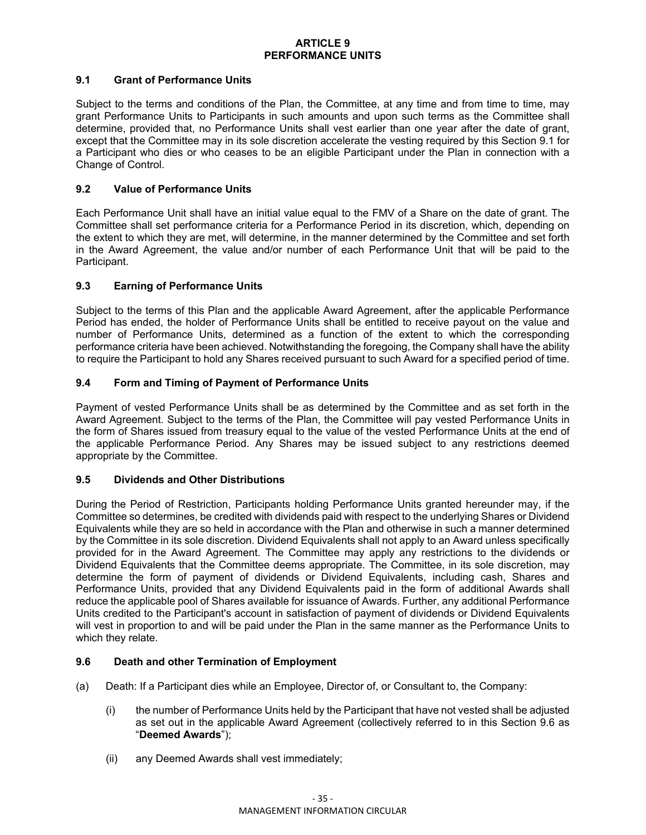### **ARTICLE 9 PERFORMANCE UNITS**

## **9.1 Grant of Performance Units**

Subject to the terms and conditions of the Plan, the Committee, at any time and from time to time, may grant Performance Units to Participants in such amounts and upon such terms as the Committee shall determine, provided that, no Performance Units shall vest earlier than one year after the date of grant, except that the Committee may in its sole discretion accelerate the vesting required by this Section 9.1 for a Participant who dies or who ceases to be an eligible Participant under the Plan in connection with a Change of Control.

## **9.2 Value of Performance Units**

Each Performance Unit shall have an initial value equal to the FMV of a Share on the date of grant. The Committee shall set performance criteria for a Performance Period in its discretion, which, depending on the extent to which they are met, will determine, in the manner determined by the Committee and set forth in the Award Agreement, the value and/or number of each Performance Unit that will be paid to the Participant.

## **9.3 Earning of Performance Units**

Subject to the terms of this Plan and the applicable Award Agreement, after the applicable Performance Period has ended, the holder of Performance Units shall be entitled to receive payout on the value and number of Performance Units, determined as a function of the extent to which the corresponding performance criteria have been achieved. Notwithstanding the foregoing, the Company shall have the ability to require the Participant to hold any Shares received pursuant to such Award for a specified period of time.

## **9.4 Form and Timing of Payment of Performance Units**

Payment of vested Performance Units shall be as determined by the Committee and as set forth in the Award Agreement. Subject to the terms of the Plan, the Committee will pay vested Performance Units in the form of Shares issued from treasury equal to the value of the vested Performance Units at the end of the applicable Performance Period. Any Shares may be issued subject to any restrictions deemed appropriate by the Committee.

#### **9.5 Dividends and Other Distributions**

During the Period of Restriction, Participants holding Performance Units granted hereunder may, if the Committee so determines, be credited with dividends paid with respect to the underlying Shares or Dividend Equivalents while they are so held in accordance with the Plan and otherwise in such a manner determined by the Committee in its sole discretion. Dividend Equivalents shall not apply to an Award unless specifically provided for in the Award Agreement. The Committee may apply any restrictions to the dividends or Dividend Equivalents that the Committee deems appropriate. The Committee, in its sole discretion, may determine the form of payment of dividends or Dividend Equivalents, including cash, Shares and Performance Units, provided that any Dividend Equivalents paid in the form of additional Awards shall reduce the applicable pool of Shares available for issuance of Awards. Further, any additional Performance Units credited to the Participant's account in satisfaction of payment of dividends or Dividend Equivalents will vest in proportion to and will be paid under the Plan in the same manner as the Performance Units to which they relate.

#### **9.6 Death and other Termination of Employment**

- (a) Death: If a Participant dies while an Employee, Director of, or Consultant to, the Company:
	- (i) the number of Performance Units held by the Participant that have not vested shall be adjusted as set out in the applicable Award Agreement (collectively referred to in this Section 9.6 as "**Deemed Awards**");
	- (ii) any Deemed Awards shall vest immediately;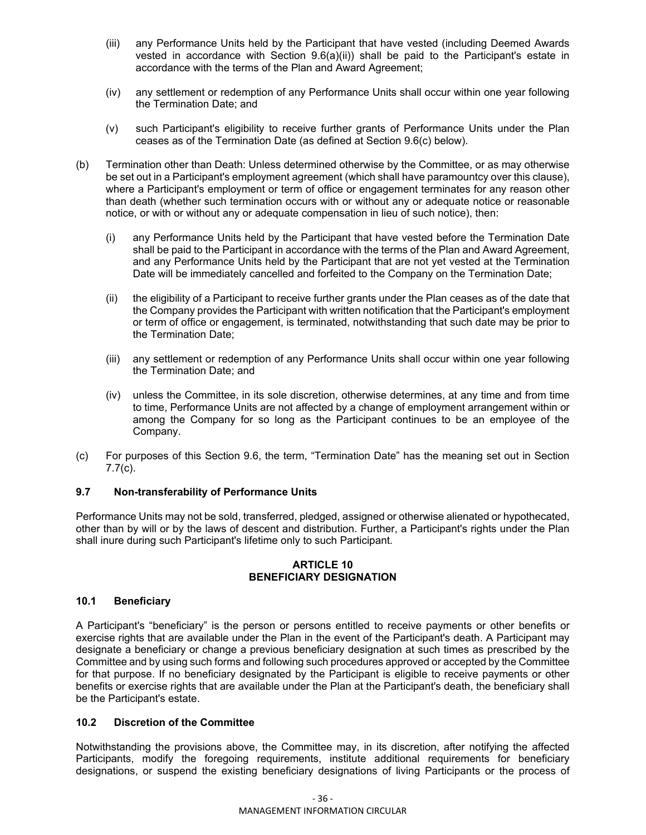- (iii) any Performance Units held by the Participant that have vested (including Deemed Awards vested in accordance with Section 9.6(a)(ii)) shall be paid to the Participant's estate in accordance with the terms of the Plan and Award Agreement;
- (iv) any settlement or redemption of any Performance Units shall occur within one year following the Termination Date; and
- (v) such Participant's eligibility to receive further grants of Performance Units under the Plan ceases as of the Termination Date (as defined at Section 9.6(c) below).
- (b) Termination other than Death: Unless determined otherwise by the Committee, or as may otherwise be set out in a Participant's employment agreement (which shall have paramountcy over this clause), where a Participant's employment or term of office or engagement terminates for any reason other than death (whether such termination occurs with or without any or adequate notice or reasonable notice, or with or without any or adequate compensation in lieu of such notice), then:
	- (i) any Performance Units held by the Participant that have vested before the Termination Date shall be paid to the Participant in accordance with the terms of the Plan and Award Agreement, and any Performance Units held by the Participant that are not yet vested at the Termination Date will be immediately cancelled and forfeited to the Company on the Termination Date;
	- (ii) the eligibility of a Participant to receive further grants under the Plan ceases as of the date that the Company provides the Participant with written notification that the Participant's employment or term of office or engagement, is terminated, notwithstanding that such date may be prior to the Termination Date;
	- (iii) any settlement or redemption of any Performance Units shall occur within one year following the Termination Date; and
	- (iv) unless the Committee, in its sole discretion, otherwise determines, at any time and from time to time, Performance Units are not affected by a change of employment arrangement within or among the Company for so long as the Participant continues to be an employee of the Company.
- (c) For purposes of this Section 9.6, the term, "Termination Date" has the meaning set out in Section 7.7(c).

#### **9.7 Non-transferability of Performance Units**

Performance Units may not be sold, transferred, pledged, assigned or otherwise alienated or hypothecated, other than by will or by the laws of descent and distribution. Further, a Participant's rights under the Plan shall inure during such Participant's lifetime only to such Participant.

#### **ARTICLE 10 BENEFICIARY DESIGNATION**

#### **10.1 Beneficiary**

A Participant's "beneficiary" is the person or persons entitled to receive payments or other benefits or exercise rights that are available under the Plan in the event of the Participant's death. A Participant may designate a beneficiary or change a previous beneficiary designation at such times as prescribed by the Committee and by using such forms and following such procedures approved or accepted by the Committee for that purpose. If no beneficiary designated by the Participant is eligible to receive payments or other benefits or exercise rights that are available under the Plan at the Participant's death, the beneficiary shall be the Participant's estate.

#### **10.2 Discretion of the Committee**

Notwithstanding the provisions above, the Committee may, in its discretion, after notifying the affected Participants, modify the foregoing requirements, institute additional requirements for beneficiary designations, or suspend the existing beneficiary designations of living Participants or the process of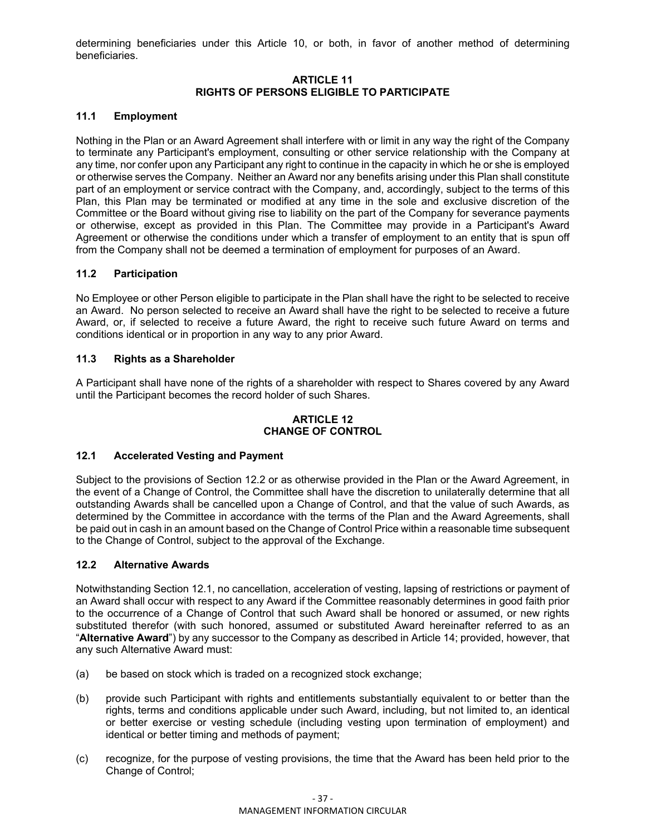determining beneficiaries under this Article 10, or both, in favor of another method of determining beneficiaries.

#### **ARTICLE 11 RIGHTS OF PERSONS ELIGIBLE TO PARTICIPATE**

## **11.1 Employment**

Nothing in the Plan or an Award Agreement shall interfere with or limit in any way the right of the Company to terminate any Participant's employment, consulting or other service relationship with the Company at any time, nor confer upon any Participant any right to continue in the capacity in which he or she is employed or otherwise serves the Company. Neither an Award nor any benefits arising under this Plan shall constitute part of an employment or service contract with the Company, and, accordingly, subject to the terms of this Plan, this Plan may be terminated or modified at any time in the sole and exclusive discretion of the Committee or the Board without giving rise to liability on the part of the Company for severance payments or otherwise, except as provided in this Plan. The Committee may provide in a Participant's Award Agreement or otherwise the conditions under which a transfer of employment to an entity that is spun off from the Company shall not be deemed a termination of employment for purposes of an Award.

## **11.2 Participation**

No Employee or other Person eligible to participate in the Plan shall have the right to be selected to receive an Award. No person selected to receive an Award shall have the right to be selected to receive a future Award, or, if selected to receive a future Award, the right to receive such future Award on terms and conditions identical or in proportion in any way to any prior Award.

## **11.3 Rights as a Shareholder**

A Participant shall have none of the rights of a shareholder with respect to Shares covered by any Award until the Participant becomes the record holder of such Shares.

## **ARTICLE 12 CHANGE OF CONTROL**

#### **12.1 Accelerated Vesting and Payment**

Subject to the provisions of Section 12.2 or as otherwise provided in the Plan or the Award Agreement, in the event of a Change of Control, the Committee shall have the discretion to unilaterally determine that all outstanding Awards shall be cancelled upon a Change of Control, and that the value of such Awards, as determined by the Committee in accordance with the terms of the Plan and the Award Agreements, shall be paid out in cash in an amount based on the Change of Control Price within a reasonable time subsequent to the Change of Control, subject to the approval of the Exchange.

#### **12.2 Alternative Awards**

Notwithstanding Section 12.1, no cancellation, acceleration of vesting, lapsing of restrictions or payment of an Award shall occur with respect to any Award if the Committee reasonably determines in good faith prior to the occurrence of a Change of Control that such Award shall be honored or assumed, or new rights substituted therefor (with such honored, assumed or substituted Award hereinafter referred to as an "**Alternative Award**") by any successor to the Company as described in Article 14; provided, however, that any such Alternative Award must:

- (a) be based on stock which is traded on a recognized stock exchange;
- (b) provide such Participant with rights and entitlements substantially equivalent to or better than the rights, terms and conditions applicable under such Award, including, but not limited to, an identical or better exercise or vesting schedule (including vesting upon termination of employment) and identical or better timing and methods of payment;
- (c) recognize, for the purpose of vesting provisions, the time that the Award has been held prior to the Change of Control;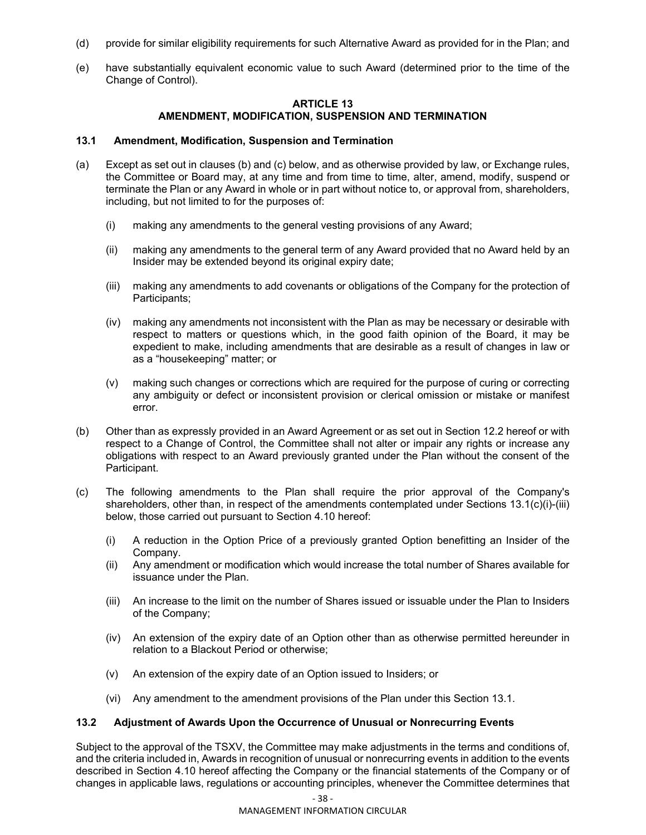- (d) provide for similar eligibility requirements for such Alternative Award as provided for in the Plan; and
- (e) have substantially equivalent economic value to such Award (determined prior to the time of the Change of Control).

#### **ARTICLE 13 AMENDMENT, MODIFICATION, SUSPENSION AND TERMINATION**

#### **13.1 Amendment, Modification, Suspension and Termination**

- (a) Except as set out in clauses (b) and (c) below, and as otherwise provided by law, or Exchange rules, the Committee or Board may, at any time and from time to time, alter, amend, modify, suspend or terminate the Plan or any Award in whole or in part without notice to, or approval from, shareholders, including, but not limited to for the purposes of:
	- (i) making any amendments to the general vesting provisions of any Award;
	- (ii) making any amendments to the general term of any Award provided that no Award held by an Insider may be extended beyond its original expiry date;
	- (iii) making any amendments to add covenants or obligations of the Company for the protection of Participants;
	- (iv) making any amendments not inconsistent with the Plan as may be necessary or desirable with respect to matters or questions which, in the good faith opinion of the Board, it may be expedient to make, including amendments that are desirable as a result of changes in law or as a "housekeeping" matter; or
	- (v) making such changes or corrections which are required for the purpose of curing or correcting any ambiguity or defect or inconsistent provision or clerical omission or mistake or manifest error.
- (b) Other than as expressly provided in an Award Agreement or as set out in Section 12.2 hereof or with respect to a Change of Control, the Committee shall not alter or impair any rights or increase any obligations with respect to an Award previously granted under the Plan without the consent of the Participant.
- (c) The following amendments to the Plan shall require the prior approval of the Company's shareholders, other than, in respect of the amendments contemplated under Sections 13.1(c)(i)-(iii) below, those carried out pursuant to Section 4.10 hereof:
	- (i) A reduction in the Option Price of a previously granted Option benefitting an Insider of the Company.
	- (ii) Any amendment or modification which would increase the total number of Shares available for issuance under the Plan.
	- (iii) An increase to the limit on the number of Shares issued or issuable under the Plan to Insiders of the Company;
	- (iv) An extension of the expiry date of an Option other than as otherwise permitted hereunder in relation to a Blackout Period or otherwise;
	- (v) An extension of the expiry date of an Option issued to Insiders; or
	- (vi) Any amendment to the amendment provisions of the Plan under this Section 13.1.

#### **13.2 Adjustment of Awards Upon the Occurrence of Unusual or Nonrecurring Events**

Subject to the approval of the TSXV, the Committee may make adjustments in the terms and conditions of, and the criteria included in, Awards in recognition of unusual or nonrecurring events in addition to the events described in Section 4.10 hereof affecting the Company or the financial statements of the Company or of changes in applicable laws, regulations or accounting principles, whenever the Committee determines that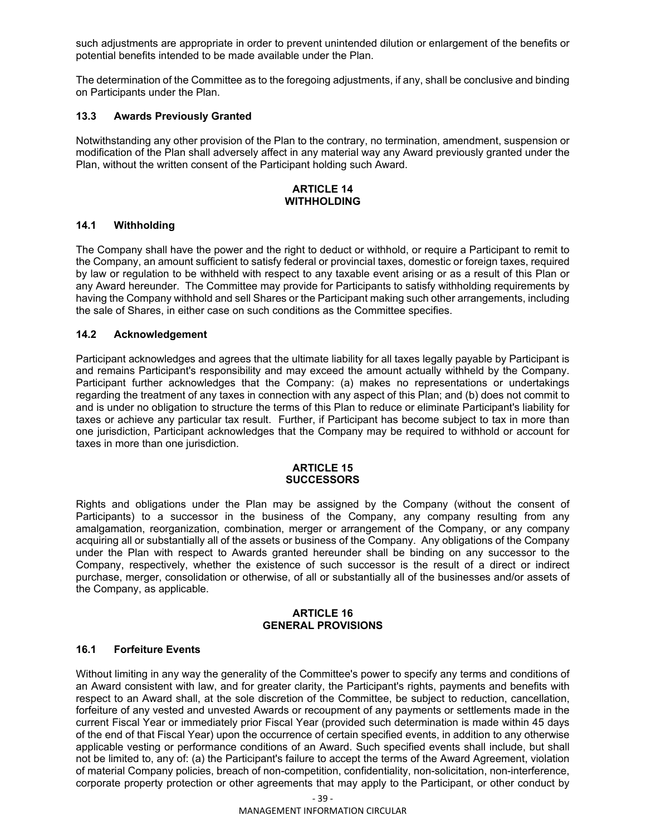such adjustments are appropriate in order to prevent unintended dilution or enlargement of the benefits or potential benefits intended to be made available under the Plan.

The determination of the Committee as to the foregoing adjustments, if any, shall be conclusive and binding on Participants under the Plan.

### **13.3 Awards Previously Granted**

Notwithstanding any other provision of the Plan to the contrary, no termination, amendment, suspension or modification of the Plan shall adversely affect in any material way any Award previously granted under the Plan, without the written consent of the Participant holding such Award.

#### **ARTICLE 14 WITHHOLDING**

#### **14.1 Withholding**

The Company shall have the power and the right to deduct or withhold, or require a Participant to remit to the Company, an amount sufficient to satisfy federal or provincial taxes, domestic or foreign taxes, required by law or regulation to be withheld with respect to any taxable event arising or as a result of this Plan or any Award hereunder. The Committee may provide for Participants to satisfy withholding requirements by having the Company withhold and sell Shares or the Participant making such other arrangements, including the sale of Shares, in either case on such conditions as the Committee specifies.

### **14.2 Acknowledgement**

Participant acknowledges and agrees that the ultimate liability for all taxes legally payable by Participant is and remains Participant's responsibility and may exceed the amount actually withheld by the Company. Participant further acknowledges that the Company: (a) makes no representations or undertakings regarding the treatment of any taxes in connection with any aspect of this Plan; and (b) does not commit to and is under no obligation to structure the terms of this Plan to reduce or eliminate Participant's liability for taxes or achieve any particular tax result. Further, if Participant has become subject to tax in more than one jurisdiction, Participant acknowledges that the Company may be required to withhold or account for taxes in more than one jurisdiction.

#### **ARTICLE 15 SUCCESSORS**

Rights and obligations under the Plan may be assigned by the Company (without the consent of Participants) to a successor in the business of the Company, any company resulting from any amalgamation, reorganization, combination, merger or arrangement of the Company, or any company acquiring all or substantially all of the assets or business of the Company. Any obligations of the Company under the Plan with respect to Awards granted hereunder shall be binding on any successor to the Company, respectively, whether the existence of such successor is the result of a direct or indirect purchase, merger, consolidation or otherwise, of all or substantially all of the businesses and/or assets of the Company, as applicable.

## **ARTICLE 16 GENERAL PROVISIONS**

## **16.1 Forfeiture Events**

Without limiting in any way the generality of the Committee's power to specify any terms and conditions of an Award consistent with law, and for greater clarity, the Participant's rights, payments and benefits with respect to an Award shall, at the sole discretion of the Committee, be subject to reduction, cancellation, forfeiture of any vested and unvested Awards or recoupment of any payments or settlements made in the current Fiscal Year or immediately prior Fiscal Year (provided such determination is made within 45 days of the end of that Fiscal Year) upon the occurrence of certain specified events, in addition to any otherwise applicable vesting or performance conditions of an Award. Such specified events shall include, but shall not be limited to, any of: (a) the Participant's failure to accept the terms of the Award Agreement, violation of material Company policies, breach of non-competition, confidentiality, non-solicitation, non-interference, corporate property protection or other agreements that may apply to the Participant, or other conduct by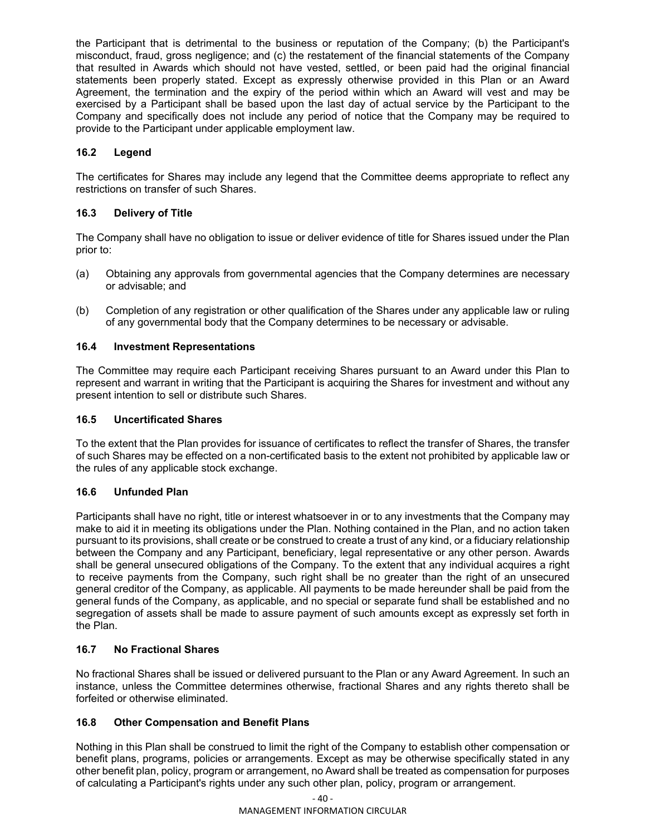the Participant that is detrimental to the business or reputation of the Company; (b) the Participant's misconduct, fraud, gross negligence; and (c) the restatement of the financial statements of the Company that resulted in Awards which should not have vested, settled, or been paid had the original financial statements been properly stated. Except as expressly otherwise provided in this Plan or an Award Agreement, the termination and the expiry of the period within which an Award will vest and may be exercised by a Participant shall be based upon the last day of actual service by the Participant to the Company and specifically does not include any period of notice that the Company may be required to provide to the Participant under applicable employment law.

## **16.2 Legend**

The certificates for Shares may include any legend that the Committee deems appropriate to reflect any restrictions on transfer of such Shares.

## **16.3 Delivery of Title**

The Company shall have no obligation to issue or deliver evidence of title for Shares issued under the Plan prior to:

- (a) Obtaining any approvals from governmental agencies that the Company determines are necessary or advisable; and
- (b) Completion of any registration or other qualification of the Shares under any applicable law or ruling of any governmental body that the Company determines to be necessary or advisable.

## **16.4 Investment Representations**

The Committee may require each Participant receiving Shares pursuant to an Award under this Plan to represent and warrant in writing that the Participant is acquiring the Shares for investment and without any present intention to sell or distribute such Shares.

### **16.5 Uncertificated Shares**

To the extent that the Plan provides for issuance of certificates to reflect the transfer of Shares, the transfer of such Shares may be effected on a non-certificated basis to the extent not prohibited by applicable law or the rules of any applicable stock exchange.

## **16.6 Unfunded Plan**

Participants shall have no right, title or interest whatsoever in or to any investments that the Company may make to aid it in meeting its obligations under the Plan. Nothing contained in the Plan, and no action taken pursuant to its provisions, shall create or be construed to create a trust of any kind, or a fiduciary relationship between the Company and any Participant, beneficiary, legal representative or any other person. Awards shall be general unsecured obligations of the Company. To the extent that any individual acquires a right to receive payments from the Company, such right shall be no greater than the right of an unsecured general creditor of the Company, as applicable. All payments to be made hereunder shall be paid from the general funds of the Company, as applicable, and no special or separate fund shall be established and no segregation of assets shall be made to assure payment of such amounts except as expressly set forth in the Plan.

## **16.7 No Fractional Shares**

No fractional Shares shall be issued or delivered pursuant to the Plan or any Award Agreement. In such an instance, unless the Committee determines otherwise, fractional Shares and any rights thereto shall be forfeited or otherwise eliminated.

## **16.8 Other Compensation and Benefit Plans**

Nothing in this Plan shall be construed to limit the right of the Company to establish other compensation or benefit plans, programs, policies or arrangements. Except as may be otherwise specifically stated in any other benefit plan, policy, program or arrangement, no Award shall be treated as compensation for purposes of calculating a Participant's rights under any such other plan, policy, program or arrangement.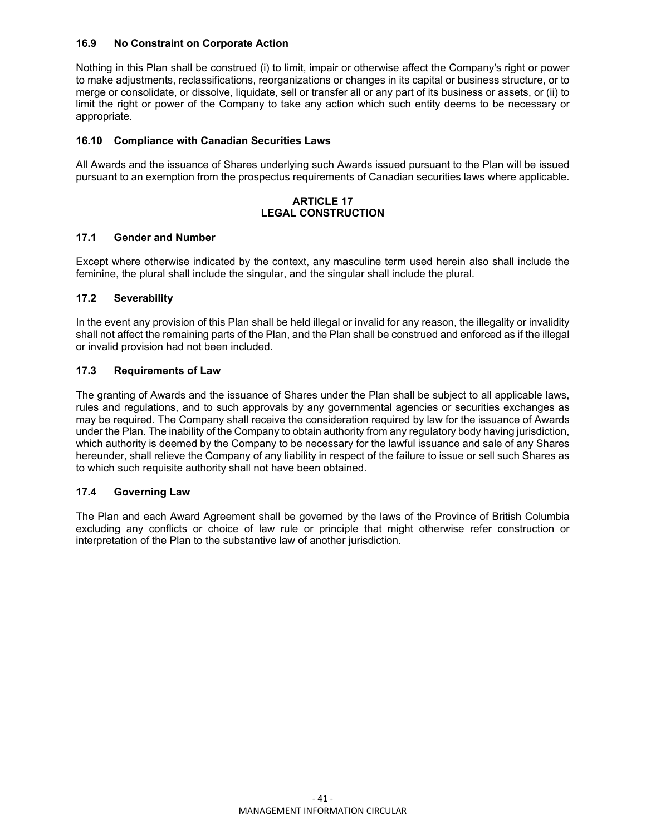## **16.9 No Constraint on Corporate Action**

Nothing in this Plan shall be construed (i) to limit, impair or otherwise affect the Company's right or power to make adjustments, reclassifications, reorganizations or changes in its capital or business structure, or to merge or consolidate, or dissolve, liquidate, sell or transfer all or any part of its business or assets, or (ii) to limit the right or power of the Company to take any action which such entity deems to be necessary or appropriate.

## **16.10 Compliance with Canadian Securities Laws**

All Awards and the issuance of Shares underlying such Awards issued pursuant to the Plan will be issued pursuant to an exemption from the prospectus requirements of Canadian securities laws where applicable.

## **ARTICLE 17 LEGAL CONSTRUCTION**

#### **17.1 Gender and Number**

Except where otherwise indicated by the context, any masculine term used herein also shall include the feminine, the plural shall include the singular, and the singular shall include the plural.

## **17.2 Severability**

In the event any provision of this Plan shall be held illegal or invalid for any reason, the illegality or invalidity shall not affect the remaining parts of the Plan, and the Plan shall be construed and enforced as if the illegal or invalid provision had not been included.

## **17.3 Requirements of Law**

The granting of Awards and the issuance of Shares under the Plan shall be subject to all applicable laws, rules and regulations, and to such approvals by any governmental agencies or securities exchanges as may be required. The Company shall receive the consideration required by law for the issuance of Awards under the Plan. The inability of the Company to obtain authority from any regulatory body having jurisdiction, which authority is deemed by the Company to be necessary for the lawful issuance and sale of any Shares hereunder, shall relieve the Company of any liability in respect of the failure to issue or sell such Shares as to which such requisite authority shall not have been obtained.

#### **17.4 Governing Law**

The Plan and each Award Agreement shall be governed by the laws of the Province of British Columbia excluding any conflicts or choice of law rule or principle that might otherwise refer construction or interpretation of the Plan to the substantive law of another jurisdiction.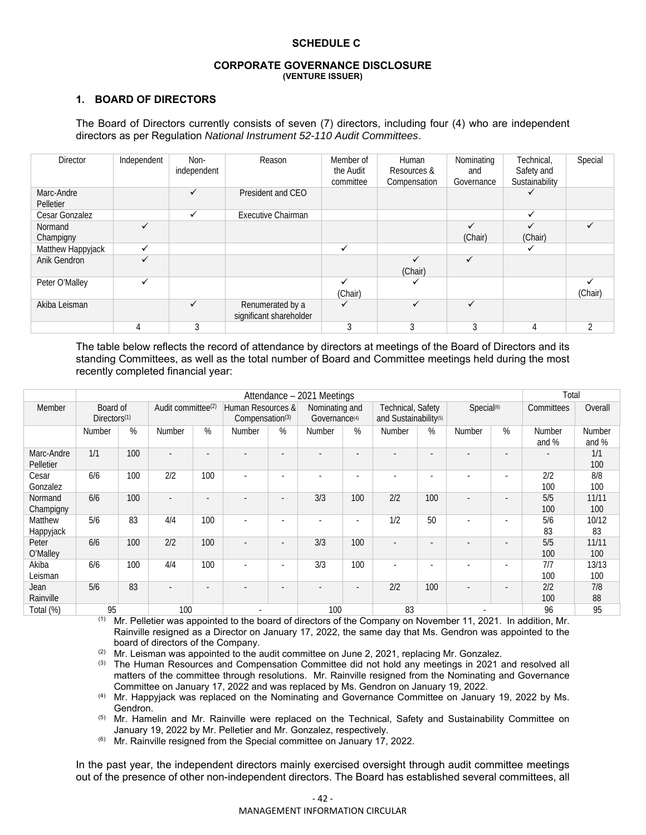#### **SCHEDULE C**

#### **CORPORATE GOVERNANCE DISCLOSURE (VENTURE ISSUER)**

## **1. BOARD OF DIRECTORS**

#### The Board of Directors currently consists of seven (7) directors, including four (4) who are independent directors as per Regulation *National Instrument 52-110 Audit Committees*.

| <b>Director</b>         | Independent  | Non-<br>independent | Reason                                      | Member of<br>the Audit<br>committee | Human<br>Resources &<br>Compensation | Nominating<br>and<br>Governance | Technical.<br>Safety and<br>Sustainability | Special        |
|-------------------------|--------------|---------------------|---------------------------------------------|-------------------------------------|--------------------------------------|---------------------------------|--------------------------------------------|----------------|
| Marc-Andre<br>Pelletier |              | ✓                   | President and CEO                           |                                     |                                      |                                 |                                            |                |
| Cesar Gonzalez          |              | $\checkmark$        | <b>Executive Chairman</b>                   |                                     |                                      |                                 | ✓                                          |                |
| Normand<br>Champigny    | ✓            |                     |                                             |                                     |                                      | (Chair)                         | (Chair)                                    | ✓              |
| Matthew Happyjack       | $\checkmark$ |                     |                                             | ✓                                   |                                      |                                 | ✓                                          |                |
| Anik Gendron            | ✓            |                     |                                             |                                     | (Chair)                              | ✓                               |                                            |                |
| Peter O'Malley          | $\checkmark$ |                     |                                             | ✓<br>(Chair)                        |                                      |                                 |                                            | ✓<br>(Chair)   |
| Akiba Leisman           |              | ✓                   | Renumerated by a<br>significant shareholder | ✓                                   | ✓                                    | $\checkmark$                    |                                            |                |
|                         |              |                     |                                             |                                     |                                      |                                 | 4                                          | $\mathfrak{D}$ |

The table below reflects the record of attendance by directors at meetings of the Board of Directors and its standing Committees, as well as the total number of Board and Committee meetings held during the most recently completed financial year:

|                         | Attendance - 2021 Meetings           |     |                                |                          |                                      |                          |                                             |                          |                                                        |     | Total                  |                          |                          |                 |
|-------------------------|--------------------------------------|-----|--------------------------------|--------------------------|--------------------------------------|--------------------------|---------------------------------------------|--------------------------|--------------------------------------------------------|-----|------------------------|--------------------------|--------------------------|-----------------|
| Member                  | Board of<br>Directors <sup>(1)</sup> |     | Audit committee <sup>(2)</sup> |                          | Human Resources &<br>Compensation(3) |                          | Nominating and<br>Governance <sup>(4)</sup> |                          | Technical, Safety<br>and Sustainability <sup>(5)</sup> |     | Special <sup>(6)</sup> |                          | Committees               | Overall         |
|                         | Number                               | %   | Number                         | %                        | <b>Number</b>                        | %                        | Number                                      | %                        | <b>Number</b>                                          | %   | Number                 | %                        | <b>Number</b><br>and $%$ | Number<br>and % |
| Marc-Andre<br>Pelletier | 1/1                                  | 100 | ٠                              | ٠                        |                                      |                          |                                             | ٠                        |                                                        |     |                        |                          |                          | 1/1<br>100      |
| Cesar<br>Gonzalez       | 6/6                                  | 100 | 2/2                            | 100                      |                                      |                          | $\overline{\phantom{a}}$                    | $\overline{\phantom{a}}$ |                                                        | ٠   |                        | $\overline{\phantom{a}}$ | 2/2<br>100               | 8/8<br>100      |
| Normand<br>Champigny    | 6/6                                  | 100 | $\overline{\phantom{a}}$       | $\overline{\phantom{a}}$ |                                      | $\overline{a}$           | 3/3                                         | 100                      | 2/2                                                    | 100 |                        |                          | 5/5<br>100               | 11/11<br>100    |
| Matthew<br>Happyjack    | 5/6                                  | 83  | 4/4                            | 100                      |                                      |                          |                                             | ٠                        | 1/2                                                    | 50  |                        |                          | 5/6<br>83                | 10/12<br>83     |
| Peter<br>O'Malley       | 6/6                                  | 100 | 2/2                            | 100                      |                                      | $\sim$                   | 3/3                                         | 100                      |                                                        | ۰   |                        |                          | 5/5<br>100               | 11/11<br>100    |
| Akiba<br>Leisman        | 6/6                                  | 100 | 4/4                            | 100                      |                                      | $\overline{\phantom{a}}$ | 3/3                                         | 100                      |                                                        |     |                        |                          | 7/7<br>100               | 13/13<br>100    |
| Jean<br>Rainville       | 5/6                                  | 83  | $\overline{\phantom{a}}$       | ٠                        |                                      |                          |                                             | ٠                        | 2/2                                                    | 100 |                        |                          | 2/2<br>100               | 7/8<br>88       |
| Total (%)               | 95                                   |     | 100                            |                          |                                      |                          | 100                                         |                          | 83                                                     |     |                        |                          | 96                       | 95              |

(1) Mr. Pelletier was appointed to the board of directors of the Company on November 11, 2021. In addition, Mr. Rainville resigned as a Director on January 17, 2022, the same day that Ms. Gendron was appointed to the board of directors of the Company.

 $(2)$  Mr. Leisman was appointed to the audit committee on June 2, 2021, replacing Mr. Gonzalez.

<sup>(3)</sup> The Human Resources and Compensation Committee did not hold any meetings in 2021 and resolved all matters of the committee through resolutions. Mr. Rainville resigned from the Nominating and Governance Committee on January 17, 2022 and was replaced by Ms. Gendron on January 19, 2022.

(4) Mr. Happyjack was replaced on the Nominating and Governance Committee on January 19, 2022 by Ms. Gendron.

<sup>(5)</sup> Mr. Hamelin and Mr. Rainville were replaced on the Technical, Safety and Sustainability Committee on January 19, 2022 by Mr. Pelletier and Mr. Gonzalez, respectively.

 $(6)$  Mr. Rainville resigned from the Special committee on January 17, 2022.

In the past year, the independent directors mainly exercised oversight through audit committee meetings out of the presence of other non-independent directors. The Board has established several committees, all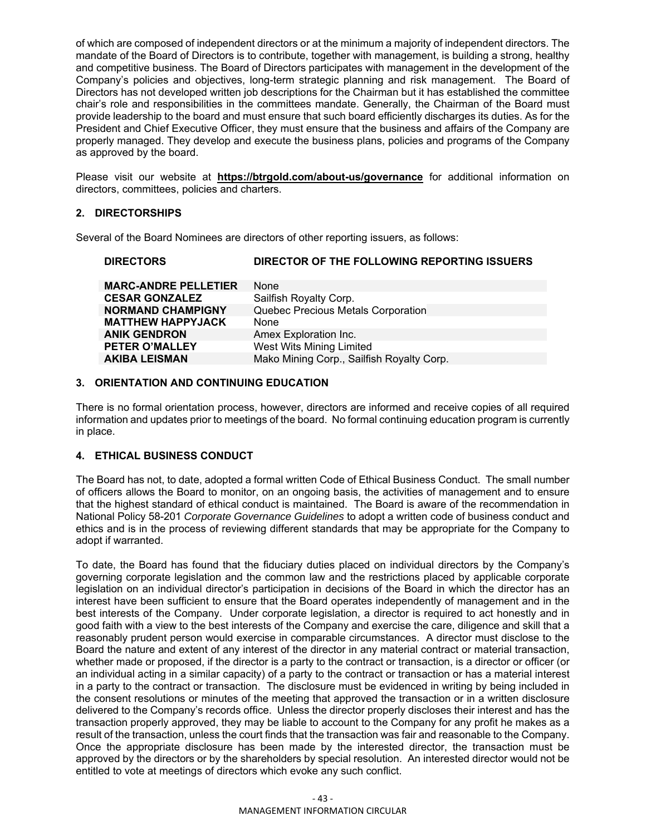of which are composed of independent directors or at the minimum a majority of independent directors. The mandate of the Board of Directors is to contribute, together with management, is building a strong, healthy and competitive business. The Board of Directors participates with management in the development of the Company's policies and objectives, long-term strategic planning and risk management. The Board of Directors has not developed written job descriptions for the Chairman but it has established the committee chair's role and responsibilities in the committees mandate. Generally, the Chairman of the Board must provide leadership to the board and must ensure that such board efficiently discharges its duties. As for the President and Chief Executive Officer, they must ensure that the business and affairs of the Company are properly managed. They develop and execute the business plans, policies and programs of the Company as approved by the board.

Please visit our website at **https://btrgold.com/about-us/governance** for additional information on directors, committees, policies and charters.

## **2. DIRECTORSHIPS**

Several of the Board Nominees are directors of other reporting issuers, as follows:

#### **DIRECTORS DIRECTOR OF THE FOLLOWING REPORTING ISSUERS**

| <b>MARC-ANDRE PELLETIER</b> | <b>None</b>                               |
|-----------------------------|-------------------------------------------|
| <b>CESAR GONZALEZ</b>       | Sailfish Royalty Corp.                    |
| <b>NORMAND CHAMPIGNY</b>    | Quebec Precious Metals Corporation        |
| <b>MATTHEW HAPPYJACK</b>    | None                                      |
| <b>ANIK GENDRON</b>         | Amex Exploration Inc.                     |
| <b>PETER O'MALLEY</b>       | West Wits Mining Limited                  |
| <b>AKIBA LEISMAN</b>        | Mako Mining Corp., Sailfish Royalty Corp. |
|                             |                                           |

## **3. ORIENTATION AND CONTINUING EDUCATION**

There is no formal orientation process, however, directors are informed and receive copies of all required information and updates prior to meetings of the board. No formal continuing education program is currently in place.

#### **4. ETHICAL BUSINESS CONDUCT**

The Board has not, to date, adopted a formal written Code of Ethical Business Conduct. The small number of officers allows the Board to monitor, on an ongoing basis, the activities of management and to ensure that the highest standard of ethical conduct is maintained. The Board is aware of the recommendation in National Policy 58-201 *Corporate Governance Guidelines* to adopt a written code of business conduct and ethics and is in the process of reviewing different standards that may be appropriate for the Company to adopt if warranted.

To date, the Board has found that the fiduciary duties placed on individual directors by the Company's governing corporate legislation and the common law and the restrictions placed by applicable corporate legislation on an individual director's participation in decisions of the Board in which the director has an interest have been sufficient to ensure that the Board operates independently of management and in the best interests of the Company. Under corporate legislation, a director is required to act honestly and in good faith with a view to the best interests of the Company and exercise the care, diligence and skill that a reasonably prudent person would exercise in comparable circumstances. A director must disclose to the Board the nature and extent of any interest of the director in any material contract or material transaction, whether made or proposed, if the director is a party to the contract or transaction, is a director or officer (or an individual acting in a similar capacity) of a party to the contract or transaction or has a material interest in a party to the contract or transaction. The disclosure must be evidenced in writing by being included in the consent resolutions or minutes of the meeting that approved the transaction or in a written disclosure delivered to the Company's records office. Unless the director properly discloses their interest and has the transaction properly approved, they may be liable to account to the Company for any profit he makes as a result of the transaction, unless the court finds that the transaction was fair and reasonable to the Company. Once the appropriate disclosure has been made by the interested director, the transaction must be approved by the directors or by the shareholders by special resolution. An interested director would not be entitled to vote at meetings of directors which evoke any such conflict.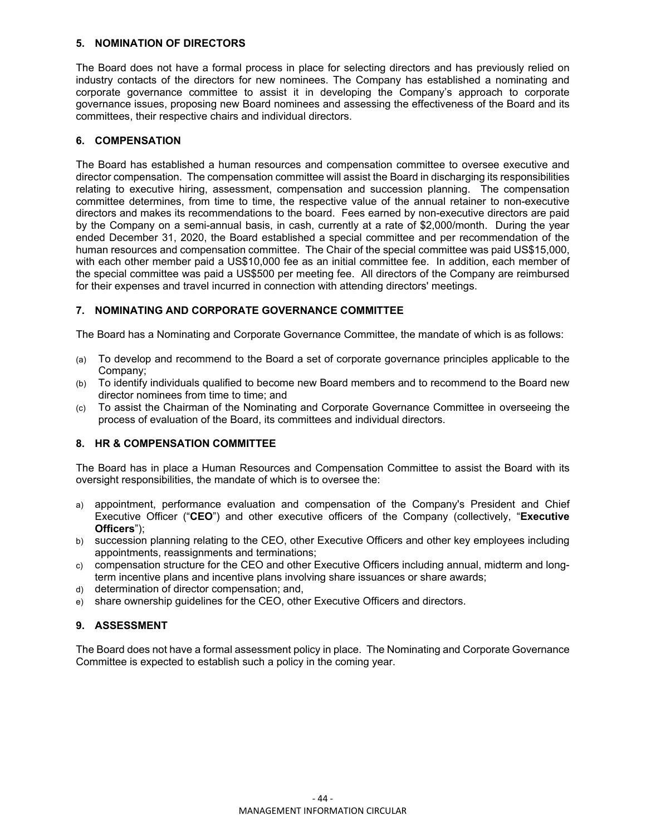## **5. NOMINATION OF DIRECTORS**

The Board does not have a formal process in place for selecting directors and has previously relied on industry contacts of the directors for new nominees. The Company has established a nominating and corporate governance committee to assist it in developing the Company's approach to corporate governance issues, proposing new Board nominees and assessing the effectiveness of the Board and its committees, their respective chairs and individual directors.

## **6. COMPENSATION**

The Board has established a human resources and compensation committee to oversee executive and director compensation. The compensation committee will assist the Board in discharging its responsibilities relating to executive hiring, assessment, compensation and succession planning. The compensation committee determines, from time to time, the respective value of the annual retainer to non-executive directors and makes its recommendations to the board. Fees earned by non-executive directors are paid by the Company on a semi-annual basis, in cash, currently at a rate of \$2,000/month. During the year ended December 31, 2020, the Board established a special committee and per recommendation of the human resources and compensation committee. The Chair of the special committee was paid US\$15,000, with each other member paid a US\$10,000 fee as an initial committee fee. In addition, each member of the special committee was paid a US\$500 per meeting fee. All directors of the Company are reimbursed for their expenses and travel incurred in connection with attending directors' meetings.

## **7. NOMINATING AND CORPORATE GOVERNANCE COMMITTEE**

The Board has a Nominating and Corporate Governance Committee, the mandate of which is as follows:

- (a) To develop and recommend to the Board a set of corporate governance principles applicable to the Company;
- (b) To identify individuals qualified to become new Board members and to recommend to the Board new director nominees from time to time; and
- (c) To assist the Chairman of the Nominating and Corporate Governance Committee in overseeing the process of evaluation of the Board, its committees and individual directors.

## **8. HR & COMPENSATION COMMITTEE**

The Board has in place a Human Resources and Compensation Committee to assist the Board with its oversight responsibilities, the mandate of which is to oversee the:

- a) appointment, performance evaluation and compensation of the Company's President and Chief Executive Officer ("**CEO**") and other executive officers of the Company (collectively, "**Executive Officers**");
- b) succession planning relating to the CEO, other Executive Officers and other key employees including appointments, reassignments and terminations;
- c) compensation structure for the CEO and other Executive Officers including annual, midterm and longterm incentive plans and incentive plans involving share issuances or share awards;
- d) determination of director compensation; and,
- e) share ownership guidelines for the CEO, other Executive Officers and directors.

## **9. ASSESSMENT**

The Board does not have a formal assessment policy in place. The Nominating and Corporate Governance Committee is expected to establish such a policy in the coming year.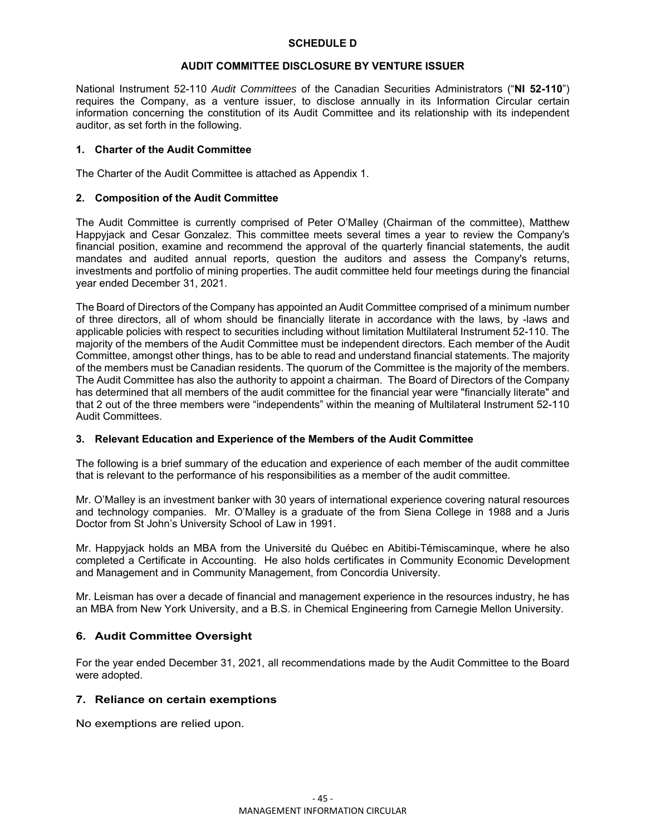#### **SCHEDULE D**

## **AUDIT COMMITTEE DISCLOSURE BY VENTURE ISSUER**

National Instrument 52-110 *Audit Committees* of the Canadian Securities Administrators ("**NI 52-110**") requires the Company, as a venture issuer, to disclose annually in its Information Circular certain information concerning the constitution of its Audit Committee and its relationship with its independent auditor, as set forth in the following.

## **1. Charter of the Audit Committee**

The Charter of the Audit Committee is attached as Appendix 1.

## **2. Composition of the Audit Committee**

The Audit Committee is currently comprised of Peter O'Malley (Chairman of the committee), Matthew Happyjack and Cesar Gonzalez. This committee meets several times a year to review the Company's financial position, examine and recommend the approval of the quarterly financial statements, the audit mandates and audited annual reports, question the auditors and assess the Company's returns, investments and portfolio of mining properties. The audit committee held four meetings during the financial year ended December 31, 2021.

The Board of Directors of the Company has appointed an Audit Committee comprised of a minimum number of three directors, all of whom should be financially literate in accordance with the laws, by -laws and applicable policies with respect to securities including without limitation Multilateral Instrument 52-110. The majority of the members of the Audit Committee must be independent directors. Each member of the Audit Committee, amongst other things, has to be able to read and understand financial statements. The majority of the members must be Canadian residents. The quorum of the Committee is the majority of the members. The Audit Committee has also the authority to appoint a chairman. The Board of Directors of the Company has determined that all members of the audit committee for the financial year were "financially literate" and that 2 out of the three members were "independents" within the meaning of Multilateral Instrument 52-110 Audit Committees.

#### **3. Relevant Education and Experience of the Members of the Audit Committee**

The following is a brief summary of the education and experience of each member of the audit committee that is relevant to the performance of his responsibilities as a member of the audit committee.

Mr. O'Malley is an investment banker with 30 years of international experience covering natural resources and technology companies. Mr. O'Malley is a graduate of the from Siena College in 1988 and a Juris Doctor from St John's University School of Law in 1991.

Mr. Happyjack holds an MBA from the Université du Québec en Abitibi-Témiscaminque, where he also completed a Certificate in Accounting. He also holds certificates in Community Economic Development and Management and in Community Management, from Concordia University.

Mr. Leisman has over a decade of financial and management experience in the resources industry, he has an MBA from New York University, and a B.S. in Chemical Engineering from Carnegie Mellon University.

## **6. Audit Committee Oversight**

For the year ended December 31, 2021, all recommendations made by the Audit Committee to the Board were adopted.

#### **7. Reliance on certain exemptions**

No exemptions are relied upon.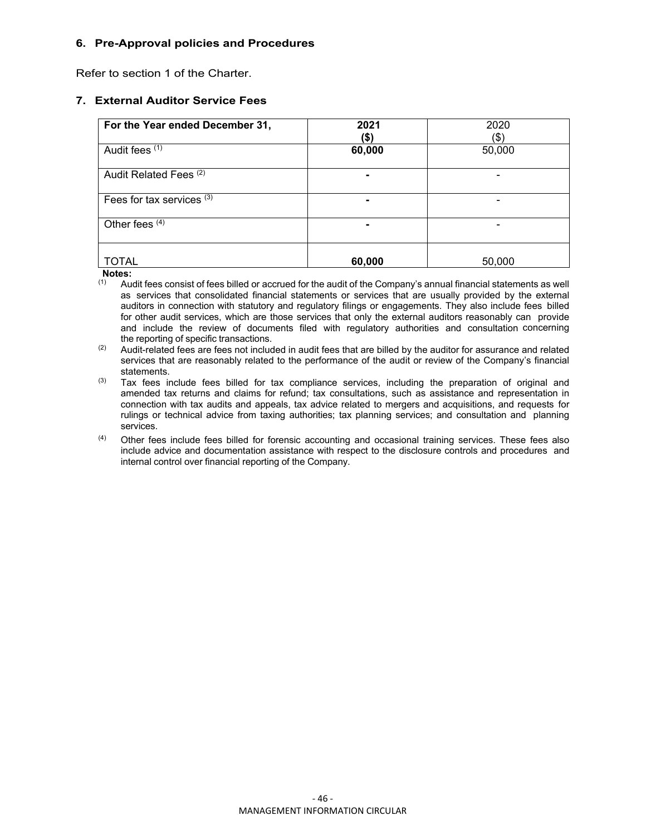## **6. Pre-Approval policies and Procedures**

Refer to section 1 of the Charter.

## **7. External Auditor Service Fees**

| For the Year ended December 31,   | 2021<br>(\$) | 2020<br>$\left( \text{\$}\right)$ |
|-----------------------------------|--------------|-----------------------------------|
| Audit fees (1)                    | 60,000       | 50,000                            |
| Audit Related Fees <sup>(2)</sup> |              |                                   |
| Fees for tax services (3)         |              |                                   |
| Other fees $\overline{4}$         |              |                                   |
| TOTAL                             | 60,000       | 50,000                            |

**Notes:** 

Audit fees consist of fees billed or accrued for the audit of the Company's annual financial statements as well as services that consolidated financial statements or services that are usually provided by the external auditors in connection with statutory and regulatory filings or engagements. They also include fees billed for other audit services, which are those services that only the external auditors reasonably can provide and include the review of documents filed with regulatory authorities and consultation concerning the reporting of specific transactions.

 $(2)$  Audit-related fees are fees not included in audit fees that are billed by the auditor for assurance and related services that are reasonably related to the performance of the audit or review of the Company's financial statements.

- $(3)$  Tax fees include fees billed for tax compliance services, including the preparation of original and amended tax returns and claims for refund; tax consultations, such as assistance and representation in connection with tax audits and appeals, tax advice related to mergers and acquisitions, and requests for rulings or technical advice from taxing authorities; tax planning services; and consultation and planning services.
- (4) Other fees include fees billed for forensic accounting and occasional training services. These fees also include advice and documentation assistance with respect to the disclosure controls and procedures and internal control over financial reporting of the Company.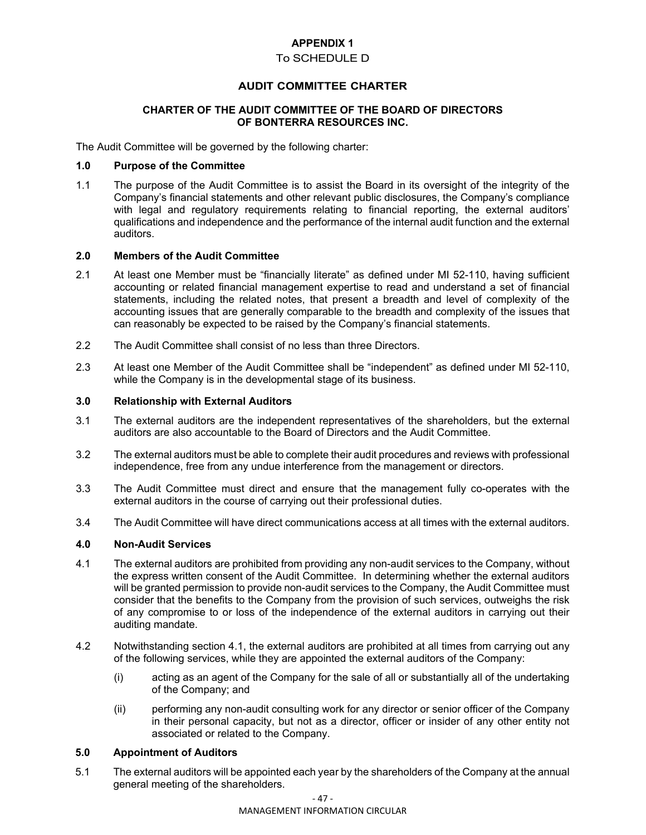# **APPENDIX 1**

## To SCHEDULE D

## **AUDIT COMMITTEE CHARTER**

#### **CHARTER OF THE AUDIT COMMITTEE OF THE BOARD OF DIRECTORS OF BONTERRA RESOURCES INC.**

The Audit Committee will be governed by the following charter:

#### **1.0 Purpose of the Committee**

1.1 The purpose of the Audit Committee is to assist the Board in its oversight of the integrity of the Company's financial statements and other relevant public disclosures, the Company's compliance with legal and regulatory requirements relating to financial reporting, the external auditors' qualifications and independence and the performance of the internal audit function and the external auditors.

### **2.0 Members of the Audit Committee**

- 2.1 At least one Member must be "financially literate" as defined under MI 52-110, having sufficient accounting or related financial management expertise to read and understand a set of financial statements, including the related notes, that present a breadth and level of complexity of the accounting issues that are generally comparable to the breadth and complexity of the issues that can reasonably be expected to be raised by the Company's financial statements.
- 2.2 The Audit Committee shall consist of no less than three Directors.
- 2.3 At least one Member of the Audit Committee shall be "independent" as defined under MI 52-110, while the Company is in the developmental stage of its business.

#### **3.0 Relationship with External Auditors**

- 3.1 The external auditors are the independent representatives of the shareholders, but the external auditors are also accountable to the Board of Directors and the Audit Committee.
- 3.2 The external auditors must be able to complete their audit procedures and reviews with professional independence, free from any undue interference from the management or directors.
- 3.3 The Audit Committee must direct and ensure that the management fully co-operates with the external auditors in the course of carrying out their professional duties.
- 3.4 The Audit Committee will have direct communications access at all times with the external auditors.

#### **4.0 Non-Audit Services**

- 4.1 The external auditors are prohibited from providing any non-audit services to the Company, without the express written consent of the Audit Committee. In determining whether the external auditors will be granted permission to provide non-audit services to the Company, the Audit Committee must consider that the benefits to the Company from the provision of such services, outweighs the risk of any compromise to or loss of the independence of the external auditors in carrying out their auditing mandate.
- 4.2 Notwithstanding section 4.1, the external auditors are prohibited at all times from carrying out any of the following services, while they are appointed the external auditors of the Company:
	- (i) acting as an agent of the Company for the sale of all or substantially all of the undertaking of the Company; and
	- (ii) performing any non-audit consulting work for any director or senior officer of the Company in their personal capacity, but not as a director, officer or insider of any other entity not associated or related to the Company.

#### **5.0 Appointment of Auditors**

5.1 The external auditors will be appointed each year by the shareholders of the Company at the annual general meeting of the shareholders.